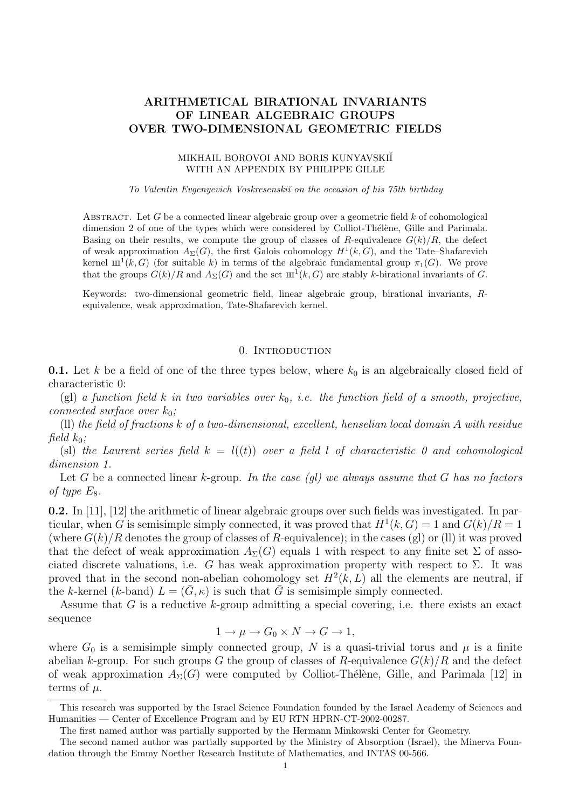## ARITHMETICAL BIRATIONAL INVARIANTS OF LINEAR ALGEBRAIC GROUPS OVER TWO-DIMENSIONAL GEOMETRIC FIELDS

#### MIKHAIL BOROVOI AND BORIS KUNYAVSKIĬ WITH AN APPENDIX BY PHILIPPE GILLE

#### To Valentin Evgenyevich Voskresenskiı̆ on the occasion of his 75th birthday

ABSTRACT. Let G be a connected linear algebraic group over a geometric field  $k$  of cohomological dimension 2 of one of the types which were considered by Colliot-Thélène, Gille and Parimala. Basing on their results, we compute the group of classes of R-equivalence  $G(k)/R$ , the defect of weak approximation  $A_{\Sigma}(G)$ , the first Galois cohomology  $H^1(k, G)$ , and the Tate–Shafarevich kernel  $\text{III}^1(k, G)$  (for suitable k) in terms of the algebraic fundamental group  $\pi_1(G)$ . We prove that the groups  $G(k)/R$  and  $A_{\Sigma}(G)$  and the set  $\mathbf{m}^1(k, G)$  are stably k-birational invariants of G.

Keywords: two-dimensional geometric field, linear algebraic group, birational invariants, Requivalence, weak approximation, Tate-Shafarevich kernel.

### 0. Introduction

**0.1.** Let k be a field of one of the three types below, where  $k_0$  is an algebraically closed field of characteristic 0:

(gl) a function field k in two variables over  $k_0$ , i.e. the function field of a smooth, projective, connected surface over  $k_0$ ;

(ll) the field of fractions k of a two-dimensional, excellent, henselian local domain A with residue field  $k_0$ :

(sl) the Laurent series field  $k = l((t))$  over a field l of characteristic 0 and cohomological dimension 1.

Let G be a connected linear k-group. In the case (ql) we always assume that G has no factors of type  $E_8$ .

0.2. In [11], [12] the arithmetic of linear algebraic groups over such fields was investigated. In particular, when G is semisimple simply connected, it was proved that  $H^1(k, G) = 1$  and  $G(k)/R = 1$ (where  $G(k)/R$  denotes the group of classes of R-equivalence); in the cases (gl) or (ll) it was proved that the defect of weak approximation  $A_{\Sigma}(G)$  equals 1 with respect to any finite set  $\Sigma$  of associated discrete valuations, i.e. G has weak approximation property with respect to  $\Sigma$ . It was proved that in the second non-abelian cohomology set  $H^2(k, L)$  all the elements are neutral, if the k-kernel (k-band)  $L = (\bar{G}, \kappa)$  is such that  $\bar{G}$  is semisimple simply connected.

Assume that G is a reductive k-group admitting a special covering, i.e. there exists an exact sequence

$$
1 \to \mu \to G_0 \times N \to G \to 1,
$$

where  $G_0$  is a semisimple simply connected group, N is a quasi-trivial torus and  $\mu$  is a finite abelian k-group. For such groups G the group of classes of R-equivalence  $G(k)/R$  and the defect of weak approximation  $A_{\Sigma}(G)$  were computed by Colliot-Thélène, Gille, and Parimala [12] in terms of  $\mu$ .

This research was supported by the Israel Science Foundation founded by the Israel Academy of Sciences and Humanities — Center of Excellence Program and by EU RTN HPRN-CT-2002-00287.

The first named author was partially supported by the Hermann Minkowski Center for Geometry.

The second named author was partially supported by the Ministry of Absorption (Israel), the Minerva Foundation through the Emmy Noether Research Institute of Mathematics, and INTAS 00-566.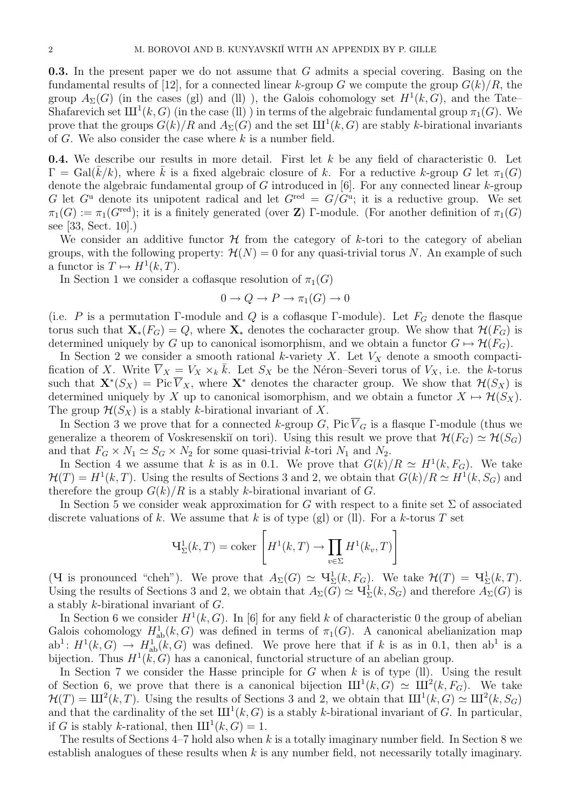0.3. In the present paper we do not assume that G admits a special covering. Basing on the fundamental results of [12], for a connected linear k-group G we compute the group  $G(k)/R$ , the group  $A_{\Sigma}(G)$  (in the cases (gl) and (ll)), the Galois cohomology set  $H^1(k, G)$ , and the Tate– Shafarevich set  $\mathrm{III}^1(k, G)$  (in the case (ll)) in terms of the algebraic fundamental group  $\pi_1(G)$ . We prove that the groups  $G(k)/R$  and  $A_{\Sigma}(G)$  and the set  $\text{III}^1(k, G)$  are stably k-birational invariants of  $G$ . We also consider the case where  $k$  is a number field.

**0.4.** We describe our results in more detail. First let  $k$  be any field of characteristic 0. Let  $\Gamma = \text{Gal}(k/k)$ , where k is a fixed algebraic closure of k. For a reductive k-group G let  $\pi_1(G)$ denote the algebraic fundamental group of  $G$  introduced in [6]. For any connected linear  $k$ -group G let  $G^{\mathrm{u}}$  denote its unipotent radical and let  $G^{\mathrm{red}} = G/G^{\mathrm{u}}$ ; it is a reductive group. We set  $\pi_1(G) := \pi_1(G^{\text{red}})$ ; it is a finitely generated (over Z) Γ-module. (For another definition of  $\pi_1(G)$ ) see [33, Sect. 10].)

We consider an additive functor  $\mathcal H$  from the category of k-tori to the category of abelian groups, with the following property:  $\mathcal{H}(N) = 0$  for any quasi-trivial torus N. An example of such a functor is  $T \mapsto H^1(k,T)$ .

In Section 1 we consider a coflasque resolution of  $\pi_1(G)$ 

$$
0 \to Q \to P \to \pi_1(G) \to 0
$$

(i.e. P is a permutation Γ-module and Q is a coflasque Γ-module). Let  $F_G$  denote the flasque torus such that  $\mathbf{X}_*(F_G) = Q$ , where  $\mathbf{X}_*$  denotes the cocharacter group. We show that  $\mathcal{H}(F_G)$  is determined uniquely by G up to canonical isomorphism, and we obtain a functor  $G \mapsto \mathcal{H}(F_G)$ .

In Section 2 we consider a smooth rational k-variety X. Let  $V_X$  denote a smooth compactification of X. Write  $\overline{V}_X = V_X \times_k \overline{k}$ . Let  $S_X$  be the Néron–Severi torus of  $V_X$ , i.e. the k-torus such that  $\mathbf{X}^*(S_X) = \text{Pic }\overline{V}_X$ , where  $\mathbf{X}^*$  denotes the character group. We show that  $\mathcal{H}(S_X)$  is determined uniquely by X up to canonical isomorphism, and we obtain a functor  $X \mapsto \mathcal{H}(S_X)$ . The group  $\mathcal{H}(S_X)$  is a stably k-birational invariant of X.

In Section 3 we prove that for a connected k-group G, Pic  $\overline{V}_G$  is a flasque Γ-module (thus we generalize a theorem of Voskresenskiı̆ on tori). Using this result we prove that  $\mathcal{H}(F_G) \simeq \mathcal{H}(S_G)$ and that  $F_G \times N_1 \simeq S_G \times N_2$  for some quasi-trivial k-tori  $N_1$  and  $N_2$ .

In Section 4 we assume that k is as in 0.1. We prove that  $G(k)/R \simeq H^1(k, F_G)$ . We take  $\mathcal{H}(T) = H^1(k,T)$ . Using the results of Sections 3 and 2, we obtain that  $G(k)/R \simeq H^1(k, S_G)$  and therefore the group  $G(k)/R$  is a stably k-birational invariant of G.

In Section 5 we consider weak approximation for G with respect to a finite set  $\Sigma$  of associated discrete valuations of k. We assume that k is of type (gl) or (ll). For a k-torus T set

$$
\mathbf{H}_{\Sigma}^{1}(k, T) = \text{coker}\left[H^{1}(k, T) \to \prod_{v \in \Sigma} H^{1}(k_{v}, T)\right]
$$

(**Y** is pronounced "cheh"). We prove that  $A_{\Sigma}(G) \simeq \mathbf{V}_{\Sigma}^1(k, F_G)$ . We take  $\mathcal{H}(T) = \mathbf{V}_{\Sigma}^1(k, T)$ . Using the results of Sections 3 and 2, we obtain that  $A_\Sigma(\tilde{G}) \simeq \mathbf{V}^1_\Sigma(k, S_G)$  and therefore  $\tilde{A}_\Sigma(G)$  is a stably k-birational invariant of G.

In Section 6 we consider  $H^1(k, G)$ . In [6] for any field k of characteristic 0 the group of abelian Galois cohomology  $H^1_{ab}(k, G)$  was defined in terms of  $\pi_1(G)$ . A canonical abelianization map  $ab^1: H^1(k, G) \to H^1_{ab}(k, G)$  was defined. We prove here that if k is as in 0.1, then  $ab^1$  is a bijection. Thus  $H^1(k, G)$  has a canonical, functorial structure of an abelian group.

In Section 7 we consider the Hasse principle for G when k is of type  $(1)$ . Using the result of Section 6, we prove that there is a canonical bijection  $\mathrm{III}^1(k, G) \simeq \mathrm{III}^2(k, F_G)$ . We take  $\mathcal{H}(T) = \text{III}^2(k, T)$ . Using the results of Sections 3 and 2, we obtain that  $\text{III}^1(k, G) \simeq \text{III}^2(k, S_G)$ and that the cardinality of the set  $III<sup>1</sup>(k, G)$  is a stably k-birational invariant of G. In particular, if G is stably k-rational, then  $III^1(k, G) = 1$ .

The results of Sections  $4-7$  hold also when k is a totally imaginary number field. In Section 8 we establish analogues of these results when  $k$  is any number field, not necessarily totally imaginary.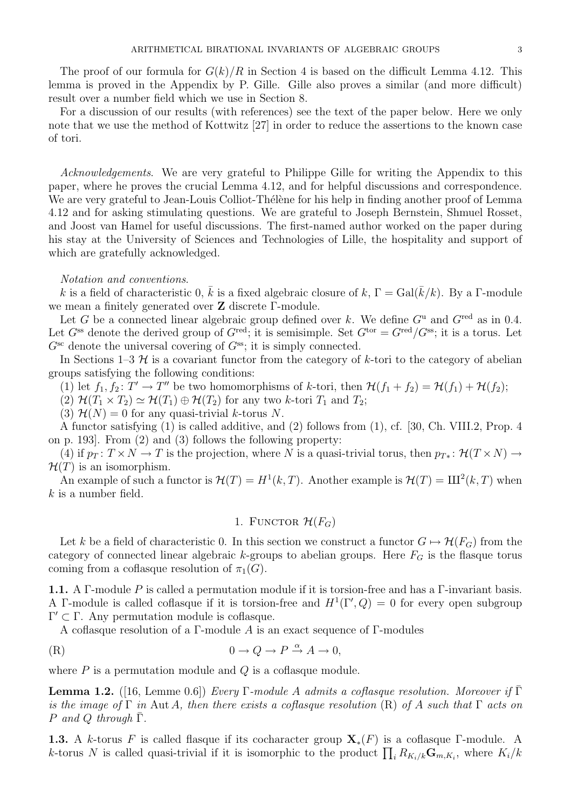The proof of our formula for  $G(k)/R$  in Section 4 is based on the difficult Lemma 4.12. This lemma is proved in the Appendix by P. Gille. Gille also proves a similar (and more difficult) result over a number field which we use in Section 8.

For a discussion of our results (with references) see the text of the paper below. Here we only note that we use the method of Kottwitz [27] in order to reduce the assertions to the known case of tori.

Acknowledgements. We are very grateful to Philippe Gille for writing the Appendix to this paper, where he proves the crucial Lemma 4.12, and for helpful discussions and correspondence. We are very grateful to Jean-Louis Colliot-Thélène for his help in finding another proof of Lemma 4.12 and for asking stimulating questions. We are grateful to Joseph Bernstein, Shmuel Rosset, and Joost van Hamel for useful discussions. The first-named author worked on the paper during his stay at the University of Sciences and Technologies of Lille, the hospitality and support of which are gratefully acknowledged.

#### Notation and conventions.

k is a field of characteristic 0,  $\bar{k}$  is a fixed algebraic closure of k,  $\Gamma = \text{Gal}(\bar{k}/k)$ . By a  $\Gamma$ -module we mean a finitely generated over Z discrete Γ-module.

Let G be a connected linear algebraic group defined over k. We define  $G^u$  and  $G^{\text{red}}$  as in 0.4. Let  $G^{ss}$  denote the derived group of  $G^{red}$ ; it is semisimple. Set  $G^{tor} = G^{red}/G^{ss}$ ; it is a torus. Let  $G^{\rm sc}$  denote the universal covering of  $G^{\rm ss}$ ; it is simply connected.

In Sections 1–3  $H$  is a covariant functor from the category of k-tori to the category of abelian groups satisfying the following conditions:

(1) let  $f_1, f_2 \colon T' \to T''$  be two homomorphisms of k-tori, then  $\mathcal{H}(f_1 + f_2) = \mathcal{H}(f_1) + \mathcal{H}(f_2);$ 

(2)  $\mathcal{H}(T_1 \times T_2) \simeq \mathcal{H}(T_1) \oplus \mathcal{H}(T_2)$  for any two k-tori  $T_1$  and  $T_2$ ;

(3)  $\mathcal{H}(N) = 0$  for any quasi-trivial k-torus N.

A functor satisfying (1) is called additive, and (2) follows from (1), cf. [30, Ch. VIII.2, Prop. 4 on p. 193]. From (2) and (3) follows the following property:

(4) if  $p_T: T \times N \to T$  is the projection, where N is a quasi-trivial torus, then  $p_{T*}: \mathcal{H}(T \times N) \to$  $\mathcal{H}(T)$  is an isomorphism.

An example of such a functor is  $\mathcal{H}(T) = H^1(k,T)$ . Another example is  $\mathcal{H}(T) = \text{III}^2(k,T)$  when  $k$  is a number field.

# 1. FUNCTOR  $\mathcal{H}(F_G)$

Let k be a field of characteristic 0. In this section we construct a functor  $G \mapsto \mathcal{H}(F_G)$  from the category of connected linear algebraic k-groups to abelian groups. Here  $F_G$  is the flasque torus coming from a coflasque resolution of  $\pi_1(G)$ .

1.1. A Γ-module P is called a permutation module if it is torsion-free and has a Γ-invariant basis. A Γ-module is called coflasque if it is torsion-free and  $H^1(\Gamma', Q) = 0$  for every open subgroup  $Γ' ⊂ Γ$ . Any permutation module is coflasque.

A coflasque resolution of a Γ-module A is an exact sequence of Γ-modules

(R) 
$$
0 \to Q \to P \stackrel{\alpha}{\to} A \to 0,
$$

where  $P$  is a permutation module and  $Q$  is a coflasque module.

**Lemma 1.2.** ([16, Lemme 0.6]) Every Γ-module A admits a coflasque resolution. Moreover if  $\overline{\Gamma}$ is the image of  $\Gamma$  in Aut A, then there exists a coflasque resolution (R) of A such that  $\Gamma$  acts on P and Q through  $\overline{\Gamma}$ .

**1.3.** A k-torus F is called flasque if its cocharacter group  $X_*(F)$  is a coflasque Γ-module. A k-torus N is called quasi-trivial if it is isomorphic to the product  $\prod_i R_{K_i/k} \mathbf{G}_{m,K_i}$ , where  $K_i/k$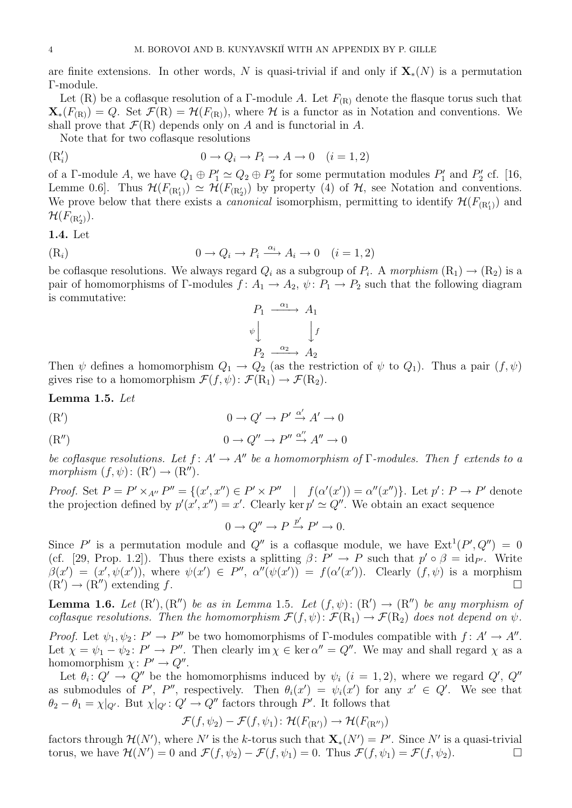are finite extensions. In other words, N is quasi-trivial if and only if  $X_*(N)$  is a permutation Γ-module.

Let (R) be a coflasque resolution of a Γ-module A. Let  $F_{(R)}$  denote the flasque torus such that  $\mathbf{X}_{*}(F_{(R)}) = Q$ . Set  $\mathcal{F}(R) = \mathcal{H}(F_{(R)})$ , where  $\mathcal{H}$  is a functor as in Notation and conventions. We shall prove that  $\mathcal{F}(R)$  depends only on A and is functorial in A.

Note that for two coflasque resolutions

$$
(\mathcal{R}'_i) \qquad \qquad 0 \to Q_i \to P_i \to A \to 0 \quad (i = 1, 2)
$$

of a Γ-module A, we have  $Q_1 \oplus P'_1 \simeq Q_2 \oplus P'_2$  for some permutation modules  $P'_1$  and  $P'_2$  cf. [16, Lemme 0.6]. Thus  $\mathcal{H}(F_{(R_1')}) \simeq \mathcal{H}(F_{(R_2')})$  by property (4) of  $\mathcal{H}$ , see Notation and conventions. We prove below that there exists a *canonical* isomorphism, permitting to identify  $\mathcal{H}(F_{(R'_{1})})$  and  $\mathcal{H}(F_{(\mathrm{R}'_2)}).$ 

1.4. Let

$$
(R_i) \t\t 0 \to Q_i \to P_i \xrightarrow{\alpha_i} A_i \to 0 \t (i = 1, 2)
$$

be coflasque resolutions. We always regard  $Q_i$  as a subgroup of  $P_i$ . A morphism  $(R_1) \rightarrow (R_2)$  is a pair of homomorphisms of Γ-modules  $f: A_1 \to A_2$ ,  $\psi: P_1 \to P_2$  such that the following diagram is commutative:



Then  $\psi$  defines a homomorphism  $Q_1 \to Q_2$  (as the restriction of  $\psi$  to  $Q_1$ ). Thus a pair  $(f, \psi)$ gives rise to a homomorphism  $\mathcal{F}(f, \psi)$ :  $\mathcal{F}(\mathrm{R}_1) \to \mathcal{F}(\mathrm{R}_2)$ .

Lemma 1.5. Let

$$
(R') \t\t 0 \to Q' \to P' \xrightarrow{\alpha'} A' \to 0
$$

$$
0 \to Q'' \to P'' \xrightarrow{\alpha''} A'' \to 0
$$

be coflasque resolutions. Let  $f: A' \to A''$  be a homomorphism of Γ-modules. Then f extends to a morphism  $(f, \psi) : (\mathbb{R}') \to (\mathbb{R}'')$ .

*Proof.* Set  $P = P' \times_{A''} P'' = \{(x', x'') \in P' \times P'' \mid f(\alpha'(x')) = \alpha''(x'')\}$ . Let  $p' : P \to P'$  denote the projection defined by  $p'(x', x'') = x'$ . Clearly ker  $p' \simeq Q''$ . We obtain an exact sequence

$$
0 \to Q'' \to P \xrightarrow{p'} P' \to 0.
$$

Since P' is a permutation module and Q'' is a coflasque module, we have  $Ext^1(P', Q'') = 0$ (cf. [29, Prop. 1.2]). Thus there exists a splitting  $\beta: P' \to P$  such that  $p' \circ \beta = id_{P'}$ . Write  $\beta(x') = (x', \psi(x'))$ , where  $\psi(x') \in P''$ ,  $\alpha''(\psi(x')) = f(\alpha'(x'))$ . Clearly  $(f, \psi)$  is a morphism  $(R') \rightarrow (R'')$  extending f.

**Lemma 1.6.** Let  $(R')$ ,  $(R'')$  be as in Lemma 1.5. Let  $(f, \psi)$ :  $(R') \rightarrow (R'')$  be any morphism of coflasque resolutions. Then the homomorphism  $\mathcal{F}(f, \psi) : \mathcal{F}(\mathrm{R}_1) \to \mathcal{F}(\mathrm{R}_2)$  does not depend on  $\psi$ .

*Proof.* Let  $\psi_1, \psi_2 \colon P' \to P''$  be two homomorphisms of Γ-modules compatible with  $f \colon A' \to A''$ . Let  $\chi = \psi_1 - \psi_2$ :  $P' \to P''$ . Then clearly im  $\chi \in \ker \alpha'' = Q''$ . We may and shall regard  $\chi$  as a homomorphism  $\chi: P' \to Q''$ .

Let  $\theta_i: Q' \to Q''$  be the homomorphisms induced by  $\psi_i$   $(i = 1, 2)$ , where we regard  $Q'$ ,  $Q''$ as submodules of P', P'', respectively. Then  $\theta_i(x') = \psi_i(x')$  for any  $x' \in Q'$ . We see that  $\theta_2 - \theta_1 = \chi|_{Q'}$ . But  $\chi|_{Q'}: Q' \to Q''$  factors through P'. It follows that

$$
\mathcal{F}(f,\psi_2) - \mathcal{F}(f,\psi_1): \mathcal{H}(F_{(\mathbf{R}')}) \to \mathcal{H}(F_{(\mathbf{R}'')})
$$

factors through  $\mathcal{H}(N')$ , where N' is the k-torus such that  $\mathbf{X}_*(N') = P'$ . Since N' is a quasi-trivial torus, we have  $\mathcal{H}(N') = 0$  and  $\mathcal{F}(f, \psi_2) - \mathcal{F}(f, \psi_1) = 0$ . Thus  $\mathcal{F}(f, \psi_1) = \mathcal{F}(f, \psi_2)$ .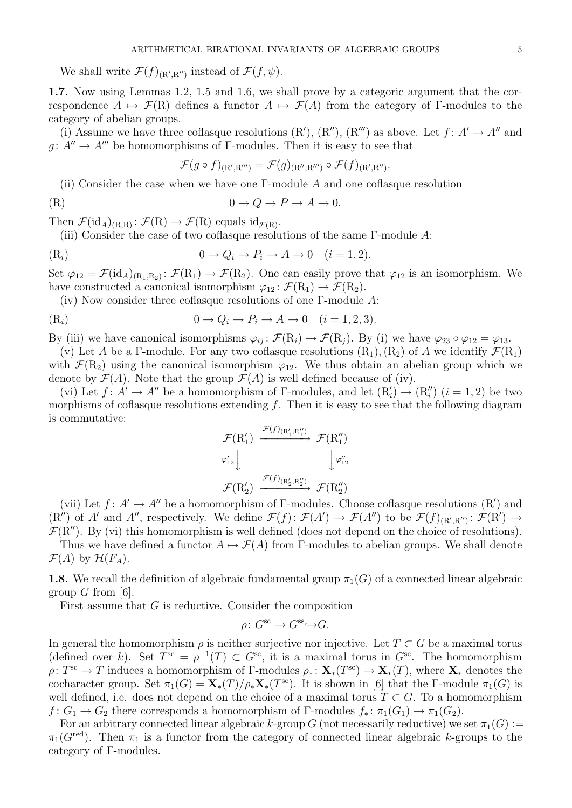We shall write  $\mathcal{F}(f)_{(\mathbb{R}',\mathbb{R}'')}$  instead of  $\mathcal{F}(f,\psi)$ .

1.7. Now using Lemmas 1.2, 1.5 and 1.6, we shall prove by a categoric argument that the correspondence  $A \mapsto \mathcal{F}(R)$  defines a functor  $A \mapsto \mathcal{F}(A)$  from the category of Γ-modules to the category of abelian groups.

(i) Assume we have three coflasque resolutions  $(R', (R''), (R'')$  as above. Let  $f: A' \rightarrow A''$  and  $g: A'' \to A'''$  be homomorphisms of Γ-modules. Then it is easy to see that

$$
\mathcal{F}(g \circ f)_{(\mathrm{R}',\mathrm{R}''')} = \mathcal{F}(g)_{(\mathrm{R}'',\mathrm{R}''')} \circ \mathcal{F}(f)_{(\mathrm{R}',\mathrm{R}'')}.
$$

(ii) Consider the case when we have one  $\Gamma$ -module A and one coflasque resolution

(R) 
$$
0 \to Q \to P \to A \to 0.
$$

Then  $\mathcal{F}(\mathrm{id}_A)_{(R,R)}\colon \mathcal{F}(R)\to \mathcal{F}(R)$  equals  $\mathrm{id}_{\mathcal{F}(R)}$ .

(iii) Consider the case of two coflasque resolutions of the same Γ-module A:

$$
(R_i) \t\t 0 \to Q_i \to P_i \to A \to 0 \t (i = 1, 2).
$$

Set  $\varphi_{12} = \mathcal{F}(\mathrm{id}_A)_{(R_1,R_2)} \colon \mathcal{F}(R_1) \to \mathcal{F}(R_2)$ . One can easily prove that  $\varphi_{12}$  is an isomorphism. We have constructed a canonical isomorphism  $\varphi_{12} : \mathcal{F}(\mathrm{R}_1) \to \mathcal{F}(\mathrm{R}_2)$ .

(iv) Now consider three coflasque resolutions of one Γ-module A:

$$
(R_i) \t\t 0 \to Q_i \to P_i \to A \to 0 \t (i = 1, 2, 3).
$$

By (iii) we have canonical isomorphisms  $\varphi_{ij} : \mathcal{F}(\mathbf{R}_i) \to \mathcal{F}(\mathbf{R}_j)$ . By (i) we have  $\varphi_{23} \circ \varphi_{12} = \varphi_{13}$ .

(v) Let A be a Γ-module. For any two coflasque resolutions  $(R_1), (R_2)$  of A we identify  $\mathcal{F}(R_1)$ with  $\mathcal{F}(R_2)$  using the canonical isomorphism  $\varphi_{12}$ . We thus obtain an abelian group which we denote by  $\mathcal{F}(A)$ . Note that the group  $\mathcal{F}(A)$  is well defined because of (iv).

(vi) Let  $f: A' \to A''$  be a homomorphism of  $\Gamma$ -modules, and let  $(R'_i) \to (R''_i)$   $(i = 1, 2)$  be two morphisms of coflasque resolutions extending  $f$ . Then it is easy to see that the following diagram is commutative:  $\tau(r)$ 

$$
\mathcal{F}(\mathrm{R}'_1) \xrightarrow{\mathcal{F}(f)(\mathrm{R}'_1, \mathrm{R}''_1)} \mathcal{F}(\mathrm{R}''_1)
$$
\n
$$
\varphi'_{12} \downarrow \qquad \qquad \downarrow \varphi''_{12}
$$
\n
$$
\mathcal{F}(\mathrm{R}'_2) \xrightarrow{\mathcal{F}(f)(\mathrm{R}'_2, \mathrm{R}''_2)} \mathcal{F}(\mathrm{R}''_2)
$$

(vii) Let  $f: A' \to A''$  be a homomorphism of Γ-modules. Choose coflasque resolutions (R') and  $(R'')$  of A' and A'', respectively. We define  $\mathcal{F}(f) \colon \mathcal{F}(A') \to \mathcal{F}(A'')$  to be  $\mathcal{F}(f)_{(R',R'')}: \mathcal{F}(R') \to$  $\mathcal{F}(R'')$ . By (vi) this homomorphism is well defined (does not depend on the choice of resolutions).

Thus we have defined a functor  $A \mapsto \mathcal{F}(A)$  from Γ-modules to abelian groups. We shall denote  $\mathcal{F}(A)$  by  $\mathcal{H}(F_A)$ .

**1.8.** We recall the definition of algebraic fundamental group  $\pi_1(G)$  of a connected linear algebraic group  $G$  from [6].

First assume that G is reductive. Consider the composition

$$
\rho \colon G^{\text{sc}} \to G^{\text{ss}} \hookrightarrow G.
$$

In general the homomorphism  $\rho$  is neither surjective nor injective. Let  $T \subset G$  be a maximal torus (defined over k). Set  $T^{sc} = \rho^{-1}(T) \subset G^{sc}$ , it is a maximal torus in  $G^{sc}$ . The homomorphism  $\rho: T^{\rm sc} \to T$  induces a homomorphism of  $\Gamma$ -modules  $\rho_* \colon \mathbf{X}_*(T^{\rm sc}) \to \mathbf{X}_*(T)$ , where  $\mathbf{X}_*$  denotes the cocharacter group. Set  $\pi_1(G) = \mathbf{X}_*(T)/\rho_*\mathbf{X}_*(T^{\text{sc}})$ . It is shown in [6] that the Γ-module  $\pi_1(G)$  is well defined, i.e. does not depend on the choice of a maximal torus  $T \subset G$ . To a homomorphism  $f: G_1 \to G_2$  there corresponds a homomorphism of Γ-modules  $f_*: \pi_1(G_1) \to \pi_1(G_2)$ .

For an arbitrary connected linear algebraic k-group G (not necessarily reductive) we set  $\pi_1(G) :=$  $\pi_1(G^{\text{red}})$ . Then  $\pi_1$  is a functor from the category of connected linear algebraic k-groups to the category of Γ-modules.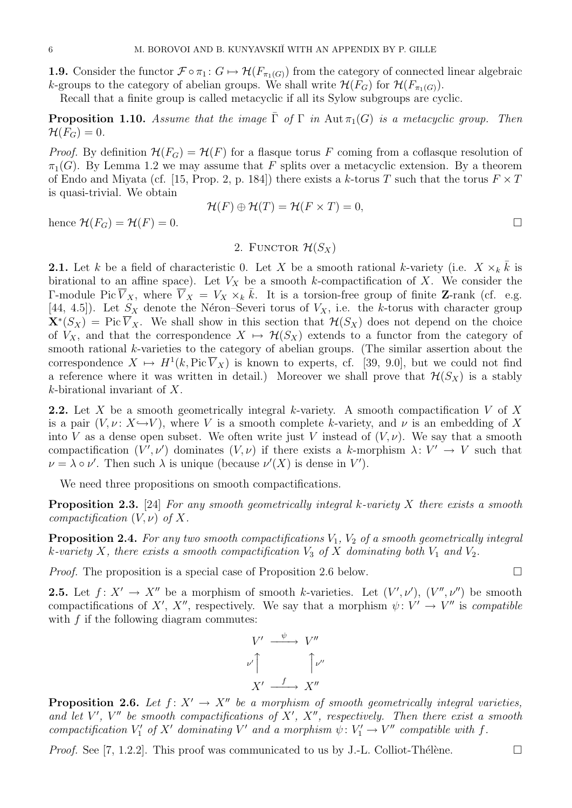1.9. Consider the functor  $\mathcal{F} \circ \pi_1 : G \mapsto \mathcal{H}(F_{\pi_1(G)})$  from the category of connected linear algebraic k-groups to the category of abelian groups. We shall write  $\mathcal{H}(F_G)$  for  $\mathcal{H}(F_{\pi_1(G)})$ .

Recall that a finite group is called metacyclic if all its Sylow subgroups are cyclic.

**Proposition 1.10.** Assume that the image  $\overline{\Gamma}$  of  $\Gamma$  in Aut  $\pi_1(G)$  is a metacyclic group. Then  $\mathcal{H}(F_G)=0.$ 

*Proof.* By definition  $\mathcal{H}(F_G) = \mathcal{H}(F)$  for a flasque torus F coming from a coflasque resolution of  $\pi_1(G)$ . By Lemma 1.2 we may assume that F splits over a metacyclic extension. By a theorem of Endo and Miyata (cf. [15, Prop. 2, p. 184]) there exists a k-torus T such that the torus  $F \times T$ is quasi-trivial. We obtain

$$
\mathcal{H}(F) \oplus \mathcal{H}(T) = \mathcal{H}(F \times T) = 0,
$$

hence  $\mathcal{H}(F_G) = \mathcal{H}(F) = 0.$ 

# 2. FUNCTOR  $\mathcal{H}(S_{X})$

**2.1.** Let k be a field of characteristic 0. Let X be a smooth rational k-variety (i.e.  $X \times_k \overline{k}$  is birational to an affine space). Let  $V_X$  be a smooth k-compactification of X. We consider the Γ-module Pic  $\overline{V}_X$ , where  $\overline{V}_X = V_X \times_k \overline{k}$ . It is a torsion-free group of finite **Z**-rank (cf. e.g. [44, 4.5]). Let  $S_X$  denote the Néron–Severi torus of  $V_X$ , i.e. the k-torus with character group  $\mathbf{X}^*(S_X) = \text{Pic }\overline{V}_X$ . We shall show in this section that  $\mathcal{H}(S_X)$  does not depend on the choice of  $V_X$ , and that the correspondence  $X \mapsto \mathcal{H}(S_X)$  extends to a functor from the category of smooth rational  $k$ -varieties to the category of abelian groups. (The similar assertion about the correspondence  $X \mapsto H^1(k, \text{Pic }\overline{V}_X)$  is known to experts, cf. [39, 9.0], but we could not find a reference where it was written in detail.) Moreover we shall prove that  $\mathcal{H}(S_X)$  is a stably k-birational invariant of X.

**2.2.** Let X be a smooth geometrically integral k-variety. A smooth compactification V of X is a pair  $(V, \nu: X \rightarrow V)$ , where V is a smooth complete k-variety, and  $\nu$  is an embedding of X into V as a dense open subset. We often write just V instead of  $(V, \nu)$ . We say that a smooth compactification  $(V',\nu')$  dominates  $(V,\nu)$  if there exists a k-morphism  $\lambda: V' \to V$  such that  $\nu = \lambda \circ \nu'$ . Then such  $\lambda$  is unique (because  $\nu'(X)$  is dense in V').

We need three propositions on smooth compactifications.

**Proposition 2.3.** [24] For any smooth geometrically integral k-variety X there exists a smooth compactification  $(V, \nu)$  of X.

**Proposition 2.4.** For any two smooth compactifications  $V_1$ ,  $V_2$  of a smooth geometrically integral k-variety X, there exists a smooth compactification  $V_3$  of X dominating both  $V_1$  and  $V_2$ .

*Proof.* The proposition is a special case of Proposition 2.6 below.  $\Box$ 

**2.5.** Let  $f: X' \to X''$  be a morphism of smooth k-varieties. Let  $(V', \nu')$ ,  $(V'', \nu'')$  be smooth compactifications of X', X'', respectively. We say that a morphism  $\psi: V' \to V''$  is compatible with  $f$  if the following diagram commutes:

$$
V' \xrightarrow{\psi} V''
$$
  

$$
\nu' \uparrow \qquad \qquad \uparrow \nu''
$$
  

$$
X' \xrightarrow{f} X''
$$

**Proposition 2.6.** Let  $f: X' \to X''$  be a morphism of smooth geometrically integral varieties, and let V', V" be smooth compactifications of  $X'$ ,  $X''$ , respectively. Then there exist a smooth compactification  $V'_1$  of  $X'$  dominating  $V'$  and a morphism  $\psi: V'_1 \to V''$  compatible with f.

*Proof.* See [7, 1.2.2]. This proof was communicated to us by J.-L. Colliot-Thélène.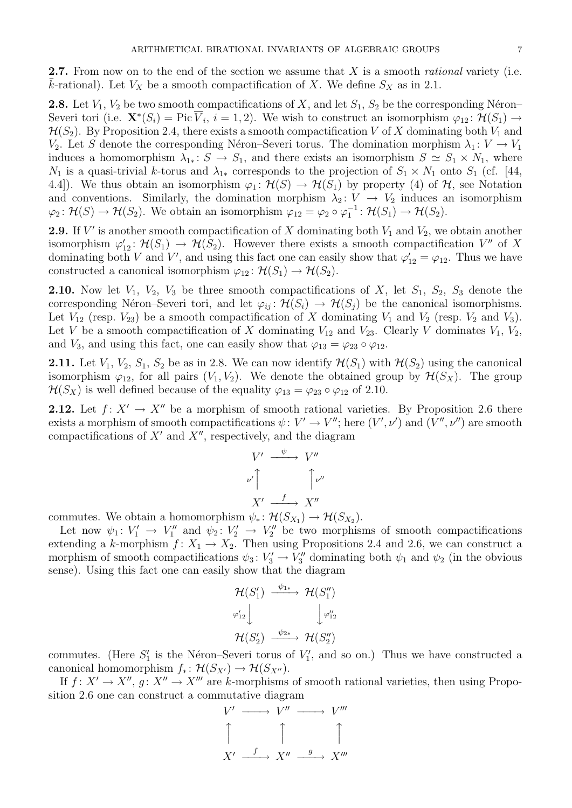**2.7.** From now on to the end of the section we assume that X is a smooth *rational* variety (i.e.  $\overline{k}$ -rational). Let  $V_X$  be a smooth compactification of X. We define  $S_X$  as in 2.1.

**2.8.** Let  $V_1$ ,  $V_2$  be two smooth compactifications of X, and let  $S_1$ ,  $S_2$  be the corresponding Néron– Severi tori (i.e.  $\mathbf{X}^*(S_i) = \text{Pic }\overline{V}_i$ ,  $i = 1, 2$ ). We wish to construct an isomorphism  $\varphi_{12} \colon \mathcal{H}(S_1) \to$  $\mathcal{H}(S_2)$ . By Proposition 2.4, there exists a smooth compactification V of X dominating both  $V_1$  and V<sub>2</sub>. Let S denote the corresponding Néron–Severi torus. The domination morphism  $\lambda_1 : V \to V_1$ induces a homomorphism  $\lambda_{1*}: S \to S_1$ , and there exists an isomorphism  $S \simeq S_1 \times N_1$ , where  $N_1$  is a quasi-trivial k-torus and  $\lambda_{1*}$  corresponds to the projection of  $S_1 \times N_1$  onto  $S_1$  (cf. [44, 4.4]). We thus obtain an isomorphism  $\varphi_1: \mathcal{H}(S) \to \mathcal{H}(S_1)$  by property (4) of  $\mathcal{H}$ , see Notation and conventions. Similarly, the domination morphism  $\lambda_2: V \to V_2$  induces an isomorphism  $\varphi_2 \colon \mathcal{H}(S) \to \mathcal{H}(S_2)$ . We obtain an isomorphism  $\varphi_{12} = \varphi_2 \circ \varphi_1^{-1} \colon \mathcal{H}(S_1) \to \mathcal{H}(S_2)$ .

**2.9.** If V' is another smooth compactification of X dominating both  $V_1$  and  $V_2$ , we obtain another isomorphism  $\varphi'_{12} : \mathcal{H}(S_1) \to \mathcal{H}(S_2)$ . However there exists a smooth compactification V'' of X dominating both V and V', and using this fact one can easily show that  $\varphi'_{12} = \varphi_{12}$ . Thus we have constructed a canonical isomorphism  $\varphi_{12} : \mathcal{H}(S_1) \to \mathcal{H}(S_2)$ .

**2.10.** Now let  $V_1$ ,  $V_2$ ,  $V_3$  be three smooth compactifications of X, let  $S_1$ ,  $S_2$ ,  $S_3$  denote the corresponding Néron–Severi tori, and let  $\varphi_{ij} : \mathcal{H}(S_i) \to \mathcal{H}(S_j)$  be the canonical isomorphisms. Let  $V_{12}$  (resp.  $V_{23}$ ) be a smooth compactification of X dominating  $V_1$  and  $V_2$  (resp.  $V_2$  and  $V_3$ ). Let V be a smooth compactification of X dominating  $V_{12}$  and  $V_{23}$ . Clearly V dominates  $V_1$ ,  $V_2$ , and  $V_3$ , and using this fact, one can easily show that  $\varphi_{13} = \varphi_{23} \circ \varphi_{12}$ .

**2.11.** Let  $V_1$ ,  $V_2$ ,  $S_1$ ,  $S_2$  be as in 2.8. We can now identify  $\mathcal{H}(S_1)$  with  $\mathcal{H}(S_2)$  using the canonical isomorphism  $\varphi_{12}$ , for all pairs  $(V_1, V_2)$ . We denote the obtained group by  $\mathcal{H}(S_X)$ . The group  $\mathcal{H}(S_X)$  is well defined because of the equality  $\varphi_{13} = \varphi_{23} \circ \varphi_{12}$  of 2.10.

**2.12.** Let  $f: X' \to X''$  be a morphism of smooth rational varieties. By Proposition 2.6 there exists a morphism of smooth compactifications  $\psi: V' \to V''$ ; here  $(V', \nu')$  and  $(V'', \nu'')$  are smooth compactifications of  $X'$  and  $X''$ , respectively, and the diagram

$$
V' \xrightarrow{\psi} V''
$$
  

$$
\nu' \uparrow \qquad \qquad \uparrow \nu''
$$
  

$$
X' \xrightarrow{f} X''
$$

commutes. We obtain a homomorphism  $\psi_* \colon \mathcal{H}(S_{X_1}) \to \mathcal{H}(S_{X_2})$ .

Let now  $\psi_1: V'_1 \to V''_1$  and  $\psi_2: V'_2 \to V''_2$  be two morphisms of smooth compactifications extending a k-morphism  $f: X_1 \to X_2$ . Then using Propositions 2.4 and 2.6, we can construct a morphism of smooth compactifications  $\psi_3: V_3' \to V_3''$  dominating both  $\psi_1$  and  $\psi_2$  (in the obvious sense). Using this fact one can easily show that the diagram

$$
\mathcal{H}(S'_1) \xrightarrow{\psi_{1*}} \mathcal{H}(S''_1)
$$
\n
$$
\varphi'_{12} \downarrow \qquad \qquad \downarrow \varphi''_{12}
$$
\n
$$
\mathcal{H}(S'_2) \xrightarrow{\psi_{2*}} \mathcal{H}(S''_2)
$$

commutes. (Here  $S'_1$  is the Néron–Severi torus of  $V'_1$ , and so on.) Thus we have constructed a canonical homomorphism  $f_* \colon \mathcal{H}(S_{X'}) \to \mathcal{H}(S_{X''}).$ 

If  $f: X' \to X''$ ,  $g: X'' \to X'''$  are k-morphisms of smooth rational varieties, then using Proposition 2.6 one can construct a commutative diagram

$$
V' \longrightarrow V'' \longrightarrow V'''
$$
  
\n
$$
\uparrow \qquad \qquad \uparrow \qquad \qquad \uparrow
$$
  
\n
$$
X' \xrightarrow{f} X'' \xrightarrow{g} X'''
$$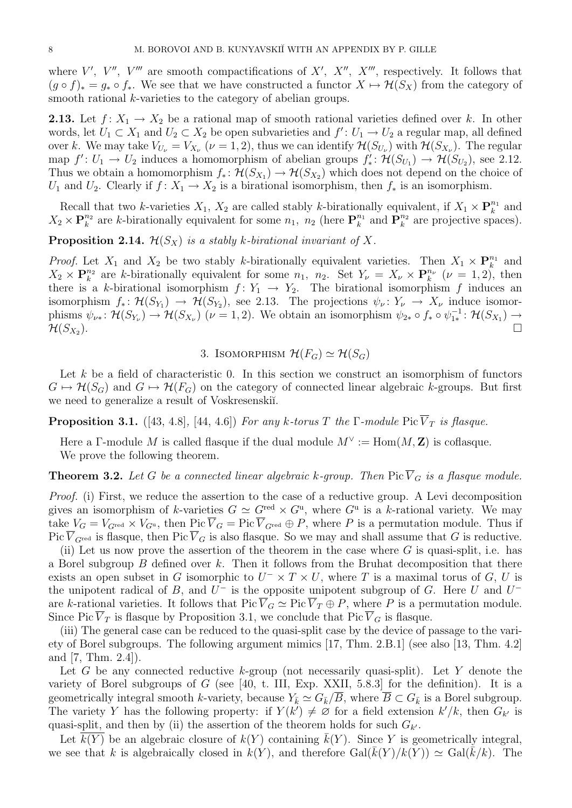where V', V'', V''' are smooth compactifications of X', X'', X''', respectively. It follows that  $(g \circ f)_* = g_* \circ f_*$ . We see that we have constructed a functor  $X \mapsto \mathcal{H}(S_X)$  from the category of smooth rational *k*-varieties to the category of abelian groups.

**2.13.** Let  $f: X_1 \to X_2$  be a rational map of smooth rational varieties defined over k. In other words, let  $U_1 \subset X_1$  and  $U_2 \subset X_2$  be open subvarieties and  $f' : U_1 \to U_2$  a regular map, all defined over k. We may take  $V_{U_{\nu}}=V_{X_{\nu}}$   $(\nu=1,2)$ , thus we can identify  $\mathcal{H}(S_{U_{\nu}})$  with  $\mathcal{H}(S_{X_{\nu}})$ . The regular map  $f': U_1 \to U_2$  induces a homomorphism of abelian groups  $f'_* : \mathcal{H}(S_{U_1}) \to \mathcal{H}(S_{U_2})$ , see 2.12. Thus we obtain a homomorphism  $f_*: \mathcal{H}(S_{X_1}) \to \mathcal{H}(S_{X_2})$  which does not depend on the choice of  $U_1$  and  $U_2$ . Clearly if  $f: X_1 \to X_2$  is a birational isomorphism, then  $f_*$  is an isomorphism.

Recall that two k-varieties  $X_1, X_2$  are called stably k-birationally equivalent, if  $X_1 \times \mathbf{P}_k^{n_1}$  and  $X_2 \times \mathbf{P}_k^{n_2}$  are k-birationally equivalent for some  $n_1$ ,  $n_2$  (here  $\mathbf{P}_k^{n_1}$  and  $\mathbf{P}_k^{n_2}$  are projective spaces).

**Proposition 2.14.**  $\mathcal{H}(S_X)$  is a stably k-birational invariant of X.

*Proof.* Let  $X_1$  and  $X_2$  be two stably k-birationally equivalent varieties. Then  $X_1 \times \mathbf{P}_k^{n_1}$  and  $X_2 \times \mathbf{P}_k^{n_2}$  are k-birationally equivalent for some  $n_1$ ,  $n_2$ . Set  $Y_{\nu} = X_{\nu} \times \mathbf{P}_k^{n_{\nu}}$  ( $\nu = 1, 2$ ), then there is a k-birational isomorphism  $f: Y_1 \rightarrow Y_2$ . The birational isomorphism f induces an isomorphism  $f_*\colon \mathcal{H}(S_{Y_1}) \to \mathcal{H}(S_{Y_2})$ , see 2.13. The projections  $\psi_{\nu} \colon Y_{\nu} \to X_{\nu}$  induce isomorphisms  $\psi_{\nu^*} \colon \mathcal{H}(S_{Y_{\nu}}) \to \mathcal{H}(S_{X_{\nu}})$  ( $\nu = 1, 2$ ). We obtain an isomorphism  $\psi_{2*} \circ f_* \circ \psi_{1*}^{-1} \colon \mathcal{H}(S_{X_1}) \to$  $\mathcal{H}(S_{X_2}).$ ).

## 3. ISOMORPHISM  $\mathcal{H}(F_G) \simeq \mathcal{H}(S_G)$

Let  $k$  be a field of characteristic 0. In this section we construct an isomorphism of functors  $G \mapsto \mathcal{H}(S_G)$  and  $G \mapsto \mathcal{H}(F_G)$  on the category of connected linear algebraic k-groups. But first we need to generalize a result of Voskresenskiı.

**Proposition 3.1.** ([43, 4.8], [44, 4.6]) For any k-torus T the  $\Gamma$ -module Pic  $\overline{V}_T$  is flasque.

Here a Γ-module M is called flasque if the dual module  $M^{\vee} := \text{Hom}(M, \mathbb{Z})$  is coflasque. We prove the following theorem.

**Theorem 3.2.** Let G be a connected linear algebraic k-group. Then Pic  $\overline{V}_G$  is a flasque module.

Proof. (i) First, we reduce the assertion to the case of a reductive group. A Levi decomposition gives an isomorphism of k-varieties  $G \simeq G^{\text{red}} \times G^{\text{u}}$ , where  $G^{\text{u}}$  is a k-rational variety. We may take  $V_G = V_{G^{\text{red}}} \times V_{G^{\text{u}}}$ , then Pic  $\overline{V}_G = \text{Pic } \overline{V}_{G^{\text{red}}} \oplus P$ , where P is a permutation module. Thus if Pic  $\overline{V}_{G^{\text{red}}}$  is flasque, then Pic  $\overline{V}_{G}$  is also flasque. So we may and shall assume that G is reductive.

(ii) Let us now prove the assertion of the theorem in the case where  $G$  is quasi-split, i.e. has a Borel subgroup B defined over k. Then it follows from the Bruhat decomposition that there exists an open subset in G isomorphic to  $U^{-} \times T \times U$ , where T is a maximal torus of G, U is the unipotent radical of B, and  $U^-$  is the opposite unipotent subgroup of G. Here U and  $U^$ are k-rational varieties. It follows that  $Pic \overline{V}_G \simeq Pic \overline{V}_T \oplus P$ , where P is a permutation module. Since Pic  $\overline{V}_T$  is flasque by Proposition 3.1, we conclude that Pic  $\overline{V}_G$  is flasque.

(iii) The general case can be reduced to the quasi-split case by the device of passage to the variety of Borel subgroups. The following argument mimics [17, Thm. 2.B.1] (see also [13, Thm. 4.2] and [7, Thm. 2.4]).

Let G be any connected reductive k-group (not necessarily quasi-split). Let Y denote the variety of Borel subgroups of  $G$  (see [40, t. III, Exp. XXII, 5.8.3] for the definition). It is a geometrically integral smooth k-variety, because  $Y_{\bar{k}} \simeq G_{\bar{k}}/\overline{B}$ , where  $\overline{B} \subset G_{\bar{k}}$  is a Borel subgroup. The variety Y has the following property: if  $Y(k') \neq \emptyset$  for a field extension  $k'/k$ , then  $G_{k'}$  is quasi-split, and then by (ii) the assertion of the theorem holds for such  $G_{k'}$ .

Let  $\overline{k(Y)}$  be an algebraic closure of  $k(Y)$  containing  $\overline{k(Y)}$ . Since Y is geometrically integral, we see that k is algebraically closed in  $k(Y)$ , and therefore  $Gal(k(Y)/k(Y)) \simeq Gal(k/k)$ . The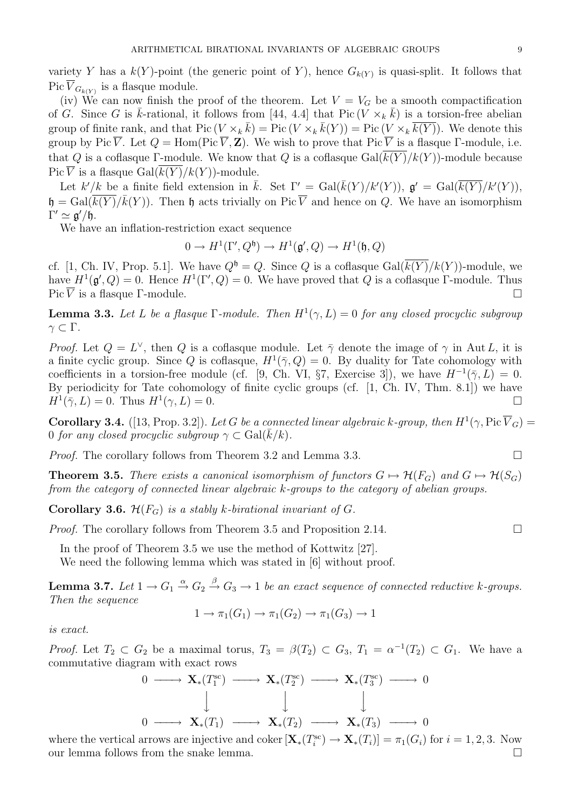variety Y has a  $k(Y)$ -point (the generic point of Y), hence  $G_{k(Y)}$  is quasi-split. It follows that Pic  $V_{G_{k(Y)}}$  is a flasque module.

(iv) We can now finish the proof of the theorem. Let  $V = V_G$  be a smooth compactification of G. Since G is  $\bar{k}$ -rational, it follows from [44, 4.4] that Pic  $(\bar{V} \times_k \bar{k})$  is a torsion-free abelian group of finite rank, and that  $Pic(V \times_k \overline{k}) = Pic(V \times_k \overline{k}(Y)) = Pic(V \times_k \overline{k(Y)})$ . We denote this group by Pic  $\overline{V}$ . Let  $Q = \text{Hom}(\text{Pic }\overline{V}, \mathbf{Z})$ . We wish to prove that Pic  $\overline{V}$  is a flasque Γ-module, i.e. that Q is a coflasque Γ-module. We know that Q is a coflasque  $Gal(\overline{k(Y)}/k(Y))$ -module because Pic  $\overline{V}$  is a flasque Gal $(\overline{k(Y)}/k(Y))$ -module.

Let  $k'/k$  be a finite field extension in  $\bar{k}$ . Set  $\Gamma' = \text{Gal}(\bar{k}(Y)/k'(Y)), \mathfrak{g}' = \text{Gal}(\bar{k}(Y)/k'(Y)),$  $\mathfrak{h} = \text{Gal}(\overline{k(Y)}/\overline{k(Y)})$ . Then  $\mathfrak{h}$  acts trivially on Pic  $\overline{V}$  and hence on Q. We have an isomorphism  $\Gamma' \simeq \mathfrak{g}'/\mathfrak{h}.$ 

We have an inflation-restriction exact sequence

 $0 \to H^1(\Gamma', Q^{\mathfrak{h}}) \to H^1(\mathfrak{g}', Q) \to H^1(\mathfrak{h}, Q)$ 

cf. [1, Ch. IV, Prop. 5.1]. We have  $Q^{\mathfrak{h}} = Q$ . Since Q is a coflasque Gal( $\overline{k(Y)}/k(Y)$ )-module, we have  $H^1(\mathfrak{g}',Q) = 0$ . Hence  $H^1(\Gamma',Q) = 0$ . We have proved that Q is a coflasque  $\Gamma$ -module. Thus Pic  $\overline{V}$  is a flasque Γ-module.

**Lemma 3.3.** Let L be a flasque  $\Gamma$ -module. Then  $H^1(\gamma, L) = 0$  for any closed procyclic subgroup  $\gamma \subset \Gamma$ .

*Proof.* Let  $Q = L^{\vee}$ , then Q is a coflasque module. Let  $\bar{\gamma}$  denote the image of  $\gamma$  in Aut L, it is a finite cyclic group. Since Q is coflasque,  $H^1(\bar{\gamma}, Q) = 0$ . By duality for Tate cohomology with coefficients in a torsion-free module (cf. [9, Ch. VI, §7, Exercise 3]), we have  $H^{-1}(\bar{\gamma}, L) = 0$ . By periodicity for Tate cohomology of finite cyclic groups (cf. [1, Ch. IV, Thm. 8.1]) we have  $H^1(\bar{\gamma}, L) = 0$ . Thus  $H^1(\gamma, L) = 0$ .

**Corollary 3.4.** ([13, Prop. 3.2]). Let G be a connected linear algebraic k-group, then  $H^1(\gamma, \text{Pic }\overline{V}_G)$  = 0 for any closed procyclic subgroup  $\gamma \subset \text{Gal}(\overline{k}/k)$ .

*Proof.* The corollary follows from Theorem 3.2 and Lemma 3.3.

**Theorem 3.5.** There exists a canonical isomorphism of functors  $G \mapsto \mathcal{H}(F_G)$  and  $G \mapsto \mathcal{H}(S_G)$ from the category of connected linear algebraic k-groups to the category of abelian groups.

**Corollary 3.6.**  $\mathcal{H}(F_G)$  is a stably k-birational invariant of G.

*Proof.* The corollary follows from Theorem 3.5 and Proposition 2.14.

In the proof of Theorem 3.5 we use the method of Kottwitz [27].

We need the following lemma which was stated in [6] without proof.

**Lemma 3.7.** Let  $1 \to G_1 \xrightarrow{\alpha} G_2 \xrightarrow{\beta} G_3 \to 1$  be an exact sequence of connected reductive k-groups. Then the sequence

$$
1 \to \pi_1(G_1) \to \pi_1(G_2) \to \pi_1(G_3) \to 1
$$

is exact.

*Proof.* Let  $T_2 \subset G_2$  be a maximal torus,  $T_3 = \beta(T_2) \subset G_3$ ,  $T_1 = \alpha^{-1}(T_2) \subset G_1$ . We have a commutative diagram with exact rows

$$
\begin{array}{ccccccc}\n0 & \longrightarrow & \mathbf{X}_{*}(T_{1}^{\text{sc}}) & \longrightarrow & \mathbf{X}_{*}(T_{2}^{\text{sc}}) & \longrightarrow & \mathbf{X}_{*}(T_{3}^{\text{sc}}) & \longrightarrow & 0 \\
 & & & & & & & \\
0 & \longrightarrow & \mathbf{X}_{*}(T_{1}) & \longrightarrow & \mathbf{X}_{*}(T_{2}) & \longrightarrow & \mathbf{X}_{*}(T_{3}) & \longrightarrow & 0\n\end{array}
$$

where the vertical arrows are injective and coker  $[\mathbf{X}_*(T_i^{\text{sc}}) \to \mathbf{X}_*(T_i)] = \pi_1(G_i)$  for  $i = 1, 2, 3$ . Now our lemma follows from the snake lemma.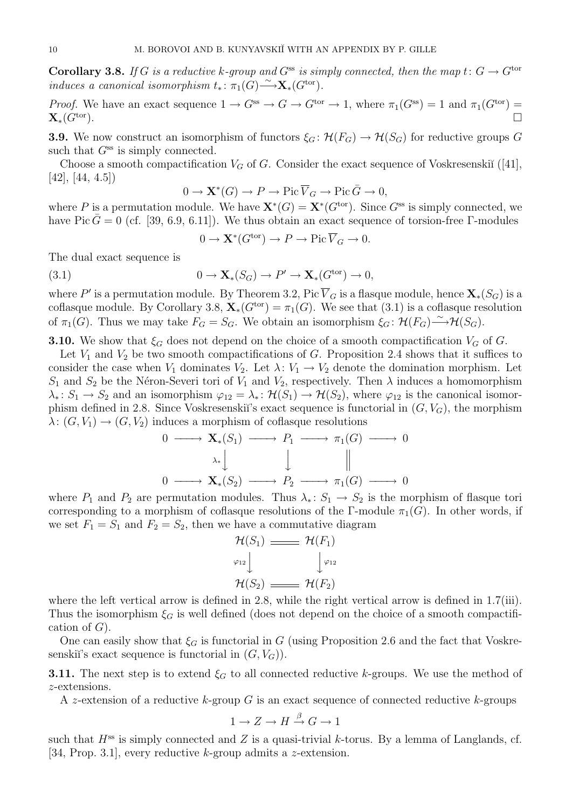**Corollary 3.8.** If G is a reductive k-group and  $G^{ss}$  is simply connected, then the map  $t: G \to G^{tor}$ induces a canonical isomorphism  $t_* : \pi_1(G) \longrightarrow \mathbf{X}_*(G^{\text{tor}})$ .

Proof. We have an exact sequence  $1 \to G^{ss} \to G \to G^{tor} \to 1$ , where  $\pi_1(G^{ss}) = 1$  and  $\pi_1(G^{tor}) =$  $\mathbf{X}_*(G^{\text{tor}}).$ 

**3.9.** We now construct an isomorphism of functors  $\xi_G : \mathcal{H}(F_G) \to \mathcal{H}(S_G)$  for reductive groups G such that  $G^{ss}$  is simply connected.

Choose a smooth compactification  $V_G$  of G. Consider the exact sequence of Voskresenskiı̆ ([41], [42], [44, 4.5])

$$
0 \to \mathbf{X}^*(G) \to P \to \text{Pic}\,\overline{V}_G \to \text{Pic}\,\overline{G} \to 0,
$$

where P is a permutation module. We have  $\mathbf{X}^*(G) = \mathbf{X}^*(G^{\text{tor}})$ . Since  $G^{\text{ss}}$  is simply connected, we have Pic  $\bar{G} = 0$  (cf. [39, 6.9, 6.11]). We thus obtain an exact sequence of torsion-free Γ-modules

$$
0 \to \mathbf{X}^*(G^{\text{tor}}) \to P \to \text{Pic } \overline{V}_G \to 0.
$$

The dual exact sequence is

(3.1) 
$$
0 \to \mathbf{X}_*(S_G) \to P' \to \mathbf{X}_*(G^{\text{tor}}) \to 0,
$$

where  $P'$  is a permutation module. By Theorem 3.2, Pic  $\overline{V}_G$  is a flasque module, hence  $\mathbf{X}_*(S_G)$  is a coflasque module. By Corollary 3.8,  $\mathbf{X}_*(G^{\text{tor}}) = \pi_1(G)$ . We see that (3.1) is a coflasque resolution of  $\pi_1(G)$ . Thus we may take  $F_G = S_G$ . We obtain an isomorphism  $\xi_G : \mathcal{H}(F_G) \longrightarrow \mathcal{H}(S_G)$ .

**3.10.** We show that  $\xi_G$  does not depend on the choice of a smooth compactification  $V_G$  of G.

Let  $V_1$  and  $V_2$  be two smooth compactifications of G. Proposition 2.4 shows that it suffices to consider the case when  $V_1$  dominates  $V_2$ . Let  $\lambda: V_1 \to V_2$  denote the domination morphism. Let  $S_1$  and  $S_2$  be the Néron-Severi tori of  $V_1$  and  $V_2$ , respectively. Then  $\lambda$  induces a homomorphism  $\lambda_* \colon S_1 \to S_2$  and an isomorphism  $\varphi_{12} = \lambda_* \colon \mathcal{H}(S_1) \to \mathcal{H}(S_2)$ , where  $\varphi_{12}$  is the canonical isomorphism defined in 2.8. Since Voskresenskiı̆'s exact sequence is functorial in  $(G, V_G)$ , the morphism  $\lambda: (G, V_1) \to (G, V_2)$  induces a morphism of coflasque resolutions

$$
0 \longrightarrow \mathbf{X}_{*}(S_{1}) \longrightarrow P_{1} \longrightarrow \pi_{1}(G) \longrightarrow 0
$$

$$
\lambda_{*} \downarrow \qquad \qquad \downarrow \qquad \qquad \parallel
$$

$$
0 \longrightarrow \mathbf{X}_{*}(S_{2}) \longrightarrow P_{2} \longrightarrow \pi_{1}(G) \longrightarrow 0
$$

where  $P_1$  and  $P_2$  are permutation modules. Thus  $\lambda_* : S_1 \to S_2$  is the morphism of flasque tori corresponding to a morphism of coflasque resolutions of the Γ-module  $\pi_1(G)$ . In other words, if we set  $F_1 = S_1$  and  $F_2 = S_2$ , then we have a commutative diagram

$$
\mathcal{H}(S_1) \longrightarrow \mathcal{H}(F_1)
$$
\n
$$
\varphi_{12} \downarrow \qquad \qquad \downarrow \varphi_{12}
$$
\n
$$
\mathcal{H}(S_2) \longrightarrow \mathcal{H}(F_2)
$$

where the left vertical arrow is defined in 2.8, while the right vertical arrow is defined in 1.7(iii). Thus the isomorphism  $\xi_G$  is well defined (does not depend on the choice of a smooth compactification of  $G$ ).

One can easily show that  $\xi_G$  is functorial in G (using Proposition 2.6 and the fact that Voskresenskiï's exact sequence is functorial in  $(G, V_G)$ ).

**3.11.** The next step is to extend  $\xi_G$  to all connected reductive k-groups. We use the method of z-extensions.

A z-extension of a reductive k-group G is an exact sequence of connected reductive k-groups

$$
1 \to Z \to H \xrightarrow{\beta} G \to 1
$$

such that  $H^{ss}$  is simply connected and Z is a quasi-trivial k-torus. By a lemma of Langlands, cf. [34, Prop. 3.1], every reductive k-group admits a z-extension.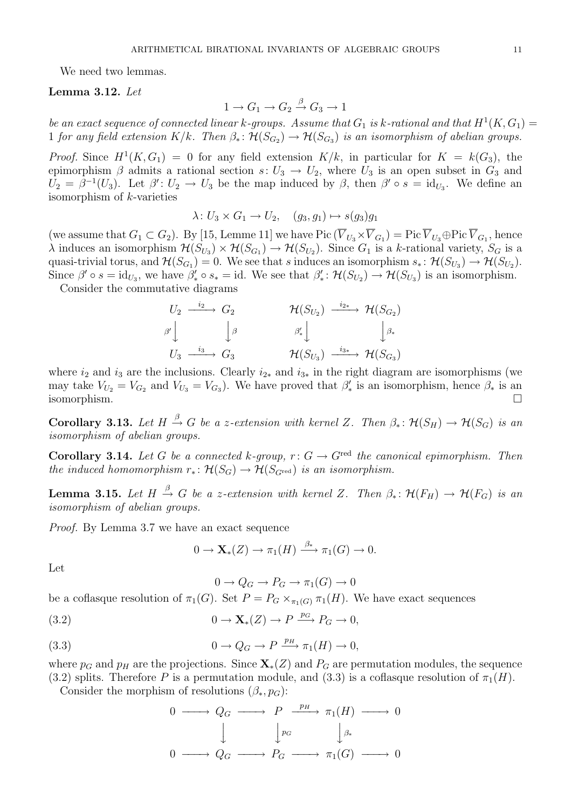We need two lemmas.

### Lemma 3.12. Let

$$
1 \to G_1 \to G_2 \xrightarrow{\beta} G_3 \to 1
$$

be an exact sequence of connected linear k-groups. Assume that  $G_1$  is k-rational and that  $H^1(K, G_1)$ 1 for any field extension  $K/k$ . Then  $\beta_* \colon \mathcal{H}(S_{G_2}) \to \mathcal{H}(S_{G_3})$  is an isomorphism of abelian groups.

*Proof.* Since  $H^1(K, G_1) = 0$  for any field extension  $K/k$ , in particular for  $K = k(G_3)$ , the epimorphism  $\beta$  admits a rational section  $s: U_3 \to U_2$ , where  $U_3$  is an open subset in  $G_3$  and  $U_2 = \beta^{-1}(U_3)$ . Let  $\beta' : U_2 \to U_3$  be the map induced by  $\beta$ , then  $\beta' \circ s = id_{U_3}$ . We define an isomorphism of k-varieties

$$
\lambda: U_3 \times G_1 \to U_2, \quad (g_3, g_1) \mapsto s(g_3)g_1
$$

(we assume that  $G_1 \subset G_2$ ). By [15, Lemme 11] we have Pic  $(V_{U_3} \times V_{G_1}) = \text{Pic } V_{U_3} \oplus \text{Pic } V_{G_1}$ , hence  $\lambda$  induces an isomorphism  $\mathcal{H}(S_{U_3}) \times \mathcal{H}(S_{G_1}) \to \mathcal{H}(S_{U_2})$ . Since  $G_1$  is a k-rational variety,  $S_G$  is a quasi-trivial torus, and  $\mathcal{H}(S_{G_1}) = 0$ . We see that s induces an isomorphism  $s_* \colon \mathcal{H}(S_{U_3}) \to \mathcal{H}(S_{U_2})$ . Since  $\beta' \circ s = \mathrm{id}_{U_3}$ , we have  $\beta'_* \circ s_* = \mathrm{id}$ . We see that  $\beta'_* : \mathcal{H}(S_{U_2}) \to \mathcal{H}(S_{U_3})$  is an isomorphism.

Consider the commutative diagrams

| $U_2 \longrightarrow G_2$ | $\mathcal{H}(S_{U_2}) \longrightarrow^{\hspace*{-0.5cm}i_{2*}} \mathcal{H}(S_{G_2})$ |  |
|---------------------------|--------------------------------------------------------------------------------------|--|
| $\beta'$ $\beta$          | $\beta'_*$ $\beta_*$                                                                 |  |
| $U_3 \longrightarrow G_3$ | $\mathcal{H}(S_{U_3}) \xrightarrow{i_{3*}} \mathcal{H}(S_{G_3})$                     |  |

where  $i_2$  and  $i_3$  are the inclusions. Clearly  $i_{2*}$  and  $i_{3*}$  in the right diagram are isomorphisms (we may take  $V_{U_2} = V_{G_2}$  and  $V_{U_3} = V_{G_3}$ ). We have proved that  $\beta'_*$  is an isomorphism, hence  $\beta_*$  is an isomorphism.

**Corollary 3.13.** Let  $H \stackrel{\beta}{\rightarrow} G$  be a z-extension with kernel Z. Then  $\beta_* \colon \mathcal{H}(S_H) \to \mathcal{H}(S_G)$  is an isomorphism of abelian groups.

Corollary 3.14. Let G be a connected k-group,  $r: G \to G^{\text{red}}$  the canonical epimorphism. Then the induced homomorphism  $r_* : \mathcal{H}(S_G) \to \mathcal{H}(S_{G^{\text{red}}})$  is an isomorphism.

**Lemma 3.15.** Let  $H \stackrel{\beta}{\to} G$  be a z-extension with kernel Z. Then  $\beta_* \colon \mathcal{H}(F_H) \to \mathcal{H}(F_G)$  is an isomorphism of abelian groups.

Proof. By Lemma 3.7 we have an exact sequence

$$
0 \to \mathbf{X}_{*}(Z) \to \pi_1(H) \xrightarrow{\beta_*} \pi_1(G) \to 0.
$$

Let

 $0 \to Q_G \to P_G \to \pi_1(G) \to 0$ 

be a coflasque resolution of  $\pi_1(G)$ . Set  $P = P_G \times_{\pi_1(G)} \pi_1(H)$ . We have exact sequences

(3.2) 
$$
0 \to \mathbf{X}_{*}(Z) \to P \xrightarrow{p_{G}} P_{G} \to 0,
$$

(3.3) 
$$
0 \to Q_G \to P \xrightarrow{p_H} \pi_1(H) \to 0,
$$

where  $p_G$  and  $p_H$  are the projections. Since  $\mathbf{X}_*(Z)$  and  $P_G$  are permutation modules, the sequence (3.2) splits. Therefore P is a permutation module, and (3.3) is a coflasque resolution of  $\pi_1(H)$ .

Consider the morphism of resolutions  $(\beta_*, p_G)$ :

$$
0 \longrightarrow Q_G \longrightarrow P \xrightarrow{p_H} \pi_1(H) \longrightarrow 0
$$
  

$$
\downarrow \qquad \qquad \downarrow p_G \qquad \qquad \downarrow \beta_*
$$
  

$$
0 \longrightarrow Q_G \longrightarrow P_G \longrightarrow \pi_1(G) \longrightarrow 0
$$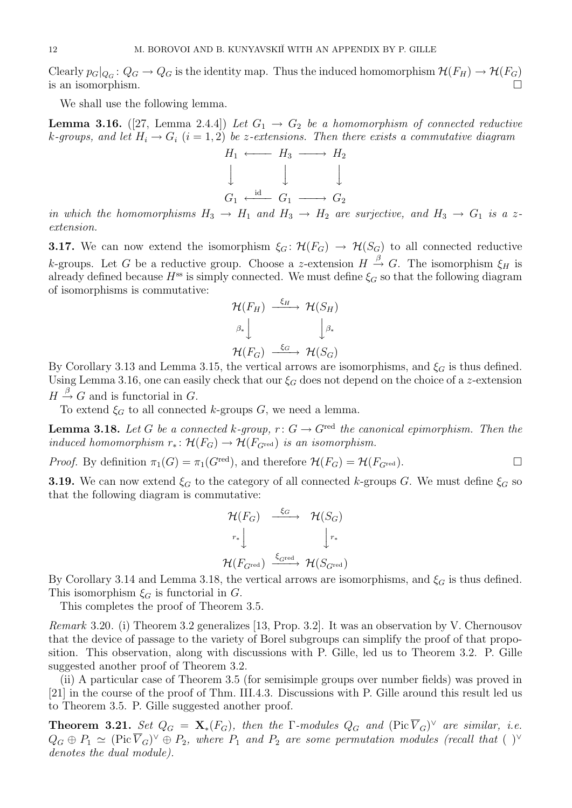Clearly  $p_G|_{Q_G}: Q_G \to Q_G$  is the identity map. Thus the induced homomorphism  $\mathcal{H}(F_H) \to \mathcal{H}(F_G)$ is an isomorphism.  $\Box$ 

We shall use the following lemma.

**Lemma 3.16.** ([27, Lemma 2.4.4]) Let  $G_1 \rightarrow G_2$  be a homomorphism of connected reductive k-groups, and let  $H_i \to G_i$   $(i = 1, 2)$  be z-extensions. Then there exists a commutative diagram



in which the homomorphisms  $H_3 \to H_1$  and  $H_3 \to H_2$  are surjective, and  $H_3 \to G_1$  is a zextension.

**3.17.** We can now extend the isomorphism  $\xi_G: \mathcal{H}(F_G) \to \mathcal{H}(S_G)$  to all connected reductive k-groups. Let G be a reductive group. Choose a z-extension  $H \stackrel{\beta}{\rightarrow} G$ . The isomorphism  $\xi_H$  is already defined because  $H^{ss}$  is simply connected. We must define  $\xi_G$  so that the following diagram of isomorphisms is commutative:

$$
\mathcal{H}(F_H) \xrightarrow{\xi_H} \mathcal{H}(S_H)
$$
\n
$$
\beta_* \downarrow \qquad \qquad \downarrow \beta_*
$$
\n
$$
\mathcal{H}(F_G) \xrightarrow{\xi_G} \mathcal{H}(S_G)
$$

By Corollary 3.13 and Lemma 3.15, the vertical arrows are isomorphisms, and  $\xi_G$  is thus defined. Using Lemma 3.16, one can easily check that our  $\xi_G$  does not depend on the choice of a z-extension  $H \stackrel{\beta}{\rightarrow} G$  and is functorial in G.

To extend  $\xi_G$  to all connected k-groups G, we need a lemma.

**Lemma 3.18.** Let G be a connected k-group,  $r: G \to G^{\text{red}}$  the canonical epimorphism. Then the induced homomorphism  $r_* \colon \mathcal{H}(F_G) \to \mathcal{H}(F_{G^{\text{red}}})$  is an isomorphism.

*Proof.* By definition  $\pi_1(G) = \pi_1(G^{\text{red}})$ , and therefore  $\mathcal{H}(F_G) = \mathcal{H}(F_{G^{\text{red}}})$ .

**3.19.** We can now extend  $\xi_G$  to the category of all connected k-groups G. We must define  $\xi_G$  so that the following diagram is commutative:

$$
\mathcal{H}(F_G) \xrightarrow{f_G} \mathcal{H}(S_G)
$$
\n
$$
r_* \downarrow \qquad \qquad \downarrow r_*
$$
\n
$$
\mathcal{H}(F_{G^{\text{red}}}) \xrightarrow{f_{G^{\text{red}}}} \mathcal{H}(S_{G^{\text{red}}})
$$

By Corollary 3.14 and Lemma 3.18, the vertical arrows are isomorphisms, and  $\xi_G$  is thus defined. This isomorphism  $\xi_G$  is functorial in G.

This completes the proof of Theorem 3.5.

Remark 3.20. (i) Theorem 3.2 generalizes [13, Prop. 3.2]. It was an observation by V. Chernousov that the device of passage to the variety of Borel subgroups can simplify the proof of that proposition. This observation, along with discussions with P. Gille, led us to Theorem 3.2. P. Gille suggested another proof of Theorem 3.2.

(ii) A particular case of Theorem 3.5 (for semisimple groups over number fields) was proved in [21] in the course of the proof of Thm. III.4.3. Discussions with P. Gille around this result led us to Theorem 3.5. P. Gille suggested another proof.

**Theorem 3.21.** Set  $Q_G = \mathbf{X}_*(F_G)$ , then the  $\Gamma$ -modules  $Q_G$  and  $(\text{Pic }\overline{V}_G)^\vee$  are similar, i.e.  $Q_G \oplus P_1 \simeq (\text{Pic } \overline{V}_G)^{\vee} \oplus P_2$ , where  $P_1$  and  $P_2$  are some permutation modules (recall that  $( )^{\vee}$ denotes the dual module).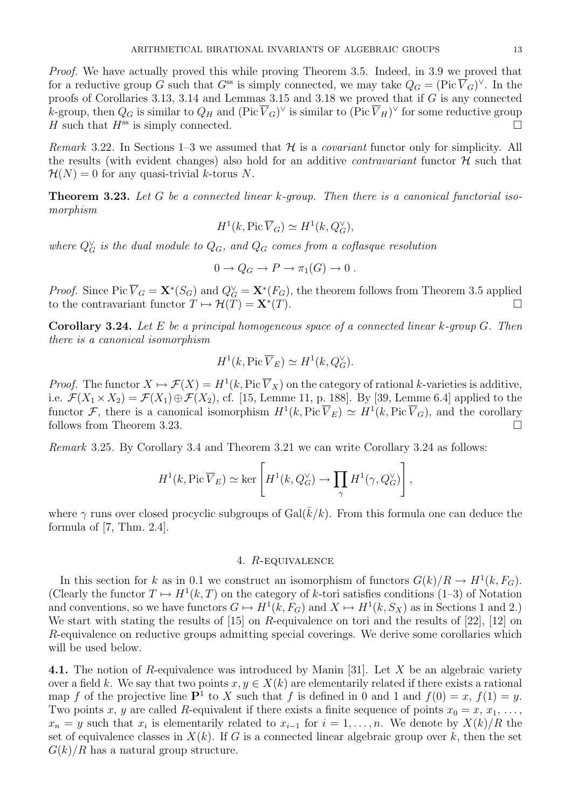Proof. We have actually proved this while proving Theorem 3.5. Indeed, in 3.9 we proved that for a reductive group G such that  $G^{ss}$  is simply connected, we may take  $Q_G = (\text{Pic }\overline{V}_G)^{\vee}$ . In the proofs of Corollaries 3.13, 3.14 and Lemmas 3.15 and 3.18 we proved that if G is any connected k-group, then  $Q_G$  is similar to  $Q_H$  and  $({\rm Pic\,}\overline{V}_G)^\vee$  is similar to  $({\rm Pic\,}\overline{V}_H)^\vee$  for some reductive group H such that  $H^{ss}$  is simply connected.

*Remark* 3.22. In Sections 1–3 we assumed that  $H$  is a *covariant* functor only for simplicity. All the results (with evident changes) also hold for an additive *contravariant* functor  $\mathcal{H}$  such that  $\mathcal{H}(N) = 0$  for any quasi-trivial k-torus N.

**Theorem 3.23.** Let G be a connected linear  $k$ -group. Then there is a canonical functorial isomorphism

$$
H^1(k, \text{Pic }\overline{V}_G) \simeq H^1(k, Q_G^{\vee}),
$$

where  $Q_G^{\vee}$  is the dual module to  $Q_G$ , and  $Q_G$  comes from a coflasque resolution

$$
0 \to Q_G \to P \to \pi_1(G) \to 0.
$$

*Proof.* Since Pic  $\overline{V}_G = \mathbf{X}^*(S_G)$  and  $Q_G^{\vee} = \mathbf{X}^*(F_G)$ , the theorem follows from Theorem 3.5 applied to the contravariant functor  $T \mapsto \mathcal{H}(T) = \mathbf{X}^*(T)$ .  $(T)$ .

**Corollary 3.24.** Let E be a principal homogeneous space of a connected linear  $k$ -group  $G$ . Then there is a canonical isomorphism

$$
H^1(k, \text{Pic }\overline{V}_E) \simeq H^1(k, Q_G^{\vee}).
$$

*Proof.* The functor  $X \mapsto \mathcal{F}(X) = H^1(k, \text{Pic }\overline{V}_X)$  on the category of rational k-varieties is additive, i.e.  $\mathcal{F}(X_1 \times X_2) = \mathcal{F}(X_1) \oplus \mathcal{F}(X_2)$ , cf. [15, Lemme 11, p. 188]. By [39, Lemme 6.4] applied to the functor F, there is a canonical isomorphism  $H^1(k, Pic \overline{V}_E) \simeq H^1(k, Pic \overline{V}_G)$ , and the corollary follows from Theorem 3.23.

Remark 3.25. By Corollary 3.4 and Theorem 3.21 we can write Corollary 3.24 as follows:

$$
H^1(k, \mathrm{Pic}\,\overline{V}_E) \simeq \ker \left[H^1(k, Q_G^{\vee}) \to \prod_{\gamma} H^1(\gamma, Q_G^{\vee})\right],
$$

where  $\gamma$  runs over closed procyclic subgroups of Gal( $\bar{k}/k$ ). From this formula one can deduce the formula of [7, Thm. 2.4].

### 4. R-equivalence

In this section for k as in 0.1 we construct an isomorphism of functors  $G(k)/R \to H^1(k, F_G)$ . (Clearly the functor  $T \mapsto H^1(k,T)$  on the category of k-tori satisfies conditions (1–3) of Notation and conventions, so we have functors  $G \mapsto H^1(k, F_G)$  and  $X \mapsto H^1(k, S_X)$  as in Sections 1 and 2.) We start with stating the results of  $[15]$  on R-equivalence on tori and the results of  $[22]$ ,  $[12]$  on R-equivalence on reductive groups admitting special coverings. We derive some corollaries which will be used below.

4.1. The notion of R-equivalence was introduced by Manin [31]. Let X be an algebraic variety over a field k. We say that two points  $x, y \in X(k)$  are elementarily related if there exists a rational map f of the projective line  $\mathbf{P}^1$  to X such that f is defined in 0 and 1 and  $f(0) = x$ ,  $f(1) = y$ . Two points x, y are called R-equivalent if there exists a finite sequence of points  $x_0 = x, x_1, \ldots$  $x_n = y$  such that  $x_i$  is elementarily related to  $x_{i-1}$  for  $i = 1, \ldots, n$ . We denote by  $X(k)/R$  the set of equivalence classes in  $X(k)$ . If G is a connected linear algebraic group over k, then the set  $G(k)/R$  has a natural group structure.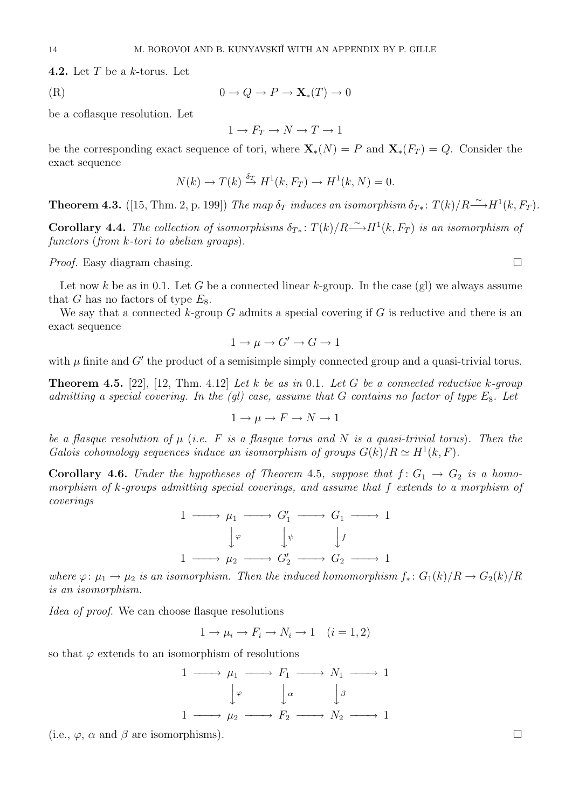**4.2.** Let  $T$  be a  $k$ -torus. Let

$$
(R) \t\t 0 \to Q \to P \to \mathbf{X}_*(T) \to 0
$$

be a coflasque resolution. Let

$$
1 \to F_T \to N \to T \to 1
$$

be the corresponding exact sequence of tori, where  $\mathbf{X}_*(N) = P$  and  $\mathbf{X}_*(F_T) = Q$ . Consider the exact sequence

$$
N(k) \to T(k) \stackrel{\delta_T}{\to} H^1(k, F_T) \to H^1(k, N) = 0.
$$

**Theorem 4.3.** ([15, Thm. 2, p. 199]) The map  $\delta_T$  induces an isomorphism  $\delta_{T*}: T(k)/R \stackrel{\sim}{\longrightarrow} H^1(k, F_T)$ .

**Corollary 4.4.** The collection of isomorphisms  $\delta_{T*}: T(k)/R \longrightarrow H^1(k, F_T)$  is an isomorphism of functors (from k-tori to abelian groups).

*Proof.* Easy diagram chasing.  $\square$ 

Let now k be as in 0.1. Let G be a connected linear k-group. In the case (gl) we always assume that G has no factors of type  $E_8$ .

We say that a connected  $k$ -group  $G$  admits a special covering if  $G$  is reductive and there is an exact sequence

$$
1 \to \mu \to G' \to G \to 1
$$

with  $\mu$  finite and  $G'$  the product of a semisimple simply connected group and a quasi-trivial torus.

**Theorem 4.5.** [22], [12, Thm. 4.12] Let k be as in 0.1. Let G be a connected reductive k-group admitting a special covering. In the (gl) case, assume that G contains no factor of type  $E_8$ . Let

$$
1 \to \mu \to F \to N \to 1
$$

be a flasque resolution of  $\mu$  (i.e. F is a flasque torus and N is a quasi-trivial torus). Then the Galois cohomology sequences induce an isomorphism of groups  $G(k)/R \simeq H^1(k, F)$ .

**Corollary 4.6.** Under the hypotheses of Theorem 4.5, suppose that  $f: G_1 \rightarrow G_2$  is a homomorphism of k-groups admitting special coverings, and assume that f extends to a morphism of coverings

$$
\begin{array}{ccc}\n1 & \longrightarrow & \mu_1 \longrightarrow & G_1' \longrightarrow & G_1 \longrightarrow & 1 \\
\downarrow^{\varphi} & & \downarrow^{\psi} & & \downarrow^f \\
1 & \longrightarrow & \mu_2 \longrightarrow & G_2' \longrightarrow & G_2 \longrightarrow & 1\n\end{array}
$$

where  $\varphi: \mu_1 \to \mu_2$  is an isomorphism. Then the induced homomorphism  $f_*: G_1(k)/R \to G_2(k)/R$ is an isomorphism.

Idea of proof. We can choose flasque resolutions

 $1 \rightarrow \mu_i \rightarrow F_i \rightarrow N_i \rightarrow 1 \quad (i = 1, 2)$ 

so that  $\varphi$  extends to an isomorphism of resolutions

$$
\begin{array}{ccc}\n1 & \longrightarrow & \mu_1 & \longrightarrow & F_1 & \longrightarrow & N_1 & \longrightarrow & 1 \\
\downarrow \varphi & & \downarrow \alpha & & \downarrow \beta \\
1 & \longrightarrow & \mu_2 & \longrightarrow & F_2 & \longrightarrow & N_2 & \longrightarrow & 1\n\end{array}
$$

(i.e.,  $\varphi$ ,  $\alpha$  and  $\beta$  are isomorphisms).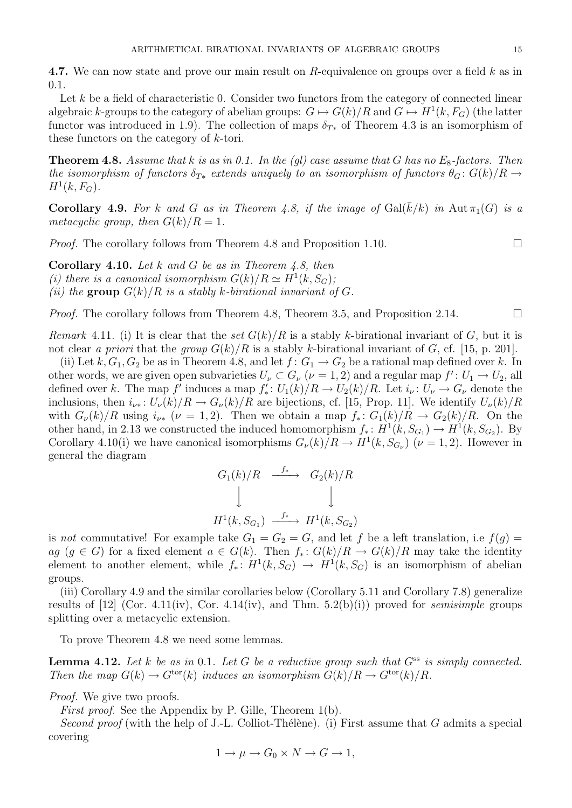4.7. We can now state and prove our main result on R-equivalence on groups over a field k as in 0.1.

Let  $k$  be a field of characteristic 0. Consider two functors from the category of connected linear algebraic k-groups to the category of abelian groups:  $G \mapsto G(k)/R$  and  $G \mapsto H^1(k, F_G)$  (the latter functor was introduced in 1.9). The collection of maps  $\delta_{T*}$  of Theorem 4.3 is an isomorphism of these functors on the category of k-tori.

**Theorem 4.8.** Assume that k is as in 0.1. In the (gl) case assume that G has no  $E_8$ -factors. Then the isomorphism of functors  $\delta_{T*}$  extends uniquely to an isomorphism of functors  $\theta_G: G(k)/R \rightarrow$  $H^1(k, F_G)$ .

**Corollary 4.9.** For k and G as in Theorem 4.8, if the image of  $Gal(\overline{k}/k)$  in  $Aut\pi_1(G)$  is a metacyclic group, then  $G(k)/R = 1$ .

*Proof.* The corollary follows from Theorem 4.8 and Proposition 1.10.  $\Box$ 

**Corollary 4.10.** Let k and G be as in Theorem 4.8, then (i) there is a canonical isomorphism  $G(k)/R \simeq H^1(k, S_G)$ ; (ii) the group  $G(k)/R$  is a stably k-birational invariant of G.

*Proof.* The corollary follows from Theorem 4.8, Theorem 3.5, and Proposition 2.14.

Remark 4.11. (i) It is clear that the set  $G(k)/R$  is a stably k-birational invariant of G, but it is not clear a priori that the group  $G(k)/R$  is a stably k-birational invariant of G, cf. [15, p. 201].

(ii) Let k,  $G_1, G_2$  be as in Theorem 4.8, and let  $f: G_1 \to G_2$  be a rational map defined over k. In other words, we are given open subvarieties  $U_{\nu} \subset G_{\nu}$   $(\nu = 1, 2)$  and a regular map  $f' : U_1 \to U_2$ , all defined over k. The map f' induces a map  $f'_*$ :  $U_1(k)/R \to U_2(k)/R$ . Let  $i_{\nu}$ :  $U_{\nu} \to G_{\nu}$  denote the inclusions, then  $i_{\nu^*}: U_{\nu}(k)/R \to G_{\nu}(k)/R$  are bijections, cf. [15, Prop. 11]. We identify  $U_{\nu}(k)/R$ with  $G_{\nu}(k)/R$  using  $i_{\nu*}$  ( $\nu = 1, 2$ ). Then we obtain a map  $f_*: G_1(k)/R \to G_2(k)/R$ . On the other hand, in 2.13 we constructed the induced homomorphism  $f_*: H^1(k, S_{G_1}) \to H^1(k, S_{G_2})$ . By Corollary 4.10(i) we have canonical isomorphisms  $G_{\nu}(k)/R \to H^1(k, S_{G_{\nu}})$  ( $\nu = 1, 2$ ). However in general the diagram

$$
G_1(k)/R \xrightarrow{f_*} G_2(k)/R
$$
  
\n
$$
\downarrow \qquad \qquad \downarrow
$$
  
\n
$$
H^1(k, S_{G_1}) \xrightarrow{f_*} H^1(k, S_{G_2})
$$

is not commutative! For example take  $G_1 = G_2 = G$ , and let f be a left translation, i.e  $f(g)$ ag  $(g \in G)$  for a fixed element  $a \in G(k)$ . Then  $f_*: G(k)/R \to G(k)/R$  may take the identity element to another element, while  $f_*: H^1(k, S_G) \to H^1(k, S_G)$  is an isomorphism of abelian groups.

(iii) Corollary 4.9 and the similar corollaries below (Corollary 5.11 and Corollary 7.8) generalize results of [12] (Cor. 4.11(iv), Cor. 4.14(iv), and Thm.  $5.2(b)(i)$ ) proved for *semisimple* groups splitting over a metacyclic extension.

To prove Theorem 4.8 we need some lemmas.

**Lemma 4.12.** Let k be as in 0.1. Let G be a reductive group such that  $G^{ss}$  is simply connected. Then the map  $G(k) \to G^{\text{tor}}(k)$  induces an isomorphism  $G(k)/R \to G^{\text{tor}}(k)/R$ .

Proof. We give two proofs.

First proof. See the Appendix by P. Gille, Theorem 1(b).

Second proof (with the help of J.-L. Colliot-Thélène). (i) First assume that G admits a special covering

$$
1 \to \mu \to G_0 \times N \to G \to 1,
$$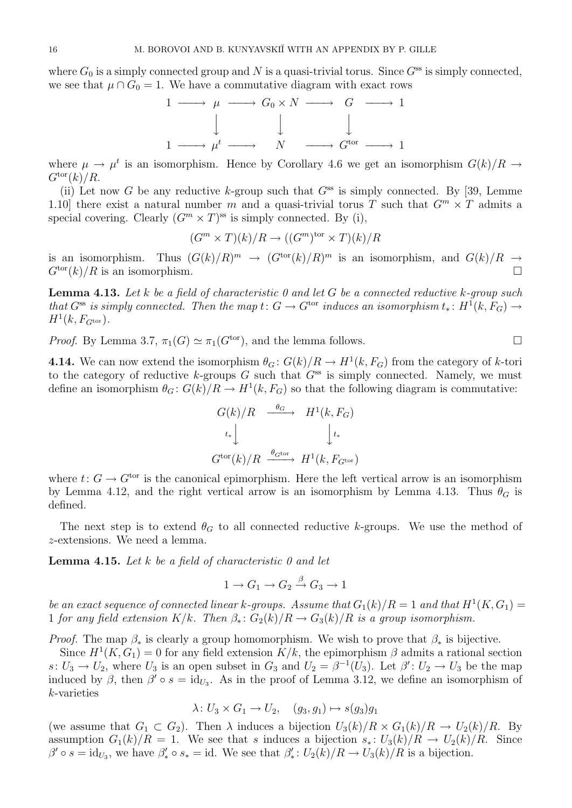where  $G_0$  is a simply connected group and N is a quasi-trivial torus. Since  $G^{ss}$  is simply connected, we see that  $\mu \cap G_0 = 1$ . We have a commutative diagram with exact rows



where  $\mu \to \mu^t$  is an isomorphism. Hence by Corollary 4.6 we get an isomorphism  $G(k)/R \to$  $G^{\text{tor}}(k)/R$ .

(ii) Let now G be any reductive k-group such that  $G^{ss}$  is simply connected. By [39, Lemme 1.10] there exist a natural number m and a quasi-trivial torus T such that  $G^m \times T$  admits a special covering. Clearly  $(G<sup>m</sup> \times T)<sup>ss</sup>$  is simply connected. By (i),

$$
(G^m \times T)(k)/R \to ((G^m)^{\text{tor}} \times T)(k)/R
$$

is an isomorphism. Thus  $(G(k)/R)^m \to (G^{tor}(k)/R)^m$  is an isomorphism, and  $G(k)/R \to$  $G^{\text{tor}}(k)/R$  is an isomorphism.

**Lemma 4.13.** Let k be a field of characteristic 0 and let G be a connected reductive k-group such that  $G^{ss}$  is simply connected. Then the map  $t: G \to G^{tor}$  induces an isomorphism  $t_*: H^1(k, F_G) \to$  $H^1(k, F_{G^{\text{tor}}}).$ 

*Proof.* By Lemma 3.7,  $\pi_1(G) \simeq \pi_1(G^{tor})$ , and the lemma follows.

**4.14.** We can now extend the isomorphism  $\theta_G: G(k)/R \to H^1(k, F_G)$  from the category of k-tori to the category of reductive  $k$ -groups  $G$  such that  $G^{ss}$  is simply connected. Namely, we must define an isomorphism  $\theta_G: G(k)/R \to H^1(k, F_G)$  so that the following diagram is commutative:

$$
G(k)/R \xrightarrow{\theta_G} H^1(k, F_G)
$$
  
\n
$$
t_* \downarrow \qquad \qquad \downarrow t_*
$$
  
\n
$$
G^{\text{tor}}(k)/R \xrightarrow{\theta_{G^{\text{tor}}}} H^1(k, F_{G^{\text{tor}}})
$$

where  $t: G \to G^{\text{tor}}$  is the canonical epimorphism. Here the left vertical arrow is an isomorphism by Lemma 4.12, and the right vertical arrow is an isomorphism by Lemma 4.13. Thus  $\theta_G$  is defined.

The next step is to extend  $\theta_G$  to all connected reductive k-groups. We use the method of z-extensions. We need a lemma.

**Lemma 4.15.** Let k be a field of characteristic  $\theta$  and let

$$
1 \to G_1 \to G_2 \xrightarrow{\beta} G_3 \to 1
$$

be an exact sequence of connected linear k-groups. Assume that  $G_1(k)/R = 1$  and that  $H^1(K, G_1) =$ 1 for any field extension  $K/k$ . Then  $\beta_*: G_2(k)/R \to G_3(k)/R$  is a group isomorphism.

*Proof.* The map  $\beta_*$  is clearly a group homomorphism. We wish to prove that  $\beta_*$  is bijective.

Since  $H^1(K, G_1) = 0$  for any field extension  $K/k$ , the epimorphism  $\beta$  admits a rational section  $s: U_3 \to U_2$ , where  $U_3$  is an open subset in  $G_3$  and  $U_2 = \beta^{-1}(U_3)$ . Let  $\beta': U_2 \to U_3$  be the map induced by  $\beta$ , then  $\beta' \circ s = id_{U_3}$ . As in the proof of Lemma 3.12, we define an isomorphism of k-varieties

$$
\lambda: U_3 \times G_1 \to U_2, \quad (g_3, g_1) \mapsto s(g_3)g_1
$$

(we assume that  $G_1 \subset G_2$ ). Then  $\lambda$  induces a bijection  $U_3(k)/R \times G_1(k)/R \to U_2(k)/R$ . By assumption  $G_1(k)/R = 1$ . We see that s induces a bijection  $s_* : U_3(k)/R \to U_2(k)/R$ . Since  $\beta' \circ s = \mathrm{id}_{U_3}$ , we have  $\beta'_* \circ s_* = \mathrm{id}$ . We see that  $\beta'_* : U_2(k)/R \to U_3(k)/R$  is a bijection.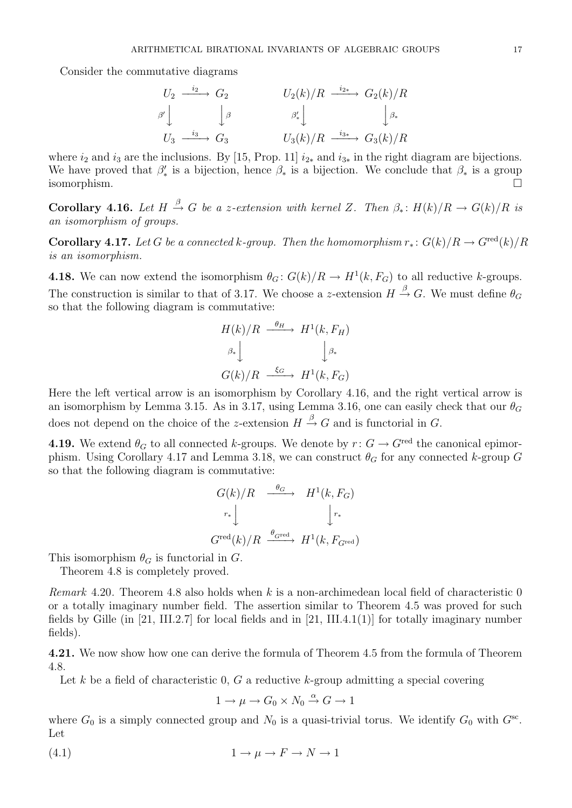Consider the commutative diagrams

$$
U_2 \xrightarrow{i_2} G_2 \qquad U_2(k)/R \xrightarrow{i_2} G_2(k)/R
$$
  
\n
$$
\begin{array}{ccc}\n\beta' & \beta' & \beta' \\
U_3 \xrightarrow{i_3} G_3 & U_3(k)/R \xrightarrow{i_3} G_3(k)/R\n\end{array}
$$

where  $i_2$  and  $i_3$  are the inclusions. By [15, Prop. 11]  $i_{2*}$  and  $i_{3*}$  in the right diagram are bijections. We have proved that  $\beta'_*$  is a bijection, hence  $\beta_*$  is a bijection. We conclude that  $\beta_*$  is a group isomorphism.

**Corollary 4.16.** Let  $H \stackrel{\beta}{\rightarrow} G$  be a z-extension with kernel Z. Then  $\beta_* : H(k)/R \rightarrow G(k)/R$  is an isomorphism of groups.

**Corollary 4.17.** Let G be a connected k-group. Then the homomorphism  $r_* : G(k)/R \to G^{\text{red}}(k)/R$ is an isomorphism.

**4.18.** We can now extend the isomorphism  $\theta_G: G(k)/R \to H^1(k, F_G)$  to all reductive k-groups. The construction is similar to that of 3.17. We choose a z-extension  $H \stackrel{\beta}{\rightarrow} G$ . We must define  $\theta_G$ so that the following diagram is commutative:

$$
H(k)/R \xrightarrow{\theta_H} H^1(k, F_H)
$$

$$
\beta_* \downarrow \qquad \qquad \downarrow \beta_*
$$

$$
G(k)/R \xrightarrow{\xi_G} H^1(k, F_G)
$$

Here the left vertical arrow is an isomorphism by Corollary 4.16, and the right vertical arrow is an isomorphism by Lemma 3.15. As in 3.17, using Lemma 3.16, one can easily check that our  $\theta_G$ does not depend on the choice of the z-extension  $H \stackrel{\beta}{\rightarrow} G$  and is functorial in G.

**4.19.** We extend  $\theta_G$  to all connected k-groups. We denote by  $r: G \to G^{\text{red}}$  the canonical epimorphism. Using Corollary 4.17 and Lemma 3.18, we can construct  $\theta_G$  for any connected k-group G so that the following diagram is commutative:

$$
G(k)/R \xrightarrow{\theta_G} H^1(k, F_G)
$$
  

$$
r_* \downarrow \qquad \qquad \downarrow r_*
$$
  

$$
G^{\text{red}}(k)/R \xrightarrow{\theta_{\text{Gred}}} H^1(k, F_{\text{Gred}})
$$

This isomorphism  $\theta_G$  is functorial in  $G$ .

Theorem 4.8 is completely proved.

Remark 4.20. Theorem 4.8 also holds when k is a non-archimedean local field of characteristic 0 or a totally imaginary number field. The assertion similar to Theorem 4.5 was proved for such fields by Gille (in [21, III.2.7] for local fields and in [21, III.4.1(1)] for totally imaginary number fields).

4.21. We now show how one can derive the formula of Theorem 4.5 from the formula of Theorem 4.8.

Let k be a field of characteristic 0, G a reductive k-group admitting a special covering

$$
1 \to \mu \to G_0 \times N_0 \xrightarrow{\alpha} G \to 1
$$

where  $G_0$  is a simply connected group and  $N_0$  is a quasi-trivial torus. We identify  $G_0$  with  $G^{sc}$ . Let

(4.1)  $1 \rightarrow \mu \rightarrow F \rightarrow N \rightarrow 1$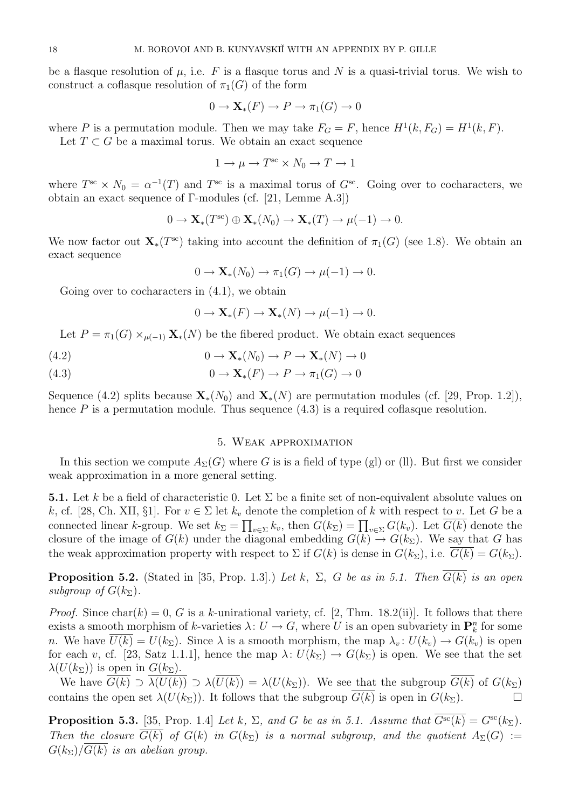be a flasque resolution of  $\mu$ , i.e. F is a flasque torus and N is a quasi-trivial torus. We wish to construct a coflasque resolution of  $\pi_1(G)$  of the form

$$
0 \to \mathbf{X}_*(F) \to P \to \pi_1(G) \to 0
$$

where P is a permutation module. Then we may take  $F_G = F$ , hence  $H^1(k, F_G) = H^1(k, F)$ . Let  $T \subset G$  be a maximal torus. We obtain an exact sequence

$$
1 \to \mu \to T^{\rm sc} \times N_0 \to T \to 1
$$

where  $T^{\rm sc} \times N_0 = \alpha^{-1}(T)$  and  $T^{\rm sc}$  is a maximal torus of  $G^{\rm sc}$ . Going over to cocharacters, we obtain an exact sequence of Γ-modules (cf. [21, Lemme A.3])

$$
0 \to \mathbf{X}_{*}(T^{\text{sc}}) \oplus \mathbf{X}_{*}(N_{0}) \to \mathbf{X}_{*}(T) \to \mu(-1) \to 0.
$$

We now factor out  $\mathbf{X}_{*}(T^{\text{sc}})$  taking into account the definition of  $\pi_1(G)$  (see 1.8). We obtain an exact sequence

$$
0 \to \mathbf{X}_{*}(N_0) \to \pi_1(G) \to \mu(-1) \to 0.
$$

Going over to cocharacters in (4.1), we obtain

$$
0 \to \mathbf{X}_{*}(F) \to \mathbf{X}_{*}(N) \to \mu(-1) \to 0.
$$

Let  $P = \pi_1(G) \times_{\mu(-1)} \mathbf{X}_*(N)$  be the fibered product. We obtain exact sequences

(4.2) 
$$
0 \to \mathbf{X}_{*}(N_0) \to P \to \mathbf{X}_{*}(N) \to 0
$$

(4.3) 
$$
0 \to \mathbf{X}_*(F) \to P \to \pi_1(G) \to 0
$$

Sequence (4.2) splits because  $\mathbf{X}_*(N_0)$  and  $\mathbf{X}_*(N)$  are permutation modules (cf. [29, Prop. 1.2]), hence  $P$  is a permutation module. Thus sequence  $(4.3)$  is a required coflasque resolution.

## 5. Weak approximation

In this section we compute  $A_{\Sigma}(G)$  where G is is a field of type (gl) or (ll). But first we consider weak approximation in a more general setting.

**5.1.** Let k be a field of characteristic 0. Let  $\Sigma$  be a finite set of non-equivalent absolute values on k, cf. [28, Ch. XII, §1]. For  $v \in \Sigma$  let  $k_v$  denote the completion of k with respect to v. Let G be a connected linear k-group. We set  $k_{\Sigma} = \prod_{v \in \Sigma} k_v$ , then  $G(k_{\Sigma}) = \prod_{v \in \Sigma} G(k_v)$ . Let  $G(k)$  denote the closure of the image of  $G(k)$  under the diagonal embedding  $G(k) \to G(k_{\Sigma})$ . We say that G has the weak approximation property with respect to  $\Sigma$  if  $G(k)$  is dense in  $G(k_{\Sigma})$ , i.e.  $\overline{G(k)} = G(k_{\Sigma})$ .

**Proposition 5.2.** (Stated in [35, Prop. 1.3].) Let k,  $\Sigma$ , G be as in 5.1. Then  $\overline{G(k)}$  is an open subgroup of  $G(k_{\Sigma}).$ 

*Proof.* Since char(k) = 0, G is a k-unirational variety, cf. [2, Thm. 18.2(ii)]. It follows that there exists a smooth morphism of k-varieties  $\lambda: U \to G$ , where U is an open subvariety in  $\mathbf{P}_k^n$  for some n. We have  $\overline{U(k)} = U(k_{\Sigma})$ . Since  $\lambda$  is a smooth morphism, the map  $\lambda_v : U(k_v) \to G(k_v)$  is open for each v, cf. [23, Satz 1.1.1], hence the map  $\lambda: U(k_{\Sigma}) \to G(k_{\Sigma})$  is open. We see that the set  $\lambda(U(k_{\Sigma}))$  is open in  $G(k_{\Sigma}).$ 

We have  $G(k) \supset \lambda(U(k)) \supset \lambda(U(\overline{k})) = \lambda(U(k_{\Sigma}))$ . We see that the subgroup  $\overline{G(k)}$  of  $G(k_{\Sigma})$ contains the open set  $\lambda(U(k_{\Sigma}))$ . It follows that the subgroup  $G(k)$  is open in  $G(k_{\Sigma})$ .

**Proposition 5.3.** [35, Prop. 1.4] Let k,  $\Sigma$ , and G be as in 5.1. Assume that  $\overline{G^{sc}(k)} = G^{sc}(k_{\Sigma})$ . Then the closure  $\overline{G(k)}$  of  $G(k)$  in  $G(k_{\Sigma})$  is a normal subgroup, and the quotient  $A_{\Sigma}(G) :=$  $G(k_{\Sigma})/\overline{G(k)}$  is an abelian group.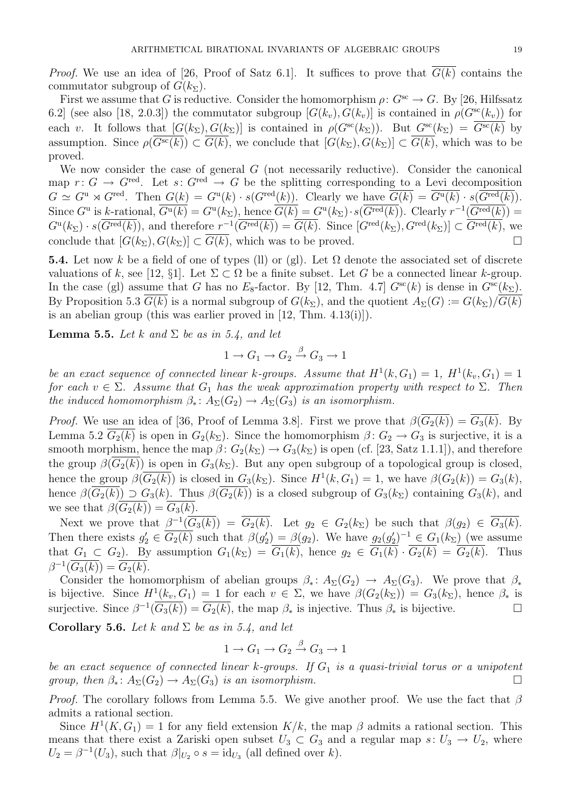*Proof.* We use an idea of [26, Proof of Satz 6.1]. It suffices to prove that  $\overline{G(k)}$  contains the commutator subgroup of  $G(k_{\Sigma}).$ 

First we assume that G is reductive. Consider the homomorphism  $\rho: G^{sc} \to G$ . By [26, Hilfssatz 6.2] (see also [18, 2.0.3]) the commutator subgroup  $[G(k_v), G(k_v)]$  is contained in  $\rho(G^{sc}(k_v))$  for each v. It follows that  $[G(k_{\Sigma}), G(k_{\Sigma})]$  is contained in  $\rho(G^{sc}(k_{\Sigma}))$ . But  $G^{sc}(k_{\Sigma}) = \overline{G^{sc}(k)}$  by assumption. Since  $\rho(\overline{G^{sc}(k)}) \subset \overline{G(k)}$ , we conclude that  $[G(k_{\Sigma}), G(k_{\Sigma})] \subset \overline{G(k)}$ , which was to be proved.

We now consider the case of general  $G$  (not necessarily reductive). Consider the canonical map  $r: G \to G^{\text{red}}$ . Let  $s: G^{\text{red}} \to G$  be the splitting corresponding to a Levi decomposition  $G \simeq G^{\mathrm{u}} \rtimes G^{\mathrm{red}}$ . Then  $G(k) = G^{\mathrm{u}}(k) \cdot s(G^{\mathrm{red}}(k))$ . Clearly we have  $\overline{G(k)} = \overline{G^{\mathrm{u}}(k)} \cdot s(\overline{G^{\mathrm{red}}(k)})$ . Since  $G^{\mathrm{u}}$  is k-rational,  $\overline{G^{\mathrm{u}}(k)} = G^{\mathrm{u}}(k_{\Sigma})$ , hence  $\overline{G(k)} = G^{\mathrm{u}}(k_{\Sigma}) \cdot s(\overline{G^{\mathrm{red}}(k)})$ . Clearly  $r^{-1}(\overline{G^{\mathrm{red}}(k)}) =$  $G^{\rm u}(k_{\Sigma}) \cdot s(\overline{G^{\rm red}(k)})$ , and therefore  $r^{-1}(\overline{G^{\rm red}(k)}) = \overline{G(k)}$ . Since  $[G^{\rm red}(k_{\Sigma}), G^{\rm red}(k_{\Sigma})] \subset \overline{G^{\rm red}(k)}$ , we conclude that  $[G(k_{\Sigma}), G(k_{\Sigma})] \subset \overline{G(k)}$ , which was to be proved.

**5.4.** Let now k be a field of one of types (ll) or (gl). Let  $\Omega$  denote the associated set of discrete valuations of k, see [12, §1]. Let  $\Sigma \subset \Omega$  be a finite subset. Let G be a connected linear k-group. In the case (gl) assume that G has no  $E_8$ -factor. By [12, Thm. 4.7]  $G^{\rm sc}(k)$  is dense in  $G^{\rm sc}(k_{\Sigma})$ . By Proposition 5.3  $G(k)$  is a normal subgroup of  $G(k_{\Sigma})$ , and the quotient  $A_{\Sigma}(G) := G(k_{\Sigma})/G(k)$ is an abelian group (this was earlier proved in [12, Thm. 4.13(i)]).

**Lemma 5.5.** Let k and  $\Sigma$  be as in 5.4, and let

$$
1 \to G_1 \to G_2 \xrightarrow{\beta} G_3 \to 1
$$

be an exact sequence of connected linear k-groups. Assume that  $H^1(k, G_1) = 1$ ,  $H^1(k_v, G_1) = 1$ for each  $v \in \Sigma$ . Assume that  $G_1$  has the weak approximation property with respect to  $\Sigma$ . Then the induced homomorphism  $\beta_* \colon A_{\Sigma}(G_2) \to A_{\Sigma}(G_3)$  is an isomorphism.

*Proof.* We use an idea of [36, Proof of Lemma 3.8]. First we prove that  $\beta(G_2(k)) = G_3(k)$ . By Lemma 5.2  $G_2(k)$  is open in  $G_2(k_\Sigma)$ . Since the homomorphism  $\beta: G_2 \to G_3$  is surjective, it is a smooth morphism, hence the map  $\beta$ :  $G_2(k_{\Sigma}) \rightarrow G_3(k_{\Sigma})$  is open (cf. [23, Satz 1.1.1]), and therefore the group  $\beta(G_2(k))$  is open in  $G_3(k_{\Sigma})$ . But any open subgroup of a topological group is closed, hence the group  $\beta(\overline{G_2(k)})$  is closed in  $G_3(k_{\Sigma})$ . Since  $H^1(k, G_1) = 1$ , we have  $\beta(G_2(k)) = G_3(k)$ , hence  $\beta(\overline{G_2(k)}) \supset G_3(k)$ . Thus  $\beta(\overline{G_2(k)})$  is a closed subgroup of  $G_3(k)$  containing  $G_3(k)$ , and we see that  $\beta(G_2(k)) = G_3(k)$ .

Next we prove that  $\beta^{-1}(\overline{G_3(k)}) = \overline{G_2(k)}$ . Let  $g_2 \in G_2(k_{\Sigma})$  be such that  $\beta(g_2) \in \overline{G_3(k)}$ . Then there exists  $g'_2 \in \overline{G_2(k)}$  such that  $\beta(g'_2) = \beta(g_2)$ . We have  $g_2(g'_2)^{-1} \in G_1(k_{\Sigma})$  (we assume that  $G_1 \subset G_2$ ). By assumption  $G_1(k_{\Sigma}) = G_1(k)$ , hence  $g_2 \in G_1(k) \cdot G_2(k) = G_2(k)$ . Thus  $\beta^{-1}(\overline{G_3(k)}) = \overline{G_2(k)}$ .

Consider the homomorphism of abelian groups  $\beta_* \colon A_{\Sigma}(G_2) \to A_{\Sigma}(G_3)$ . We prove that  $\beta_*$ is bijective. Since  $H^1(k_v, G_1) = 1$  for each  $v \in \Sigma$ , we have  $\beta(G_2(k_{\Sigma})) = G_3(k_{\Sigma})$ , hence  $\beta_*$  is surjective. Since  $\beta^{-1}(\overline{G_3(k)}) = \overline{G_2(k)}$ , the map  $\beta_*$  is injective. Thus  $\beta_*$  is bijective.

Corollary 5.6. Let k and  $\Sigma$  be as in 5.4, and let

$$
1 \to G_1 \to G_2 \xrightarrow{\beta} G_3 \to 1
$$

be an exact sequence of connected linear k-groups. If  $G_1$  is a quasi-trivial torus or a unipotent group, then  $\beta_* \colon A_{\Sigma}(G_2) \to A_{\Sigma}(G_3)$  is an isomorphism.

*Proof.* The corollary follows from Lemma 5.5. We give another proof. We use the fact that  $\beta$ admits a rational section.

Since  $H^1(K, G_1) = 1$  for any field extension  $K/k$ , the map  $\beta$  admits a rational section. This means that there exist a Zariski open subset  $U_3 \subset G_3$  and a regular map  $s: U_3 \to U_2$ , where  $U_2 = \beta^{-1}(U_3)$ , such that  $\beta|_{U_2} \circ s = \mathrm{id}_{U_3}$  (all defined over k).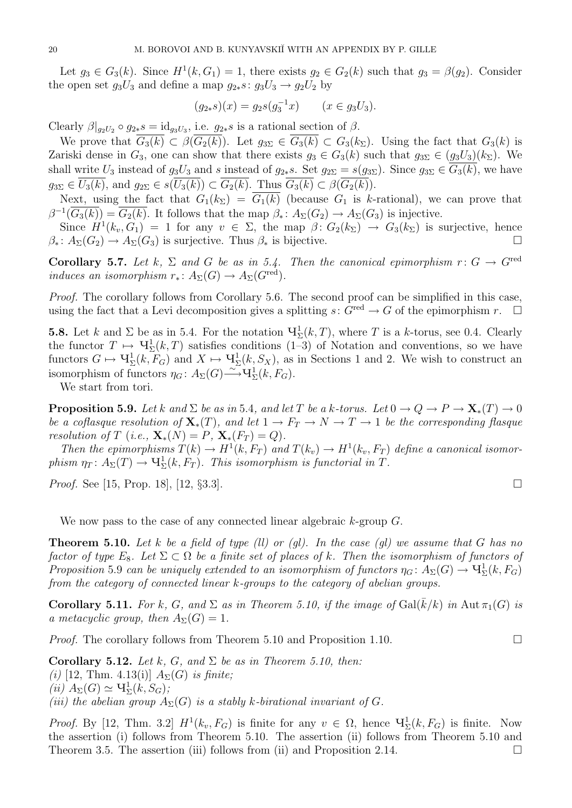Let  $g_3 \in G_3(k)$ . Since  $H^1(k, G_1) = 1$ , there exists  $g_2 \in G_2(k)$  such that  $g_3 = \beta(g_2)$ . Consider the open set  $g_3U_3$  and define a map  $g_{2*}s: g_3U_3 \to g_2U_2$  by

$$
(g_{2*}s)(x) = g_2s(g_3^{-1}x) \qquad (x \in g_3U_3).
$$

Clearly  $\beta|_{g_2U_2} \circ g_{2*} s = id_{g_3U_3}$ , i.e.  $g_{2*} s$  is a rational section of  $\beta$ .

We prove that  $\overline{G_3(k)} \subset \beta(\overline{G_2(k)})$ . Let  $g_{3\Sigma} \in \overline{G_3(k)} \subset G_3(k_\Sigma)$ . Using the fact that  $G_3(k)$  is Zariski dense in  $G_3$ , one can show that there exists  $g_3 \in G_3(k)$  such that  $g_{3\Sigma} \in (g_3U_3)(k_{\Sigma})$ . We shall write  $U_3$  instead of  $g_3U_3$  and s instead of  $g_{2*}s$ . Set  $g_{2\Sigma} = s(g_{3\Sigma})$ . Since  $g_{3\Sigma} \in G_3(k)$ , we have  $g_{3\Sigma} \in \overline{U_3(k)}$ , and  $g_{2\Sigma} \in s(\overline{U_3(k)}) \subset \overline{G_2(k)}$ . Thus  $\overline{G_3(k)} \subset \beta(\overline{G_2(k)})$ .

Next, using the fact that  $G_1(k_\Sigma) = \overline{G_1(k)}$  (because  $G_1$  is k-rational), we can prove that  $\beta^{-1}(\overline{G_3(k)}) = \overline{G_2(k)}$ . It follows that the map  $\beta_* \colon A_{\Sigma}(G_2) \to A_{\Sigma}(G_3)$  is injective.

Since  $H^1(k_v, G_1) = 1$  for any  $v \in \Sigma$ , the map  $\beta \colon G_2(k_{\Sigma}) \to G_3(k_{\Sigma})$  is surjective, hence  $\beta_*: A_{\Sigma}(G_2) \to A_{\Sigma}(G_3)$  is surjective. Thus  $\beta_*$  is bijective.

Corollary 5.7. Let k,  $\Sigma$  and G be as in 5.4. Then the canonical epimorphism  $r: G \to G^{\text{red}}$ induces an isomorphism  $r_* \colon A_{\Sigma}(G) \to A_{\Sigma}(G^{\text{red}})$ .

Proof. The corollary follows from Corollary 5.6. The second proof can be simplified in this case, using the fact that a Levi decomposition gives a splitting  $s: G^{\text{red}} \to G$  of the epimorphism  $r$ .  $\Box$ 

**5.8.** Let k and  $\Sigma$  be as in 5.4. For the notation  $\Psi^1_{\Sigma}(k, T)$ , where T is a k-torus, see 0.4. Clearly the functor  $T \mapsto \mathbf{V}^1_{\Sigma}(k,T)$  satisfies conditions  $(1-3)$  of Notation and conventions, so we have functors  $G \mapsto \mathbf{V}_{\Sigma}^1(k, F_G)$  and  $X \mapsto \mathbf{V}_{\Sigma}^1(k, S_X)$ , as in Sections 1 and 2. We wish to construct an isomorphism of functors  $\eta_G \colon A_\Sigma(G) \longrightarrow \mathbf{H}^1_\Sigma(k, F_G)$ .

We start from tori.

**Proposition 5.9.** Let k and  $\Sigma$  be as in 5.4, and let T be a k-torus. Let  $0 \to Q \to P \to \mathbf{X}_*(T) \to 0$ be a coflasque resolution of  $\mathbf{X}_*(T)$ , and let  $1 \to F_T \to N \to T \to 1$  be the corresponding flasque resolution of T (i.e.,  $\mathbf{X}_*(N) = P$ ,  $\mathbf{X}_*(F_T) = Q$ ).

Then the epimorphisms  $T(k) \to H^1(k, F_T)$  and  $T(k_v) \to H^1(k_v, F_T)$  define a canonical isomorphism  $\eta_T \colon A_\Sigma(T) \to \mathrm{H}^1_\Sigma(k, F_T)$ . This isomorphism is functorial in T.

*Proof.* See [15, Prop. 18], [12,  $\S 3.3$ ].

We now pass to the case of any connected linear algebraic  $k$ -group  $G$ .

**Theorem 5.10.** Let k be a field of type (ll) or (gl). In the case (gl) we assume that G has no factor of type  $E_8$ . Let  $\Sigma \subset \Omega$  be a finite set of places of k. Then the isomorphism of functors of Proposition 5.9 can be uniquely extended to an isomorphism of functors  $\eta_G \colon A_\Sigma(G) \to \mathrm{Y}_\Sigma^1(k,F_G)$ from the category of connected linear k-groups to the category of abelian groups.

**Corollary 5.11.** For k, G, and  $\Sigma$  as in Theorem 5.10, if the image of  $Gal(\overline{k}/k)$  in  $Aut \pi_1(G)$  is a metacyclic group, then  $A_{\Sigma}(G) = 1$ .

*Proof.* The corollary follows from Theorem 5.10 and Proposition 1.10.

Corollary 5.12. Let k, G, and  $\Sigma$  be as in Theorem 5.10, then: (i) [12, Thm. 4.13(i)]  $A_{\Sigma}(G)$  is finite;  $(ii)$   $A_{\Sigma}(G) \simeq \mathbf{V}_{\Sigma}^1(k, S_G);$ (iii) the abelian group  $A_{\Sigma}(G)$  is a stably k-birational invariant of G.

*Proof.* By [12, Thm. 3.2]  $H^1(k_v, F_G)$  is finite for any  $v \in \Omega$ , hence  $\mathbf{V}_\Sigma^1(k, F_G)$  is finite. Now the assertion (i) follows from Theorem 5.10. The assertion (ii) follows from Theorem 5.10 and Theorem 3.5. The assertion (iii) follows from (ii) and Proposition 2.14.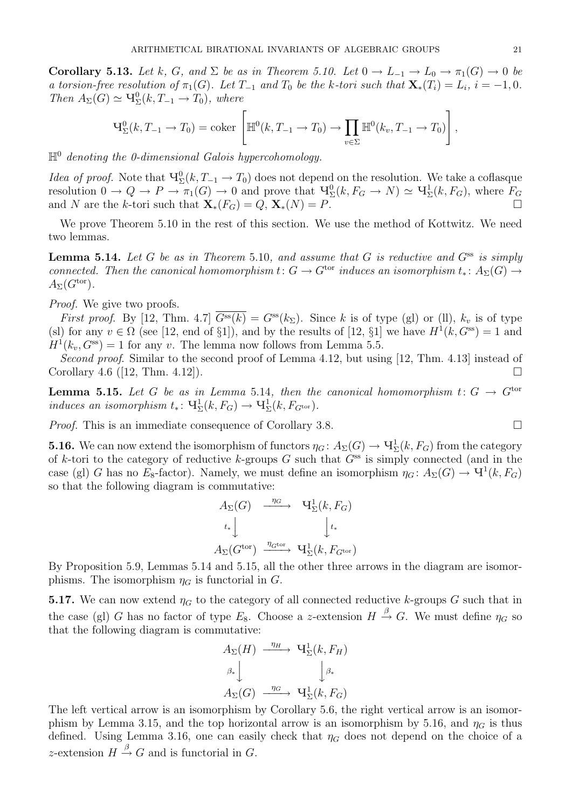**Corollary 5.13.** Let k, G, and  $\Sigma$  be as in Theorem 5.10. Let  $0 \to L_{-1} \to L_0 \to \pi_1(G) \to 0$  be a torsion-free resolution of  $\pi_1(G)$ . Let  $T_{-1}$  and  $T_0$  be the k-tori such that  $\mathbf{X}_*(T_i) = L_i$ ,  $i = -1, 0$ . Then  $A_{\Sigma}(G) \simeq \mathcal{H}^0_{\Sigma}(k, T_{-1} \to T_0)$ , where

$$
\mathsf{H}_{\Sigma}^{0}(k, T_{-1} \to T_0) = \mathrm{coker}\left[\mathbb{H}^{0}(k, T_{-1} \to T_0) \to \prod_{v \in \Sigma} \mathbb{H}^{0}(k_v, T_{-1} \to T_0)\right],
$$

 $\mathbb{H}^0$  denoting the 0-dimensional Galois hypercohomology.

*Idea of proof.* Note that  $\Psi_{\Sigma}^{0}(k, T_{-1} \to T_0)$  does not depend on the resolution. We take a coflasque resolution  $0 \to Q \to P \to \pi_1(G) \to 0$  and prove that  $\Psi^0_\Sigma(k, F_G \to N) \simeq \Psi^1_\Sigma(k, F_G)$ , where  $F_G$ and N are the k-tori such that  $\mathbf{X}_*(F_G) = Q$ ,  $\mathbf{X}_*(N) = P$ .

We prove Theorem 5.10 in the rest of this section. We use the method of Kottwitz. We need two lemmas.

**Lemma 5.14.** Let G be as in Theorem 5.10, and assume that G is reductive and  $G^{ss}$  is simply connected. Then the canonical homomorphism  $t: G \to G^{tor}$  induces an isomorphism  $t_*: A_{\Sigma}(G) \to$  $A_{\Sigma}(G^{\text{tor}}).$ 

Proof. We give two proofs.

First proof. By [12, Thm. 4.7]  $\overline{G^{ss}(k)} = G^{ss}(k_{\Sigma})$ . Since k is of type (gl) or (ll),  $k_v$  is of type (sl) for any  $v \in \Omega$  (see [12, end of §1]), and by the results of [12, §1] we have  $H^1(k, G^{ss}) = 1$  and  $H^1(k_v, G^{ss}) = 1$  for any v. The lemma now follows from Lemma 5.5.

Second proof. Similar to the second proof of Lemma 4.12, but using [12, Thm. 4.13] instead of Corollary 4.6 ([12, Thm. 4.12]).

**Lemma 5.15.** Let G be as in Lemma 5.14, then the canonical homomorphism  $t: G \to G^{tor}$ induces an isomorphism  $t_* \colon \mathrm{H}^1_{\Sigma}(k, F_G) \to \mathrm{H}^1_{\Sigma}(k, F_{G^{\text{tor}}}).$ 

Proof. This is an immediate consequence of Corollary 3.8.

**5.16.** We can now extend the isomorphism of functors  $\eta_G \colon A_\Sigma(G) \to \mathrm{H}^1_\Sigma(k, F_G)$  from the category of k-tori to the category of reductive k-groups  $G$  such that  $G^{ss}$  is simply connected (and in the case (gl) G has no  $E_8$ -factor). Namely, we must define an isomorphism  $\eta_G: A_\Sigma(G) \to \mathbf{V}^1(k, F_G)$ so that the following diagram is commutative:

$$
A_{\Sigma}(G) \xrightarrow{\eta_G} \mathbf{V}_{\Sigma}^1(k, F_G)
$$
  
\n
$$
t_* \downarrow \qquad \qquad t_*
$$
  
\n
$$
A_{\Sigma}(G^{\text{tor}}) \xrightarrow{\eta_{G^{\text{tor}}}} \mathbf{V}_{\Sigma}^1(k, F_{G^{\text{tor}}})
$$

By Proposition 5.9, Lemmas 5.14 and 5.15, all the other three arrows in the diagram are isomorphisms. The isomorphism  $\eta_G$  is functorial in G.

**5.17.** We can now extend  $\eta_G$  to the category of all connected reductive k-groups G such that in the case (gl) G has no factor of type  $E_8$ . Choose a z-extension  $H \stackrel{\beta}{\rightarrow} G$ . We must define  $\eta_G$  so that the following diagram is commutative:

$$
A_{\Sigma}(H) \xrightarrow{\eta_H} \mathbf{V}_{\Sigma}^1(k, F_H)
$$

$$
\begin{array}{c} \beta_* \\ A_{\Sigma}(G) \xrightarrow{\eta_G} \mathbf{V}_{\Sigma}^1(k, F_G) \end{array}
$$

The left vertical arrow is an isomorphism by Corollary 5.6, the right vertical arrow is an isomorphism by Lemma 3.15, and the top horizontal arrow is an isomorphism by 5.16, and  $\eta_G$  is thus defined. Using Lemma 3.16, one can easily check that  $\eta_G$  does not depend on the choice of a z-extension  $H \stackrel{\beta}{\rightarrow} G$  and is functorial in G.

$$
\qquad \qquad \Box
$$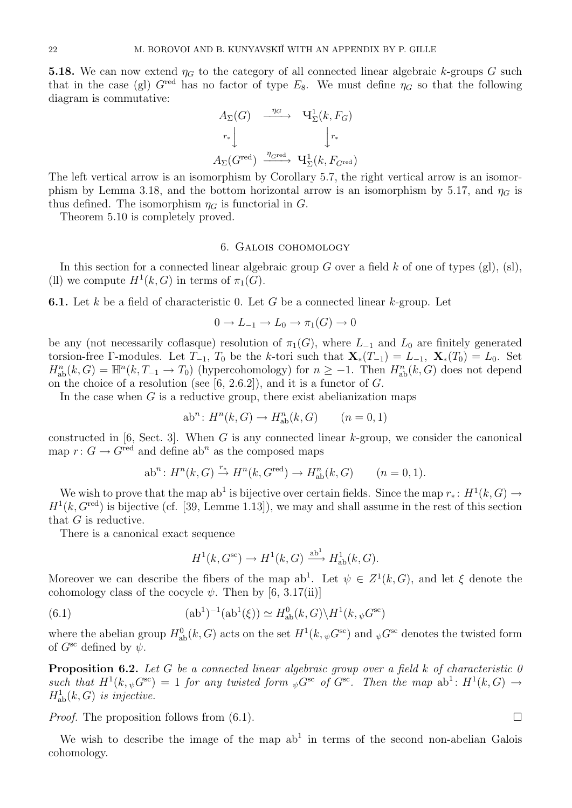**5.18.** We can now extend  $\eta_G$  to the category of all connected linear algebraic k-groups G such that in the case (gl)  $G^{\text{red}}$  has no factor of type  $E_8$ . We must define  $\eta_G$  so that the following diagram is commutative:

$$
A_{\Sigma}(G) \xrightarrow{ \eta_G } \mathbf{U}_{\Sigma}^1(k, F_G)
$$
  
\n
$$
r_* \downarrow \qquad \qquad \downarrow r_*
$$
  
\n
$$
A_{\Sigma}(G^{\text{red}}) \xrightarrow{\eta_{G^{\text{red}}}} \mathbf{U}_{\Sigma}^1(k, F_{G^{\text{red}}})
$$

The left vertical arrow is an isomorphism by Corollary 5.7, the right vertical arrow is an isomorphism by Lemma 3.18, and the bottom horizontal arrow is an isomorphism by 5.17, and  $\eta_G$  is thus defined. The isomorphism  $\eta_G$  is functorial in G.

Theorem 5.10 is completely proved.

### 6. Galois cohomology

In this section for a connected linear algebraic group G over a field  $k$  of one of types (gl), (sl), (II) we compute  $H^1(k, G)$  in terms of  $\pi_1(G)$ .

**6.1.** Let k be a field of characteristic 0. Let G be a connected linear k-group. Let

$$
0 \to L_{-1} \to L_0 \to \pi_1(G) \to 0
$$

be any (not necessarily coflasque) resolution of  $\pi_1(G)$ , where  $L_{-1}$  and  $L_0$  are finitely generated torsion-free Γ-modules. Let  $T_{-1}$ ,  $T_0$  be the k-tori such that  $\mathbf{X}_*(T_{-1}) = L_{-1}$ ,  $\mathbf{X}_*(T_0) = L_0$ . Set  $H_{ab}^{n}(k, G) = \mathbb{H}^{n}(k, T_{-1} \to T_0)$  (hypercohomology) for  $n \geq -1$ . Then  $H_{ab}^{n}(k, G)$  does not depend on the choice of a resolution (see  $[6, 2.6.2]$ ), and it is a functor of  $G$ .

In the case when  $G$  is a reductive group, there exist abelianization maps

$$
ab^n: H^n(k, G) \to H^n_{ab}(k, G) \qquad (n = 0, 1)
$$

constructed in [6, Sect. 3]. When G is any connected linear  $k$ -group, we consider the canonical map  $r: G \to G^{\text{red}}$  and define ab<sup>n</sup> as the composed maps

$$
ab^n: H^n(k, G) \xrightarrow{r_*} H^n(k, G^{\text{red}}) \to H^n_{\text{ab}}(k, G) \qquad (n = 0, 1).
$$

We wish to prove that the map ab<sup>1</sup> is bijective over certain fields. Since the map  $r_*\colon H^1(k, G) \to$  $H<sup>1</sup>(k, G<sup>red</sup>)$  is bijective (cf. [39, Lemme 1.13]), we may and shall assume in the rest of this section that G is reductive.

There is a canonical exact sequence

$$
H^1(k, G^{\text{sc}}) \to H^1(k, G) \xrightarrow{\text{ab}^1} H^1_{\text{ab}}(k, G).
$$

Moreover we can describe the fibers of the map  $ab^1$ . Let  $\psi \in Z^1(k, G)$ , and let  $\xi$  denote the cohomology class of the cocycle  $\psi$ . Then by [6, 3.17(ii)]

(6.1) 
$$
(ab^{1})^{-1}(ab^{1}(\xi)) \simeq H_{ab}^{0}(k, G) \backslash H^{1}(k, \psi G^{\text{sc}})
$$

where the abelian group  $H^0_{ab}(k, G)$  acts on the set  $H^1(k, \psi G^{\rm sc})$  and  $\psi G^{\rm sc}$  denotes the twisted form of  $G^{\rm sc}$  defined by  $\psi$ .

**Proposition 6.2.** Let G be a connected linear algebraic group over a field k of characteristic  $\theta$ such that  $H^1(k, \psi G^{\rm sc}) = 1$  for any twisted form  $\psi G^{\rm sc}$  of  $G^{\rm sc}$ . Then the map  $ab^1: H^1(k, G) \to$  $H^1_{ab}(k, G)$  is injective.

*Proof.* The proposition follows from  $(6.1)$ .

We wish to describe the image of the map  $ab<sup>1</sup>$  in terms of the second non-abelian Galois cohomology.

$$
\boxed{\phantom{0}}
$$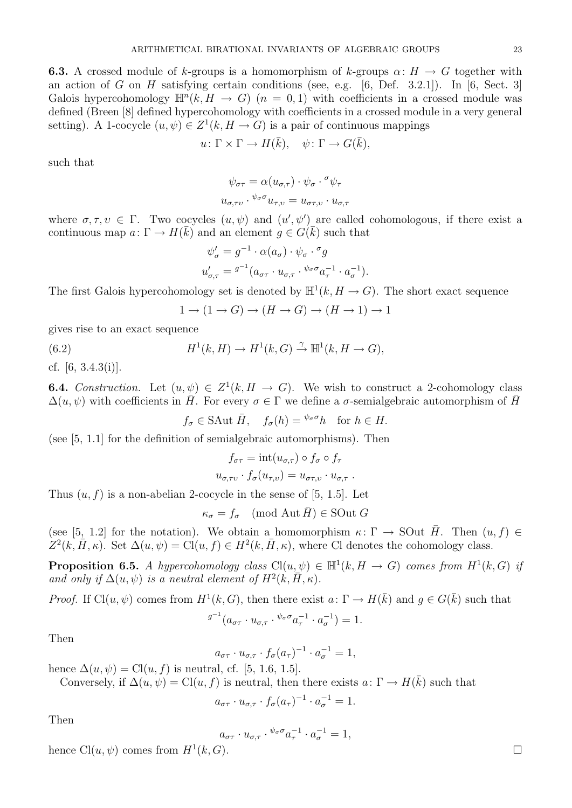**6.3.** A crossed module of k-groups is a homomorphism of k-groups  $\alpha: H \to G$  together with an action of G on H satisfying certain conditions (see, e.g.  $[6,$  Def. 3.2.1]). In  $[6,$  Sect. 3] Galois hypercohomology  $\mathbb{H}^n(k, H \to G)$   $(n = 0, 1)$  with coefficients in a crossed module was defined (Breen [8] defined hypercohomology with coefficients in a crossed module in a very general setting). A 1-cocycle  $(u, \psi) \in Z^1(k, H \to G)$  is a pair of continuous mappings

$$
u \colon \Gamma \times \Gamma \to H(\bar{k}), \quad \psi \colon \Gamma \to G(\bar{k}),
$$

such that

$$
\psi_{\sigma\tau} = \alpha(u_{\sigma,\tau}) \cdot \psi_{\sigma} \cdot \sigma \psi_{\tau}
$$

$$
u_{\sigma,\tau\upsilon} \cdot \psi_{\sigma} \sigma u_{\tau,\upsilon} = u_{\sigma\tau,\upsilon} \cdot u_{\sigma,\tau}
$$

where  $\sigma, \tau, \nu \in \Gamma$ . Two cocycles  $(u, \psi)$  and  $(u', \psi')$  are called cohomologous, if there exist a continuous map  $a: \Gamma \to H(\overline{k})$  and an element  $g \in G(\overline{k})$  such that

$$
\psi'_{\sigma} = g^{-1} \cdot \alpha(a_{\sigma}) \cdot \psi_{\sigma} \cdot {}^{\sigma} g
$$
  

$$
u'_{\sigma,\tau} = {}^{g^{-1}} (a_{\sigma\tau} \cdot u_{\sigma,\tau} \cdot {}^{\psi_{\sigma}\sigma} a_{\tau}^{-1} \cdot a_{\sigma}^{-1}).
$$

The first Galois hypercohomology set is denoted by  $\mathbb{H}^1(k, H \to G)$ . The short exact sequence

$$
1 \to (1 \to G) \to (H \to G) \to (H \to 1) \to 1
$$

gives rise to an exact sequence

(6.2) 
$$
H^1(k, H) \to H^1(k, G) \xrightarrow{\gamma} \mathbb{H}^1(k, H \to G),
$$

cf. [6, 3.4.3(i)].

**6.4.** Construction. Let  $(u, \psi) \in Z^1(k, H \to G)$ . We wish to construct a 2-cohomology class  $\Delta(u, \psi)$  with coefficients in  $\bar{H}$ . For every  $\sigma \in \Gamma$  we define a  $\sigma$ -semialgebraic automorphism of  $\bar{H}$ 

 $f_{\sigma} \in \text{SAut } \overline{H}, \quad f_{\sigma}(h) = \sqrt{\phi_{\sigma} \sigma_h} \quad \text{for } h \in H.$ 

(see [5, 1.1] for the definition of semialgebraic automorphisms). Then

$$
f_{\sigma\tau} = \text{int}(u_{\sigma,\tau}) \circ f_{\sigma} \circ f_{\tau}
$$

$$
u_{\sigma,\tau\nu} \cdot f_{\sigma}(u_{\tau,\nu}) = u_{\sigma\tau,\nu} \cdot u_{\sigma,\tau}.
$$

Thus  $(u, f)$  is a non-abelian 2-cocycle in the sense of [5, 1.5]. Let

 $\kappa_{\sigma} = f_{\sigma} \pmod{\text{Aut } \bar{H}} \in \text{SOut } G$ 

(see [5, 1.2] for the notation). We obtain a homomorphism  $\kappa: \Gamma \to \text{SOut } \overline{H}$ . Then  $(u, f) \in$  $Z^2(k,\bar{H},\kappa)$ . Set  $\Delta(u,\psi) = \text{Cl}(u,f) \in H^2(k,\bar{H},\kappa)$ , where Cl denotes the cohomology class.

**Proposition 6.5.** A hypercohomology class  $Cl(u, \psi) \in \mathbb{H}^1(k, H \to G)$  comes from  $H^1(k, G)$  if and only if  $\Delta(u, \psi)$  is a neutral element of  $H^2(k, \overline{H}, \kappa)$ .

*Proof.* If Cl $(u, \psi)$  comes from  $H^1(k, G)$ , then there exist  $a: \Gamma \to H(\overline{k})$  and  $g \in G(\overline{k})$  such that

$$
g^{-1}(a_{\sigma\tau} \cdot u_{\sigma,\tau} \cdot {}^{\psi_\sigma\sigma} a_{\tau}^{-1} \cdot a_{\sigma}^{-1}) = 1.
$$

Then

$$
a_{\sigma\tau} \cdot u_{\sigma,\tau} \cdot f_{\sigma}(a_{\tau})^{-1} \cdot a_{\sigma}^{-1} = 1,
$$

hence  $\Delta(u, \psi) = \text{Cl}(u, f)$  is neutral, cf. [5, 1.6, 1.5].

Conversely, if  $\Delta(u, \psi) = \text{Cl}(u, f)$  is neutral, then there exists  $a: \Gamma \to H(\overline{k})$  such that

$$
a_{\sigma\tau} \cdot u_{\sigma,\tau} \cdot f_{\sigma}(a_{\tau})^{-1} \cdot a_{\sigma}^{-1} = 1.
$$

Then

$$
a_{\sigma\tau} \cdot u_{\sigma,\tau} \cdot {}^{\psi_\sigma\sigma} a_{\tau}^{-1} \cdot a_{\sigma}^{-1} = 1,
$$

hence  $Cl(u, \psi)$  comes from  $H^1(k, G)$ .  $(k, G)$ .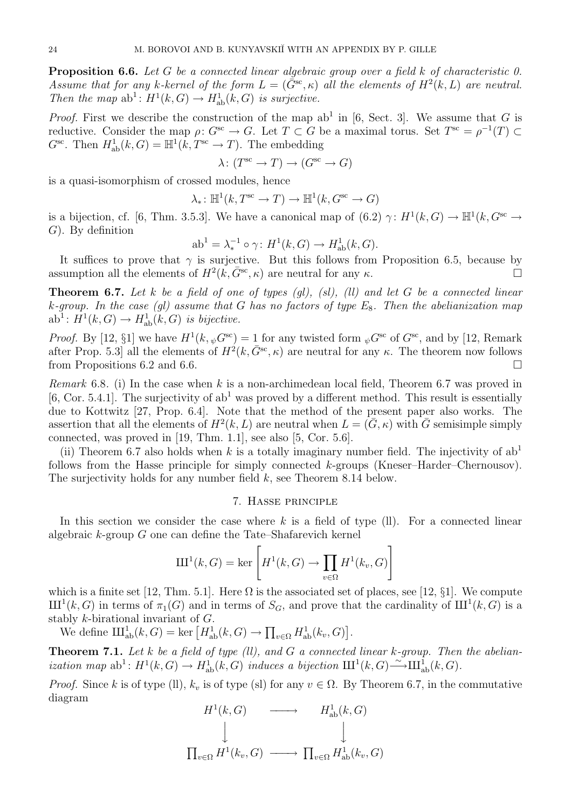**Proposition 6.6.** Let G be a connected linear algebraic group over a field k of characteristic 0. Assume that for any k-kernel of the form  $L = (\bar{G}^{\rm sc}, \kappa)$  all the elements of  $H^2(k, L)$  are neutral. Then the map  $ab^1$ :  $H^1(k, G) \to H^1_{ab}(k, G)$  is surjective.

*Proof.* First we describe the construction of the map ab<sup>1</sup> in [6, Sect. 3]. We assume that G is reductive. Consider the map  $\rho: G^{sc} \to G$ . Let  $T \subset G$  be a maximal torus. Set  $T^{sc} = \rho^{-1}(T) \subset$  $G^{\rm sc}$ . Then  $H^1_{\rm ab}(k, G) = \mathbb{H}^1(k, T^{\rm sc} \to T)$ . The embedding

$$
\lambda \colon (T^{\text{sc}} \to T) \to (G^{\text{sc}} \to G)
$$

is a quasi-isomorphism of crossed modules, hence

$$
\lambda_* \colon \mathbb{H}^1(k, T^{\text{sc}} \to T) \to \mathbb{H}^1(k, G^{\text{sc}} \to G)
$$

is a bijection, cf. [6, Thm. 3.5.3]. We have a canonical map of  $(6.2)$   $\gamma$ :  $H^1(k, G) \to \mathbb{H}^1(k, G^{\text{sc}} \to$  $G$ ). By definition

$$
ab1 = \lambda_*^{-1} \circ \gamma \colon H1(k, G) \to H1ab(k, G).
$$

It suffices to prove that  $\gamma$  is surjective. But this follows from Proposition 6.5, because by assumption all the elements of  $H^2(k, \bar{G}^{\text{sc}}, \kappa)$  are neutral for any  $\kappa$ .

**Theorem 6.7.** Let k be a field of one of types  $\left(g_l\right)$ ,  $\left(s_l\right)$ ,  $\left(l\right)$  and let G be a connected linear k-group. In the case (gl) assume that G has no factors of type  $E_8$ . Then the abelianization map  $ab^1$ :  $H^1(k, G) \to H^1_{ab}(k, G)$  is bijective.

*Proof.* By [12, §1] we have  $H^1(k, \psi^{Gsc}) = 1$  for any twisted form  $\psi^{Gsc}$  of  $G^{sc}$ , and by [12, Remark after Prop. 5.3] all the elements of  $H^2(k, \bar{G}^{\rm sc}, \kappa)$  are neutral for any  $\kappa$ . The theorem now follows from Propositions 6.2 and 6.6.

*Remark* 6.8. (i) In the case when k is a non-archimedean local field, Theorem 6.7 was proved in [6, Cor. 5.4.1]. The surjectivity of  $ab<sup>1</sup>$  was proved by a different method. This result is essentially due to Kottwitz [27, Prop. 6.4]. Note that the method of the present paper also works. The assertion that all the elements of  $H^2(k, L)$  are neutral when  $L = (\bar{G}, \kappa)$  with  $\bar{G}$  semisimple simply connected, was proved in [19, Thm. 1.1], see also [5, Cor. 5.6].

(ii) Theorem 6.7 also holds when k is a totally imaginary number field. The injectivity of  $ab<sup>1</sup>$ follows from the Hasse principle for simply connected  $k$ -groups (Kneser–Harder–Chernousov). The surjectivity holds for any number field  $k$ , see Theorem 8.14 below.

#### 7. Hasse principle

In this section we consider the case where  $k$  is a field of type (ll). For a connected linear algebraic k-group G one can define the Tate–Shafarevich kernel

$$
III^{1}(k, G) = \ker \left[ H^{1}(k, G) \to \prod_{v \in \Omega} H^{1}(k_{v}, G) \right]
$$

which is a finite set [12, Thm. 5.1]. Here  $\Omega$  is the associated set of places, see [12, §1]. We compute  $\mathrm{III}^1(k, G)$  in terms of  $\pi_1(G)$  and in terms of  $S_G$ , and prove that the cardinality of  $\mathrm{III}^1(k, G)$  is a stably k-birational invariant of G.

We define  $\mathrm{III}_{\mathrm{ab}}^1(k, G) = \ker \left[ H_{\mathrm{ab}}^1(k, G) \to \prod_{v \in \Omega} H_{\mathrm{ab}}^1(k_v, G) \right]$ .

**Theorem 7.1.** Let k be a field of type (ll), and G a connected linear k-group. Then the abelianization map  $ab^1: H^1(k, G) \to H^1_{ab}(k, G)$  induces a bijection  $\mathrm{III}^1(k, G) \xrightarrow{\sim} \mathrm{III}^1_{ab}(k, G)$ .

*Proof.* Since k is of type (ll),  $k_v$  is of type (sl) for any  $v \in \Omega$ . By Theorem 6.7, in the commutative diagram

$$
\Pi^{1}(k, G) \longrightarrow H^{1}_{\text{ab}}(k, G)
$$
\n
$$
\downarrow \qquad \qquad \downarrow
$$
\n
$$
\Pi_{v \in \Omega} H^{1}(k_{v}, G) \longrightarrow \Pi_{v \in \Omega} H^{1}_{\text{ab}}(k_{v}, G)
$$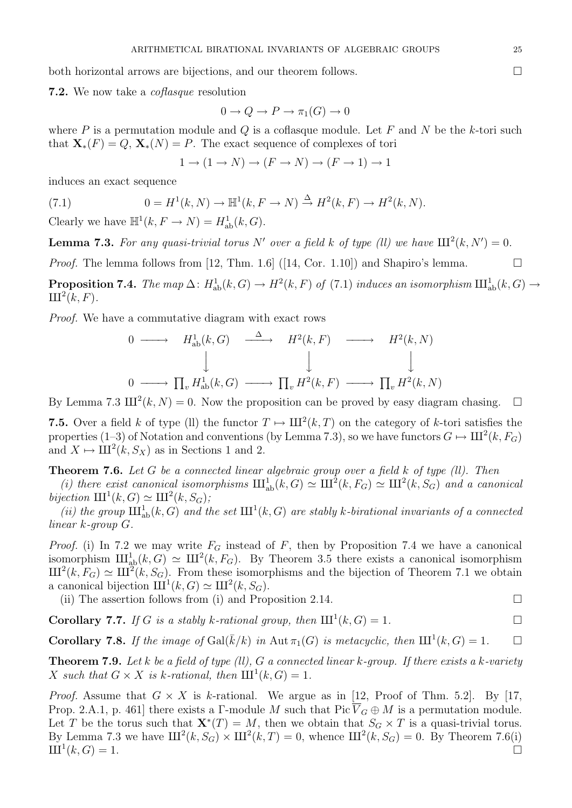both horizontal arrows are bijections, and our theorem follows.

7.2. We now take a *coflasque* resolution

$$
0 \to Q \to P \to \pi_1(G) \to 0
$$

where  $P$  is a permutation module and  $Q$  is a coflasque module. Let  $F$  and  $N$  be the k-tori such that  $\mathbf{X}_*(F) = Q$ ,  $\mathbf{X}_*(N) = P$ . The exact sequence of complexes of tori

$$
1 \to (1 \to N) \to (F \to N) \to (F \to 1) \to 1
$$

induces an exact sequence

(7.1) 
$$
0 = H^1(k, N) \to \mathbb{H}^1(k, F \to N) \xrightarrow{\Delta} H^2(k, F) \to H^2(k, N).
$$

Clearly we have  $\mathbb{H}^1(k, F \to N) = H^1_{ab}(k, G)$ .

**Lemma 7.3.** For any quasi-trivial torus N' over a field k of type (ll) we have  $III^2(k, N') = 0$ .

*Proof.* The lemma follows from [12, Thm. 1.6] ([14, Cor. 1.10]) and Shapiro's lemma.  $\square$ 

**Proposition 7.4.** The map  $\Delta$ :  $H^1_{ab}(k, G) \to H^2(k, F)$  of (7.1) induces an isomorphism  $\text{III}^1_{ab}(k, G) \to$  $\mathrm{III}^2(k,F).$ 

Proof. We have a commutative diagram with exact rows

$$
\begin{array}{ccccccccc}\n0 & \longrightarrow & H_{\text{ab}}^1(k, G) & \xrightarrow{\Delta} & H^2(k, F) & \longrightarrow & H^2(k, N) \\
\downarrow & & & \downarrow & & \downarrow & & \\
0 & \longrightarrow & \prod_v H_{\text{ab}}^1(k, G) & \longrightarrow & \prod_v H^2(k, F) & \longrightarrow & \prod_v H^2(k, N)\n\end{array}
$$

By Lemma 7.3  $III^2(k, N) = 0$ . Now the proposition can be proved by easy diagram chasing.  $\square$ 

**7.5.** Over a field k of type (ll) the functor  $T \mapsto \mathrm{III}^2(k,T)$  on the category of k-tori satisfies the properties (1–3) of Notation and conventions (by Lemma 7.3), so we have functors  $G \mapsto \mathrm{III}^2(k, F_G)$ and  $X \mapsto \text{III}^2(k, S_X)$  as in Sections 1 and 2.

**Theorem 7.6.** Let G be a connected linear algebraic group over a field  $k$  of type (ll). Then

(i) there exist canonical isomorphisms  $\mathrm{III}_{ab}^{1}(k, G) \simeq \mathrm{III}^{2}(k, F_{G}) \simeq \mathrm{III}^{2}(k, S_{G})$  and a canonical bijection  $III^1(k, G) \simeq III^2(k, S_G);$ 

(ii) the group  $\text{III}^1_{ab}(k, G)$  and the set  $\text{III}^1(k, G)$  are stably k-birational invariants of a connected  $linear\ k\text{-}group\ G.$ 

*Proof.* (i) In 7.2 we may write  $F_G$  instead of F, then by Proposition 7.4 we have a canonical isomorphism  $\mathrm{III}_{ab}^1(k, G) \simeq \mathrm{III}^2(k, F_G)$ . By Theorem 3.5 there exists a canonical isomorphism  $\text{III}^2(k, F_G) \simeq \text{III}^2(k, S_G)$ . From these isomorphisms and the bijection of Theorem 7.1 we obtain a canonical bijection  $\mathrm{III}^1(k, G) \simeq \mathrm{III}^2(k, S_G)$ .

(ii) The assertion follows from (i) and Proposition 2.14.  $\Box$ 

**Corollary 7.7.** If G is a stably k-rational group, then  $\text{III}^1(k, G) = 1$ .

**Corollary 7.8.** If the image of  $Gal(\overline{k}/k)$  in Aut  $\pi_1(G)$  is metacyclic, then  $III^1(k, G) = 1$ .

**Theorem 7.9.** Let k be a field of type (ll), G a connected linear k-group. If there exists a k-variety X such that  $G \times X$  is k-rational, then  $III^1(k, G) = 1$ .

*Proof.* Assume that  $G \times X$  is k-rational. We argue as in [12, Proof of Thm. 5.2]. By [17, Prop. 2.A.1, p. 461] there exists a Γ-module M such that  $Pic \overline{V}_G \oplus M$  is a permutation module. Let T be the torus such that  $\mathbf{X}^*(T) = M$ , then we obtain that  $S_G \times T$  is a quasi-trivial torus. By Lemma 7.3 we have  $III^2(k, S_G) \times III^2(k, T) = 0$ , whence  $III^2(k, S_G) = 0$ . By Theorem 7.6(i)  $III<sup>1</sup>(k, G) = 1.$  $(k, G) = 1.$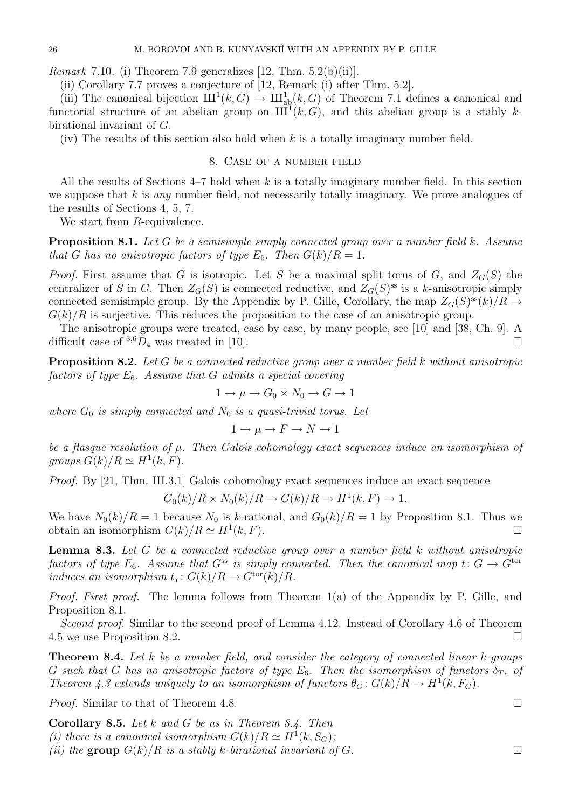*Remark* 7.10. (i) Theorem 7.9 generalizes [12, Thm.  $5.2(b)(ii)$ ].

(ii) Corollary 7.7 proves a conjecture of [12, Remark (i) after Thm. 5.2].

(iii) The canonical bijection  $\mathrm{III}^1(k, G) \to \mathrm{III}^1_{ab}(k, G)$  of Theorem 7.1 defines a canonical and functorial structure of an abelian group on  $\text{III}^1(k, G)$ , and this abelian group is a stably kbirational invariant of G.

(iv) The results of this section also hold when  $k$  is a totally imaginary number field.

### 8. Case of a number field

All the results of Sections  $4-7$  hold when k is a totally imaginary number field. In this section we suppose that  $k$  is any number field, not necessarily totally imaginary. We prove analogues of the results of Sections 4, 5, 7.

We start from R-equivalence.

Proposition 8.1. Let G be a semisimple simply connected group over a number field k. Assume that G has no anisotropic factors of type  $E_6$ . Then  $G(k)/R = 1$ .

*Proof.* First assume that G is isotropic. Let S be a maximal split torus of G, and  $Z_G(S)$  the centralizer of S in G. Then  $Z_G(S)$  is connected reductive, and  $Z_G(S)$ <sup>ss</sup> is a k-anisotropic simply connected semisimple group. By the Appendix by P. Gille, Corollary, the map  $Z_G(S)^{ss}(k)/R \to$  $G(k)/R$  is surjective. This reduces the proposition to the case of an anisotropic group.

The anisotropic groups were treated, case by case, by many people, see [10] and [38, Ch. 9]. A difficult case of  ${}^{3,6}D_4$  was treated in [10].

Proposition 8.2. Let G be a connected reductive group over a number field k without anisotropic factors of type  $E_6$ . Assume that G admits a special covering

$$
1 \to \mu \to G_0 \times N_0 \to G \to 1
$$

where  $G_0$  is simply connected and  $N_0$  is a quasi-trivial torus. Let

$$
1 \to \mu \to F \to N \to 1
$$

be a flasque resolution of  $\mu$ . Then Galois cohomology exact sequences induce an isomorphism of groups  $G(k)/R \simeq H^1(k, F)$ .

Proof. By [21, Thm. III.3.1] Galois cohomology exact sequences induce an exact sequence

$$
G_0(k)/R \times N_0(k)/R \to G(k)/R \to H^1(k, F) \to 1.
$$

We have  $N_0(k)/R = 1$  because  $N_0$  is k-rational, and  $G_0(k)/R = 1$  by Proposition 8.1. Thus we obtain an isomorphism  $G(k)/R \simeq H^1(k, F)$ .  $(k, F)$ .

Lemma 8.3. Let G be a connected reductive group over a number field k without anisotropic factors of type  $E_6$ . Assume that  $G^{ss}$  is simply connected. Then the canonical map  $t: G \to G^{tor}$ induces an isomorphism  $t_*: G(k)/R \to G^{\text{tor}}(k)/R$ .

Proof. First proof. The lemma follows from Theorem 1(a) of the Appendix by P. Gille, and Proposition 8.1.

Second proof. Similar to the second proof of Lemma 4.12. Instead of Corollary 4.6 of Theorem 4.5 we use Proposition 8.2.

**Theorem 8.4.** Let k be a number field, and consider the category of connected linear k-groups G such that G has no anisotropic factors of type  $E_6$ . Then the isomorphism of functors  $\delta_{T*}$  of Theorem 4.3 extends uniquely to an isomorphism of functors  $\theta_G: G(k)/R \to H^1(k, F_G)$ .

*Proof.* Similar to that of Theorem 4.8. □

Corollary 8.5. Let k and G be as in Theorem 8.4. Then (i) there is a canonical isomorphism  $G(k)/R \simeq H^1(k, S_G)$ ; (ii) the group  $G(k)/R$  is a stably k-birational invariant of G.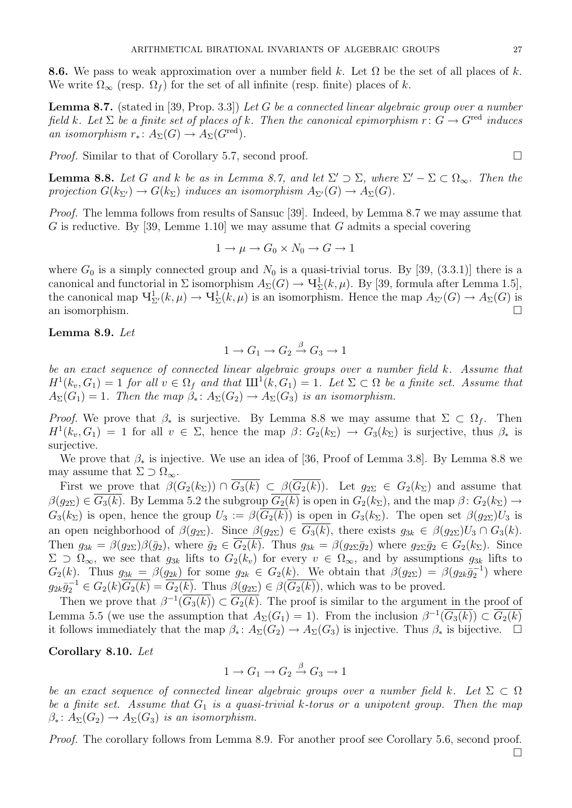**8.6.** We pass to weak approximation over a number field k. Let  $\Omega$  be the set of all places of k. We write  $\Omega_{\infty}$  (resp.  $\Omega_{f}$ ) for the set of all infinite (resp. finite) places of k.

**Lemma 8.7.** (stated in [39, Prop. 3.3]) Let G be a connected linear algebraic group over a number field k. Let  $\Sigma$  be a finite set of places of k. Then the canonical epimorphism  $r: G \to G^{\text{red}}$  induces an isomorphism  $r_* \colon A_{\Sigma}(G) \to A_{\Sigma}(G^{\text{red}}).$ 

*Proof.* Similar to that of Corollary 5.7, second proof.  $\Box$ 

**Lemma 8.8.** Let G and k be as in Lemma 8.7, and let  $\Sigma' \supset \Sigma$ , where  $\Sigma' - \Sigma \subset \Omega_{\infty}$ . Then the projection  $G(k_{\Sigma'}) \to G(k_{\Sigma})$  induces an isomorphism  $A_{\Sigma'}(G) \to A_{\Sigma}(G)$ .

Proof. The lemma follows from results of Sansuc [39]. Indeed, by Lemma 8.7 we may assume that G is reductive. By [39, Lemme 1.10] we may assume that G admits a special covering

$$
1 \to \mu \to G_0 \times N_0 \to G \to 1
$$

where  $G_0$  is a simply connected group and  $N_0$  is a quasi-trivial torus. By [39, (3.3.1)] there is a canonical and functorial in  $\Sigma$  isomorphism  $A_{\Sigma}(G) \to \mathbf{V}_{\Sigma}^1(k,\mu)$ . By [39, formula after Lemma 1.5], the canonical map  $\mathbf{U}^1_{\Sigma'}(k,\mu) \to \mathbf{U}^1_{\Sigma}(k,\mu)$  is an isomorphism. Hence the map  $A_{\Sigma'}(G) \to A_{\Sigma}(G)$  is an isomorphism.

## Lemma 8.9. Let

$$
1 \to G_1 \to G_2 \xrightarrow{\beta} G_3 \to 1
$$

be an exact sequence of connected linear algebraic groups over a number field k. Assume that  $H^1(k_v, G_1) = 1$  for all  $v \in \Omega_f$  and that  $\text{III}^1(k, G_1) = 1$ . Let  $\Sigma \subset \Omega$  be a finite set. Assume that  $A_{\Sigma}(G_1) = 1$ . Then the map  $\beta_* \colon A_{\Sigma}(G_2) \to A_{\Sigma}(G_3)$  is an isomorphism.

*Proof.* We prove that  $\beta_*$  is surjective. By Lemma 8.8 we may assume that  $\Sigma \subset \Omega_f$ . Then  $H^1(k_v, G_1) = 1$  for all  $v \in \Sigma$ , hence the map  $\beta \colon G_2(k_{\Sigma}) \to G_3(k_{\Sigma})$  is surjective, thus  $\beta_*$  is surjective.

We prove that  $\beta_*$  is injective. We use an idea of [36, Proof of Lemma 3.8]. By Lemma 8.8 we may assume that  $\Sigma \supset \Omega_{\infty}$ .

First we prove that  $\beta(G_2(k_{\Sigma})) \cap \overline{G_3(k)} \subset \beta(\overline{G_2(k)})$ . Let  $g_{2\Sigma} \in G_2(k_{\Sigma})$  and assume that  $\beta(g_{2\Sigma}) \in \overline{G_3(k)}$ . By Lemma 5.2 the subgroup  $\overline{G_2(k)}$  is open in  $G_2(k_\Sigma)$ , and the map  $\beta: G_2(k_\Sigma) \to$  $G_3(k_\Sigma)$  is open, hence the group  $U_3 := \beta(G_2(k))$  is open in  $G_3(k_\Sigma)$ . The open set  $\beta(g_{2\Sigma})U_3$  is an open neighborhood of  $\beta(g_{2\Sigma})$ . Since  $\beta(g_{2\Sigma}) \in \overline{G_3(k)}$ , there exists  $g_{3k} \in \beta(g_{2\Sigma})U_3 \cap G_3(k)$ . Then  $g_{3k} = \beta(g_{2\Sigma})\beta(\bar{g}_2)$ , where  $\bar{g}_2 \in \overline{G_2(k)}$ . Thus  $g_{3k} = \beta(g_{2\Sigma}\bar{g}_2)$  where  $g_{2\Sigma}\bar{g}_2 \in G_2(k_{\Sigma})$ . Since  $\Sigma \supset \Omega_{\infty}$ , we see that  $g_{3k}$  lifts to  $G_2(k_v)$  for every  $v \in \Omega_{\infty}$ , and by assumptions  $g_{3k}$  lifts to  $G_2(k)$ . Thus  $g_{3k} = \beta(g_{2k})$  for some  $g_{2k} \in G_2(k)$ . We obtain that  $\beta(g_{2\Sigma}) = \beta(g_{2k}\bar{g}_2^{-1})$  where  $g_{2k}\bar{g}_2^{-1} \in G_2(k)\overline{G_2(k)} = \overline{G_2(k)}$ . Thus  $\beta(g_{2\Sigma}) \in \beta(\overline{G_2(k)})$ , which was to be proved.

Then we prove that  $\beta^{-1}(\overline{G_3(k)}) \subset \overline{G_2(k)}$ . The proof is similar to the argument in the proof of Lemma 5.5 (we use the assumption that  $A_{\Sigma}(G_1) = 1$ ). From the inclusion  $\beta^{-1}(\overline{G_3(k)}) \subset \overline{G_2(k)}$ it follows immediately that the map  $\beta_* \colon A_{\Sigma}(G_2) \to A_{\Sigma}(G_3)$  is injective. Thus  $\beta_*$  is bijective.  $\square$ 

### Corollary 8.10. Let

$$
1 \to G_1 \to G_2 \xrightarrow{\beta} G_3 \to 1
$$

be an exact sequence of connected linear algebraic groups over a number field k. Let  $\Sigma \subset \Omega$ be a finite set. Assume that  $G_1$  is a quasi-trivial k-torus or a unipotent group. Then the map  $\beta_* \colon A_{\Sigma}(G_2) \to A_{\Sigma}(G_3)$  is an isomorphism.

Proof. The corollary follows from Lemma 8.9. For another proof see Corollary 5.6, second proof.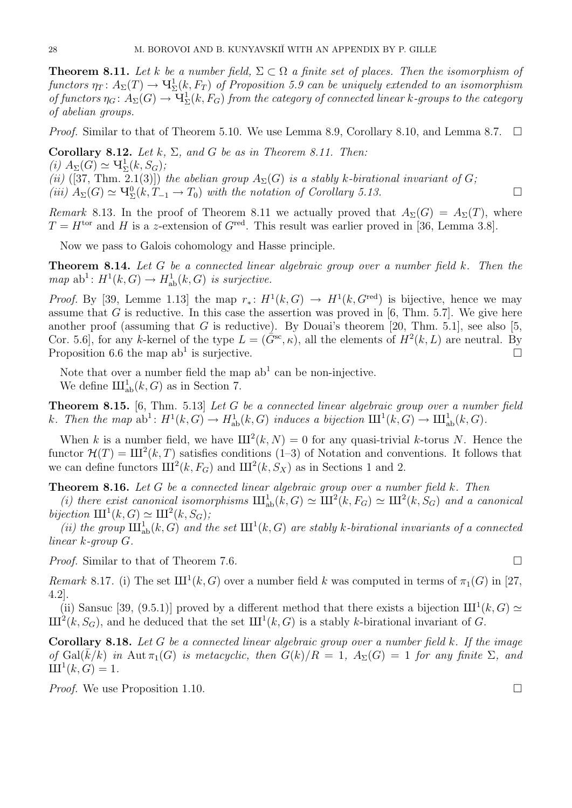**Theorem 8.11.** Let k be a number field,  $\Sigma \subset \Omega$  a finite set of places. Then the isomorphism of functors  $\eta_T\colon A_\Sigma(T)\to \mathrm{H}^1_\Sigma(k,F_T)$  of Proposition 5.9 can be uniquely extended to an isomorphism of functors  $\eta_G\colon A_\Sigma(G)\to \mathrm{H}^1_\Sigma(k,F_G)$  from the category of connected linear k-groups to the category of abelian groups.

*Proof.* Similar to that of Theorem 5.10. We use Lemma 8.9, Corollary 8.10, and Lemma 8.7.  $\Box$ 

Corollary 8.12. Let  $k$ ,  $\Sigma$ , and  $G$  be as in Theorem 8.11. Then: (i)  $A_{\Sigma}(G) \simeq \mathbf{V}_{\Sigma}^1(k, S_G);$ (ii) ([37, Thm. 2.1(3)]) the abelian group  $A_{\Sigma}(G)$  is a stably k-birational invariant of G;  $(iii)$   $A_{\Sigma}(G) \simeq \mathcal{H}_{\Sigma}^{0}(k, T_{-1} \to T_0)$  with the notation of Corollary 5.13.

Remark 8.13. In the proof of Theorem 8.11 we actually proved that  $A_{\Sigma}(G) = A_{\Sigma}(T)$ , where  $T = H^{\text{tor}}$  and H is a z-extension of  $G^{\text{red}}$ . This result was earlier proved in [36, Lemma 3.8].

Now we pass to Galois cohomology and Hasse principle.

Theorem 8.14. Let G be a connected linear algebraic group over a number field k. Then the  $map \text{ ab}^1: H^1(k, G) \to H^1_{\text{ab}}(k, G)$  is surjective.

*Proof.* By [39, Lemme 1.13] the map  $r_* : H^1(k, G) \to H^1(k, G^{\text{red}})$  is bijective, hence we may assume that G is reductive. In this case the assertion was proved in  $[6, Thm. 5.7]$ . We give here another proof (assuming that G is reductive). By Douai's theorem [20, Thm. 5.1], see also [5, Cor. 5.6, for any k-kernel of the type  $L = (\tilde{G}^{\rm sc}, \kappa)$ , all the elements of  $H^2(k, L)$  are neutral. By Proposition 6.6 the map  $ab^1$  is surjective.

Note that over a number field the map  $ab<sup>1</sup>$  can be non-injective. We define  $\mathrm{III}_{\mathrm{ab}}^1(k, G)$  as in Section 7.

Theorem 8.15. [6, Thm. 5.13] Let G be a connected linear algebraic group over a number field k. Then the map  $ab^1: H^1(k, G) \to H^1_{ab}(k, G)$  induces a bijection  $\mathrm{III}^1(k, G) \to \mathrm{III}^1_{ab}(k, G)$ .

When k is a number field, we have  $III^2(k, N) = 0$  for any quasi-trivial k-torus N. Hence the functor  $\mathcal{H}(T) = \text{III}^2(k, T)$  satisfies conditions (1–3) of Notation and conventions. It follows that we can define functors  $\text{III}^2(k, F_G)$  and  $\text{III}^2(k, S_X)$  as in Sections 1 and 2.

**Theorem 8.16.** Let G be a connected linear algebraic group over a number field  $k$ . Then

(i) there exist canonical isomorphisms  $\mathrm{III}_{ab}^1(\tilde{k}, G) \simeq \mathrm{III}^2(k, F_G) \simeq \mathrm{III}^2(k, S_G)$  and a canonical bijection  $III^1(k, G) \simeq III^2(k, S_G);$ 

(ii) the group  $\text{III}^1_{ab}(k, G)$  and the set  $\text{III}^1(k, G)$  are stably k-birational invariants of a connected linear k-group G.

*Proof.* Similar to that of Theorem 7.6. □

Remark 8.17. (i) The set  $III^1(k, G)$  over a number field k was computed in terms of  $\pi_1(G)$  in [27, 4.2].

(ii) Sansuc [39, (9.5.1)] proved by a different method that there exists a bijection  $III^1(k, G) \simeq$  $\text{III}^2(k, S_G)$ , and he deduced that the set  $\text{III}^1(k, G)$  is a stably k-birational invariant of G.

Corollary 8.18. Let G be a connected linear algebraic group over a number field k. If the image of Gal( $\bar{k}/k$ ) in Aut  $\pi_1(G)$  is metacyclic, then  $G(k)/R = 1$ ,  $A_{\Sigma}(G) = 1$  for any finite  $\Sigma$ , and  $\text{III}^1(k, G) = 1.$ 

*Proof.* We use Proposition 1.10.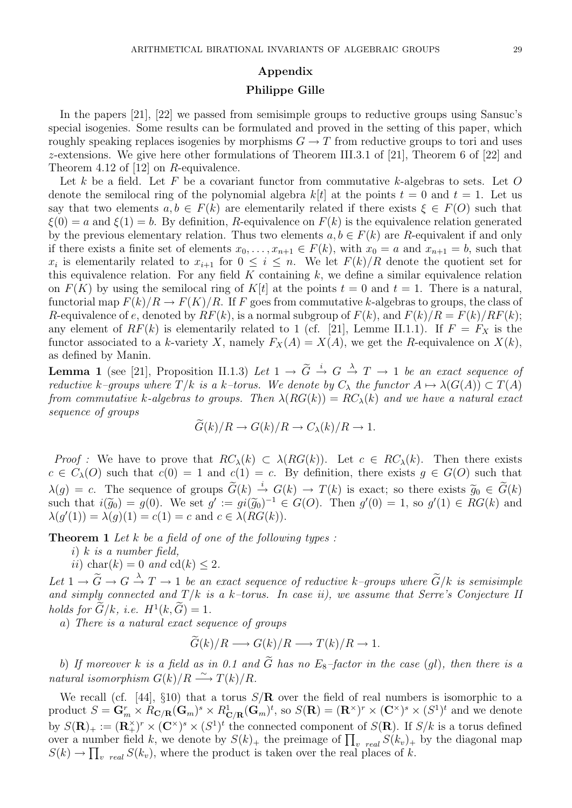### Appendix

### Philippe Gille

In the papers [21], [22] we passed from semisimple groups to reductive groups using Sansuc's special isogenies. Some results can be formulated and proved in the setting of this paper, which roughly speaking replaces isogenies by morphisms  $G \to T$  from reductive groups to tori and uses z-extensions. We give here other formulations of Theorem III.3.1 of [21], Theorem 6 of [22] and Theorem 4.12 of [12] on R-equivalence.

Let k be a field. Let F be a covariant functor from commutative k-algebras to sets. Let  $O$ denote the semilocal ring of the polynomial algebra  $k[t]$  at the points  $t = 0$  and  $t = 1$ . Let us say that two elements  $a, b \in F(k)$  are elementarily related if there exists  $\xi \in F(O)$  such that  $\xi(0) = a$  and  $\xi(1) = b$ . By definition, R-equivalence on  $F(k)$  is the equivalence relation generated by the previous elementary relation. Thus two elements  $a, b \in F(k)$  are R-equivalent if and only if there exists a finite set of elements  $x_0, \ldots, x_{n+1} \in F(k)$ , with  $x_0 = a$  and  $x_{n+1} = b$ , such that  $x_i$  is elementarily related to  $x_{i+1}$  for  $0 \leq i \leq n$ . We let  $F(k)/R$  denote the quotient set for this equivalence relation. For any field  $K$  containing  $k$ , we define a similar equivalence relation on  $F(K)$  by using the semilocal ring of  $K[t]$  at the points  $t = 0$  and  $t = 1$ . There is a natural, functorial map  $F(k)/R \to F(K)/R$ . If F goes from commutative k-algebras to groups, the class of R-equivalence of e, denoted by  $RF(k)$ , is a normal subgroup of  $F(k)$ , and  $F(k)/R = F(k)/RF(k)$ ; any element of  $RF(k)$  is elementarily related to 1 (cf. [21], Lemme II.1.1). If  $F = F_X$  is the functor associated to a k-variety X, namely  $F_X(A) = X(A)$ , we get the R-equivalence on  $X(k)$ , as defined by Manin.

**Lemma 1** (see [21], Proposition II.1.3) Let  $1 \rightarrow \tilde{G} \stackrel{i}{\rightarrow} G \stackrel{\lambda}{\rightarrow} T \rightarrow 1$  be an exact sequence of reductive k–groups where  $T/k$  is a k–torus. We denote by  $C_{\lambda}$  the functor  $A \mapsto \lambda(G(A)) \subset T(A)$ from commutative k-algebras to groups. Then  $\lambda(RG(k)) = RC_{\lambda}(k)$  and we have a natural exact sequence of groups

$$
G(k)/R \to G(k)/R \to C_{\lambda}(k)/R \to 1.
$$

Proof : We have to prove that  $RC_{\lambda}(k) \subset \lambda(RG(k))$ . Let  $c \in RC_{\lambda}(k)$ . Then there exists  $c \in C_{\lambda}(O)$  such that  $c(0) = 1$  and  $c(1) = c$ . By definition, there exists  $g \in G(O)$  such that  $\lambda(g) = c$ . The sequence of groups  $\widetilde{G}(k) \stackrel{i}{\rightarrow} G(k) \rightarrow T(k)$  is exact; so there exists  $\widetilde{g}_0 \in \widetilde{G}(k)$ <br>such that  $i(\widetilde{g}_0) = g(0)$ . We set  $g' := gi(\widetilde{g}_0)^{-1} \in C(O)$ . Then  $g'(0) = 1$ , so  $g'(1) \in RC(k)$  and such that  $i(\widetilde{g}_0) = g(0)$ . We set  $g' := gi(\widetilde{g}_0)^{-1} \in G(O)$ . Then  $g'(0) = 1$ , so  $g'(1) \in RG(k)$  and  $\lambda(g'(1)) = \lambda(g)(1) = g(1) = g$  and  $g \in \lambda(RG(k))$  $\lambda(g'(1)) = \lambda(g)(1) = c(1) = c$  and  $c \in \lambda(RG(k)).$ 

**Theorem 1** Let  $k$  be a field of one of the following types :

- i) k is a number field,
- ii) char(k) = 0 and cd(k)  $\leq 2$ .

Let  $1 \to \widetilde{G} \to G \stackrel{\lambda}{\to} T \to 1$  be an exact sequence of reductive k–groups where  $\widetilde{G}/k$  is semisimple and simply connected and  $T/k$  is a k–torus. In case ii), we assume that Serre's Conjecture II holds for  $\tilde{G}/k$ , i.e.  $H^1(k, \tilde{G}) = 1$ .

a) There is a natural exact sequence of groups

$$
\widetilde{G}(k)/R \longrightarrow G(k)/R \longrightarrow T(k)/R \longrightarrow 1.
$$

b) If moreover k is a field as in 0.1 and  $\tilde{G}$  has no  $E_8$ -factor in the case (ql), then there is a natural isomorphism  $G(k)/R \stackrel{\sim}{\longrightarrow} T(k)/R$ .

We recall (cf. [44],  $\S10$ ) that a torus  $S/R$  over the field of real numbers is isomorphic to a product  $S = \mathbf{G}_m^r \times R_{\mathbf{C}/\mathbf{R}}(\mathbf{G}_m)^s \times R_{\mathbf{C}/\mathbf{R}}^1(\mathbf{G}_m)^t$ , so  $S(\mathbf{R}) = (\mathbf{R}^\times)^r \times (\mathbf{C}^\times)^s \times (S^1)^t$  and we denote by  $S(\mathbf{R})_+ := (\mathbf{R}_+^{\times})^r \times (\mathbf{C}^{\times})^s \times (S^1)^t$  the connected component of  $S(\mathbf{R})$ . If  $S/k$  is a torus defined over a number field k, we denote by  $S(k)_+$  the preimage of  $\prod_{v \text{ real}} S(k_v)_+$  by the diagonal map  $S(k) \to \prod_{v \text{ real}} S(k_v)$ , where the product is taken over the real places of k.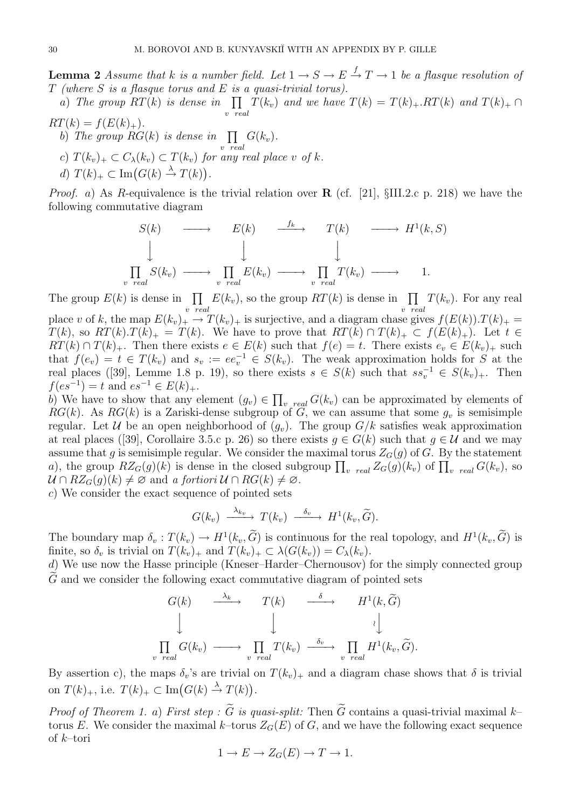**Lemma 2** Assume that k is a number field. Let  $1 \rightarrow S \rightarrow E \stackrel{f}{\rightarrow} T \rightarrow 1$  be a flasque resolution of  $T$  (where  $S$  is a flasque torus and  $E$  is a quasi-trivial torus).

a) The group  $RT(k)$  is dense in  $\prod$ v real  $T(k_v)$  and we have  $T(k) = T(k)_{+}$ .  $RT(k)$  and  $T(k)_{+} \cap$  $RT(k) = f(E(k)_+).$ 

b) The group  $RG(k)$  is dense in  $\prod$ v real  $G(k_v)$ . c)  $T(k_v)_+ \subset C_{\lambda}(k_v) \subset T(k_v)$  for any real place v of k. d)  $T(k)_+ \subset \text{Im}(G(k) \stackrel{\lambda}{\to} T(k)).$ 

*Proof.* a) As R-equivalence is the trivial relation over **R** (cf. [21],  $\S$ III.2.c p. 218) we have the following commutative diagram

$$
S(k) \longrightarrow E(k) \longrightarrow T(k) \longrightarrow H^{1}(k, S)
$$
  
\n
$$
\downarrow \qquad \qquad \downarrow \qquad \qquad \downarrow
$$
  
\n
$$
\prod_{real} S(k_{v}) \longrightarrow \prod_{v \text{ real}} E(k_{v}) \longrightarrow \prod_{v \text{ real}} T(k_{v}) \longrightarrow 1.
$$

The group  $E(k)$  is dense in  $\prod$ v real  $E(k_v)$ , so the group  $RT(k)$  is dense in  $\prod$ v real  $T(k_v)$ . For any real place v of k, the map  $E(k_v)_+ \to T(k_v)_+$  is surjective, and a diagram chase gives  $f(E(k)).T(k)_+ =$  $T(k)$ , so  $RT(k)$ .  $T(k)$  =  $T(k)$ . We have to prove that  $RT(k) \cap T(k)$   $\subset f(E(k)$ . Let  $t \in$  $RT(k) \cap T(k)_+$ . Then there exists  $e \in E(k)$  such that  $f(e) = t$ . There exists  $e_v \in E(k_v)_+$  such that  $f(e_v) = t \in T(k_v)$  and  $s_v := ee_v^{-1} \in S(k_v)$ . The weak approximation holds for S at the real places ([39], Lemme 1.8 p. 19), so there exists  $s \in S(k)$  such that  $ss_v^{-1} \in S(k_v)_+$ . Then  $f(es^{-1}) = t$  and  $es^{-1} \in E(k)_+.$ 

b) We have to show that any element  $(g_v) \in \prod_{v \text{ real}} G(k_v)$  can be approximated by elements of RG(k). As RG(k) is a Zariski-dense subgroup of G, we can assume that some  $g_v$  is semisimple regular. Let U be an open neighborhood of  $(q_v)$ . The group  $G/k$  satisfies weak approximation at real places ([39], Corollaire 3.5.c p. 26) so there exists  $g \in G(k)$  such that  $g \in \mathcal{U}$  and we may assume that g is semisimple regular. We consider the maximal torus  $Z_G(g)$  of G. By the statement a), the group  $RZ_G(g)(k)$  is dense in the closed subgroup  $\prod_{v \ real} Z_G(g)(k_v)$  of  $\prod_{v \ real} G(k_v)$ , so  $U \cap RZ_G(g)(k) \neq \emptyset$  and a fortiori  $U \cap RG(k) \neq \emptyset$ .

c) We consider the exact sequence of pointed sets

 $\eta$ 

$$
G(k_v) \xrightarrow{\lambda_{k_v}} T(k_v) \xrightarrow{\delta_v} H^1(k_v, \widetilde{G}).
$$

The boundary map  $\delta_v : T(k_v) \to H^1(k_v, \tilde{G})$  is continuous for the real topology, and  $H^1(k_v, \tilde{G})$  is finite, so  $\delta_v$  is trivial on  $T(k_v)_+$  and  $T(k_v)_+ \subset \lambda(G(k_v)) = C_{\lambda}(k_v)$ .

d) We use now the Hasse principle (Kneser–Harder–Chernousov) for the simply connected group  $\tilde{G}$  and we consider the following exact commutative diagram of pointed sets

$$
G(k) \xrightarrow{\lambda_k} T(k) \xrightarrow{\delta} H^1(k, \widetilde{G})
$$
  
\n
$$
\downarrow \qquad \qquad \downarrow \qquad \qquad \downarrow
$$
  
\n
$$
\prod_{v \text{ real}} G(k_v) \longrightarrow \prod_{v \text{ real}} T(k_v) \xrightarrow{\delta_v} \prod_{v \text{ real}} H^1(k_v, \widetilde{G}).
$$

By assertion c), the maps  $\delta_v$ 's are trivial on  $T(k_v)_+$  and a diagram chase shows that  $\delta$  is trivial on  $T(k)_+$ , i.e.  $T(k)_+ \subset \text{Im}(G(k) \stackrel{\lambda}{\to} T(k)).$ 

*Proof of Theorem 1. a) First step :*  $\widetilde{G}$  *is quasi-split:* Then  $\widetilde{G}$  contains a quasi-trivial maximal k– torus E. We consider the maximal k–torus  $Z_G(E)$  of G, and we have the following exact sequence of k–tori

$$
1 \to E \to Z_G(E) \to T \to 1.
$$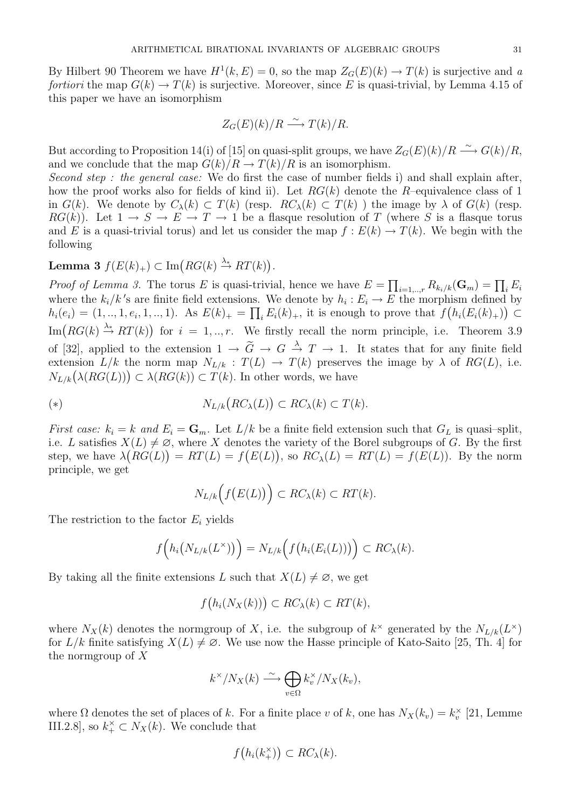By Hilbert 90 Theorem we have  $H^1(k, E) = 0$ , so the map  $Z_G(E)(k) \to T(k)$  is surjective and a fortiori the map  $G(k) \to T(k)$  is surjective. Moreover, since E is quasi-trivial, by Lemma 4.15 of this paper we have an isomorphism

$$
Z_G(E)(k)/R \xrightarrow{\sim} T(k)/R.
$$

But according to Proposition 14(i) of [15] on quasi-split groups, we have  $Z_G(E)(k)/R \stackrel{\sim}{\longrightarrow} G(k)/R$ , and we conclude that the map  $G(k)/R \to T(k)/R$  is an isomorphism.

Second step : the general case: We do first the case of number fields i) and shall explain after, how the proof works also for fields of kind ii). Let  $RG(k)$  denote the R–equivalence class of 1 in  $G(k)$ . We denote by  $C_{\lambda}(k) \subset T(k)$  (resp.  $RC_{\lambda}(k) \subset T(k)$ ) the image by  $\lambda$  of  $G(k)$  (resp.  $RG(k)$ . Let  $1 \rightarrow S \rightarrow E \rightarrow T \rightarrow 1$  be a flasque resolution of T (where S is a flasque torus and E is a quasi-trivial torus) and let us consider the map  $f : E(k) \to T(k)$ . We begin with the following

 $\textbf{Lemma 3 } f(E(k)_+) \subset \text{Im}\big(RG(k) \stackrel{\lambda_*}{\to} RT(k)\big).$ 

*Proof of Lemma 3.* The torus E is quasi-trivial, hence we have  $E = \prod_{i=1, ..., r} R_{k_i/k}(\mathbf{G}_m) = \prod_i E_i$ where the  $k_i/k$ 's are finite field extensions. We denote by  $h_i: E_i \to E$  the morphism defined by  $h_i(e_i) = (1, ..., 1, e_i, 1, ..., 1)$ . As  $E(k)_+ = \prod_i E_i(k)_+$ , it is enough to prove that  $f(h_i(E_i(k)_+)) \subset$  $\text{Im}(RG(k) \stackrel{\lambda_*}{\to} RT(k))$  for  $i = 1, ..., r$ . We firstly recall the norm principle, i.e. Theorem 3.9 of [32], applied to the extension  $1 \to \tilde{G} \to G \stackrel{\lambda}{\to} T \to 1$ . It states that for any finite field extension  $L/k$  the norm map  $N_{L/k} : T(L) \to T(k)$  preserves the image by  $\lambda$  of  $RG(L)$ , i.e.  $N_{L/k}(\lambda(RG(L))) \subset \lambda(RG(k)) \subset T(k)$ . In other words, we have

(\*) 
$$
N_{L/k}(RC_{\lambda}(L)) \subset RC_{\lambda}(k) \subset T(k).
$$

First case:  $k_i = k$  and  $E_i = \mathbf{G}_m$ . Let  $L/k$  be a finite field extension such that  $G_L$  is quasi-split, i.e. L satisfies  $X(L) \neq \emptyset$ , where X denotes the variety of the Borel subgroups of G. By the first step, we have  $\lambda (RG(L)) = RT(L) = f(E(L))$ , so  $RC_{\lambda}(L) = RT(L) = f(E(L))$ . By the norm principle, we get

$$
N_{L/k}\Big(f\big(E(L)\big)\Big) \subset RC_{\lambda}(k) \subset RT(k).
$$

The restriction to the factor  $E_i$  yields

$$
f\Big(h_i\big(N_{L/k}(L^\times)\big)\Big)=N_{L/k}\Big(f\big(h_i(E_i(L))\big)\Big)\subset RC_\lambda(k).
$$

By taking all the finite extensions L such that  $X(L) \neq \emptyset$ , we get

$$
f(h_i(N_X(k))) \subset RC_{\lambda}(k) \subset RT(k),
$$

where  $N_X(k)$  denotes the normgroup of X, i.e. the subgroup of  $k^{\times}$  generated by the  $N_{L/k}(L^{\times})$ for  $L/k$  finite satisfying  $X(L) \neq \emptyset$ . We use now the Hasse principle of Kato-Saito [25, Th. 4] for the normgroup of X

$$
k^{\times}/N_X(k) \stackrel{\sim}{\longrightarrow} \bigoplus_{v \in \Omega} k_v^{\times}/N_X(k_v),
$$

where  $\Omega$  denotes the set of places of k. For a finite place v of k, one has  $N_X(k_v) = k_v^{\times}$  [21, Lemme III.2.8], so  $k_+^{\times} \subset N_X(k)$ . We conclude that

$$
f(h_i(k_+^{\times})) \subset RC_{\lambda}(k).
$$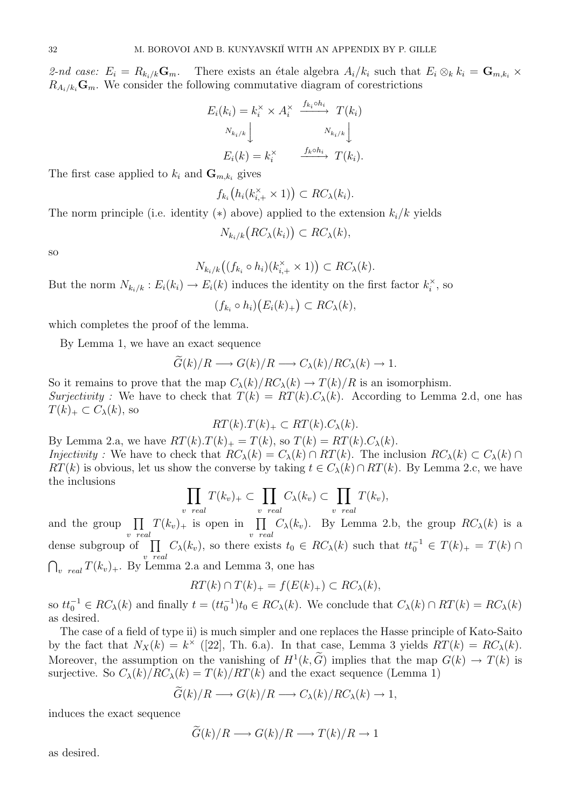2-nd case:  $E_i = R_{k_i/k} \mathbf{G}_m$ . There exists an étale algebra  $A_i/k_i$  such that  $E_i \otimes_k k_i = \mathbf{G}_{m,k_i} \times$  $R_{A_i/k_i}\mathbf{G}_m$ . We consider the following commutative diagram of corestrictions

$$
E_i(k_i) = k_i^{\times} \times A_i^{\times} \xrightarrow{f_{k_i} \circ h_i} T(k_i)
$$

$$
N_{k_i/k} \downarrow \qquad N_{k_i/k} \downarrow
$$

$$
E_i(k) = k_i^{\times} \xrightarrow{f_k \circ h_i} T(k_i).
$$

The first case applied to  $k_i$  and  $\mathbf{G}_{m,k_i}$  gives

$$
f_{k_i}\big(h_i(k_{i,+}^{\times}\times 1)\big)\subset RC_{\lambda}(k_i).
$$

The norm principle (i.e. identity  $(*)$  above) applied to the extension  $k_i/k$  yields

$$
N_{k_i/k}\big(RC_{\lambda}(k_i)\big) \subset RC_{\lambda}(k),
$$

so

$$
N_{k_i/k}((f_{k_i} \circ h_i)(k_{i,+}^{\times} \times 1)) \subset RC_{\lambda}(k).
$$

But the norm  $N_{k_i/k}: E_i(k_i) \to E_i(k)$  induces the identity on the first factor  $k_i^{\times}$  $\mathbf{e}_i^{\times}$ , so

$$
(f_{k_i} \circ h_i)(E_i(k)_+) \subset RC_{\lambda}(k),
$$

which completes the proof of the lemma.

By Lemma 1, we have an exact sequence

$$
\widetilde{G}(k)/R \longrightarrow G(k)/R \longrightarrow C_{\lambda}(k)/RC_{\lambda}(k) \longrightarrow 1.
$$

So it remains to prove that the map  $C_{\lambda}(k)/RC_{\lambda}(k) \rightarrow T(k)/R$  is an isomorphism. Surjectivity : We have to check that  $T(k) = RT(k) \cdot C_{\lambda}(k)$ . According to Lemma 2.d, one has  $T(k)_+ \subset C_{\lambda}(k)$ , so

$$
RT(k).T(k)_+ \subset RT(k).C_{\lambda}(k).
$$

By Lemma 2.a, we have  $RT(k) \cdot T(k)_{+} = T(k)$ , so  $T(k) = RT(k) \cdot C_{\lambda}(k)$ . *Injectivity* : We have to check that  $RC_\lambda(k) = C_\lambda(k) \cap RT(k)$ . The inclusion  $RC_\lambda(k) \subset C_\lambda(k) \cap$  $RT(k)$  is obvious, let us show the converse by taking  $t \in C_{\lambda}(k) \cap RT(k)$ . By Lemma 2.c, we have

$$
\prod_{v \text{ real}} T(k_v)_+ \subset \prod_{v \text{ real}} C_{\lambda}(k_v) \subset \prod_{v \text{ real}} T(k_v),
$$

and the group  $\prod$ v real  $T(k_v)_+$  is open in  $\prod$ v real  $C_{\lambda}(k_v)$ . By Lemma 2.b, the group  $RC_{\lambda}(k)$  is a dense subgroup of  $\Pi$ v real  $C_{\lambda}(k_v)$ , so there exists  $t_0 \in RC_{\lambda}(k)$  such that  $tt_0^{-1} \in T(k)_+ = T(k) \cap$  $\bigcap_{v \ real} T(k_v)_+$ . By Lemma 2.a and Lemma 3, one has

$$
RT(k) \cap T(k)_+ = f(E(k)_+) \subset RC_{\lambda}(k),
$$

so  $tt_0^{-1} \in RC_{\lambda}(k)$  and finally  $t = (tt_0^{-1})t_0 \in RC_{\lambda}(k)$ . We conclude that  $C_{\lambda}(k) \cap RT(k) = RC_{\lambda}(k)$ as desired.

The case of a field of type ii) is much simpler and one replaces the Hasse principle of Kato-Saito by the fact that  $N_X(k) = k^{\times}$  ([22], Th. 6.a). In that case, Lemma 3 yields  $RT(k) = RC_{\lambda}(k)$ . Moreover, the assumption on the vanishing of  $H^1(k, \tilde{G})$  implies that the map  $G(k) \to T(k)$  is surjective. So  $C_{\lambda}(k)/RC_{\lambda}(k) = T(k)/RT(k)$  and the exact sequence (Lemma 1)

$$
G(k)/R \longrightarrow G(k)/R \longrightarrow C_{\lambda}(k)/RC_{\lambda}(k) \longrightarrow 1,
$$

induces the exact sequence

$$
\widetilde{G}(k)/R \longrightarrow G(k)/R \longrightarrow T(k)/R \longrightarrow 1
$$

as desired.

the inclusions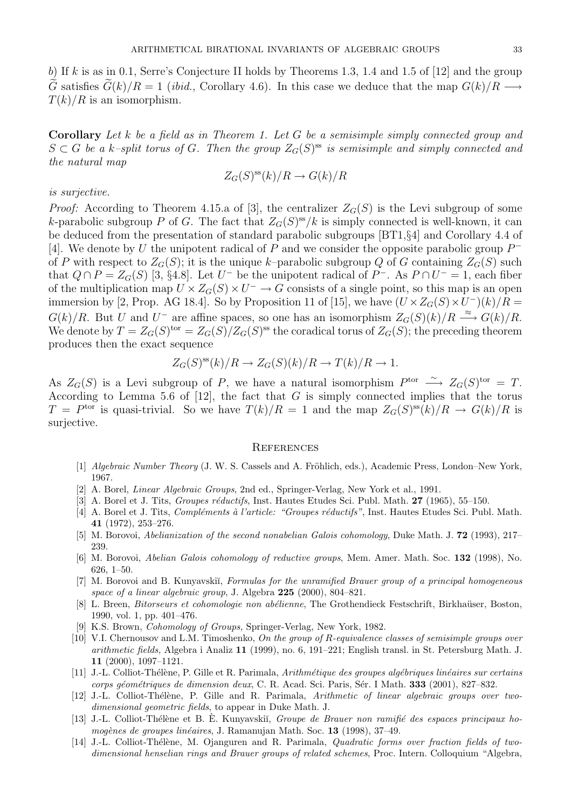b) If k is as in 0.1, Serre's Conjecture II holds by Theorems 1.3, 1.4 and 1.5 of  $[12]$  and the group G satisfies  $G(k)/R = 1$  (ibid., Corollary 4.6). In this case we deduce that the map  $G(k)/R \longrightarrow$  $T(k)/R$  is an isomorphism.

Corollary Let k be a field as in Theorem 1. Let G be a semisimple simply connected group and  $S \subset G$  be a k-split torus of G. Then the group  $Z_G(S)$ <sup>ss</sup> is semisimple and simply connected and the natural map

$$
Z_G(S)^{\rm ss}(k)/R \to G(k)/R
$$

#### is surjective.

*Proof:* According to Theorem 4.15.a of [3], the centralizer  $Z_G(S)$  is the Levi subgroup of some k-parabolic subgroup P of G. The fact that  $Z_G(S)^{ss}/k$  is simply connected is well-known, it can be deduced from the presentation of standard parabolic subgroups [BT1,§4] and Corollary 4.4 of [4]. We denote by U the unipotent radical of P and we consider the opposite parabolic group  $P^$ of P with respect to  $Z_G(S)$ ; it is the unique k–parabolic subgroup Q of G containing  $Z_G(S)$  such that  $Q \cap P = Z_G(S)$  [3, §4.8]. Let  $U^-$  be the unipotent radical of  $P^-$ . As  $P \cap U^- = 1$ , each fiber of the multiplication map  $U \times Z_G(S) \times U^- \to G$  consists of a single point, so this map is an open immersion by [2, Prop. AG 18.4]. So by Proposition 11 of [15], we have  $(U \times Z_G(S) \times U^{-})(k)/R =$  $G(k)/R$ . But U and U<sup>-</sup> are affine spaces, so one has an isomorphism  $Z_G(S)(k)/R \stackrel{\approx}{\longrightarrow} G(k)/R$ . We denote by  $T = Z_G(S)^{tor} = Z_G(S)/Z_G(S)^{ss}$  the coradical torus of  $Z_G(S)$ ; the preceding theorem produces then the exact sequence

$$
Z_G(S)^{ss}(k)/R \to Z_G(S)(k)/R \to T(k)/R \to 1.
$$

As  $Z_G(S)$  is a Levi subgroup of P, we have a natural isomorphism  $P^{\text{tor}} \longrightarrow Z_G(S)^{\text{tor}} = T$ . According to Lemma 5.6 of  $[12]$ , the fact that G is simply connected implies that the torus  $T = P<sup>tor</sup>$  is quasi-trivial. So we have  $T(k)/R = 1$  and the map  $Z_G(S)<sup>ss</sup>(k)/R \to G(k)/R$  is surjective.

#### **REFERENCES**

- [1] Algebraic Number Theory (J. W. S. Cassels and A. Fröhlich, eds.), Academic Press, London–New York, 1967.
- [2] A. Borel, Linear Algebraic Groups, 2nd ed., Springer-Verlag, New York et al., 1991.
- [3] A. Borel et J. Tits, *Groupes réductifs*, Inst. Hautes Etudes Sci. Publ. Math. 27 (1965), 55–150.
- [4] A. Borel et J. Tits, *Compléments à l'article: "Groupes réductifs"*, Inst. Hautes Etudes Sci. Publ. Math. 41 (1972), 253–276.
- [5] M. Borovoi, Abelianization of the second nonabelian Galois cohomology, Duke Math. J. 72 (1993), 217– 239.
- [6] M. Borovoi, Abelian Galois cohomology of reductive groups, Mem. Amer. Math. Soc. 132 (1998), No. 626, 1–50.
- [7] M. Borovoi and B. Kunyavskii, Formulas for the unramified Brauer group of a principal homogeneous space of a linear algebraic group, J. Algebra 225 (2000), 804–821.
- [8] L. Breen, Bitorseurs et cohomologie non abélienne, The Grothendieck Festschrift, Birkhaüser, Boston, 1990, vol. 1, pp. 401–476.
- [9] K.S. Brown, Cohomology of Groups, Springer-Verlag, New York, 1982.
- [10] V.I. Chernousov and L.M. Timoshenko, On the group of R-equivalence classes of semisimple groups over arithmetic fields, Algebra i Analiz 11 (1999), no. 6, 191–221; English transl. in St. Petersburg Math. J. 11 (2000), 1097–1121.
- [11] J.-L. Colliot-Thélène, P. Gille et R. Parimala, Arithmétique des groupes algébriques linéaires sur certains corps géométriques de dimension deux, C. R. Acad. Sci. Paris, Sér. I Math. 333 (2001), 827–832.
- [12] J.-L. Colliot-Thélène, P. Gille and R. Parimala, Arithmetic of linear algebraic groups over twodimensional geometric fields, to appear in Duke Math. J.
- [13] J.-L. Colliot-Thélène et B. È. Kunyavskiĭ, Groupe de Brauer non ramifié des espaces principaux homogènes de groupes linéaires, J. Ramanujan Math. Soc. 13 (1998), 37-49.
- [14] J.-L. Colliot-Thélène, M. Ojanguren and R. Parimala, *Quadratic forms over fraction fields of two*dimensional henselian rings and Brauer groups of related schemes, Proc. Intern. Colloquium "Algebra,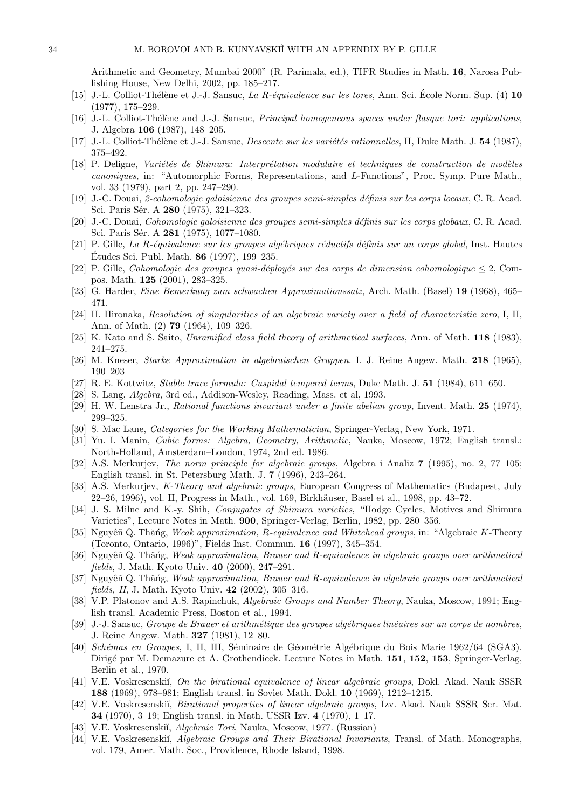Arithmetic and Geometry, Mumbai 2000" (R. Parimala, ed.), TIFR Studies in Math. 16, Narosa Publishing House, New Delhi, 2002, pp. 185–217.

- [15] J.-L. Colliot-Thélène et J.-J. Sansuc, La R-équivalence sur les tores, Ann. Sci. École Norm. Sup. (4)  $10$ (1977), 175–229.
- [16] J.-L. Colliot-Thélène and J.-J. Sansuc, *Principal homogeneous spaces under flasque tori: applications*, J. Algebra 106 (1987), 148–205.
- [17] J.-L. Colliot-Thélène et J.-J. Sansuc, Descente sur les variétés rationnelles, II, Duke Math. J. 54 (1987), 375–492.
- [18] P. Deligne, Variétés de Shimura: Interprétation modulaire et techniques de construction de modèles canoniques, in: "Automorphic Forms, Representations, and L-Functions", Proc. Symp. Pure Math., vol. 33 (1979), part 2, pp. 247–290.
- [19] J.-C. Douai, 2-cohomologie galoisienne des groupes semi-simples d´efinis sur les corps locaux, C. R. Acad. Sci. Paris Sér. A 280 (1975), 321–323.
- [20] J.-C. Douai, Cohomologie galoisienne des groupes semi-simples définis sur les corps globaux, C. R. Acad. Sci. Paris Sér. A 281 (1975), 1077-1080.
- [21] P. Gille, La R-équivalence sur les groupes algébriques réductifs définis sur un corps global, Inst. Hautes Études Sci. Publ. Math.  $86$  (1997), 199–235.
- [22] P. Gille, Cohomologie des groupes quasi-déployés sur des corps de dimension cohomologique  $\leq 2$ , Compos. Math. 125 (2001), 283–325.
- [23] G. Harder, Eine Bemerkung zum schwachen Approximationssatz, Arch. Math. (Basel) 19 (1968), 465– 471.
- [24] H. Hironaka, Resolution of singularities of an algebraic variety over a field of characteristic zero, I, II, Ann. of Math. (2) 79 (1964), 109–326.
- [25] K. Kato and S. Saito, Unramified class field theory of arithmetical surfaces, Ann. of Math. 118 (1983), 241–275.
- [26] M. Kneser, Starke Approximation in algebraischen Gruppen. I. J. Reine Angew. Math. 218 (1965), 190–203
- [27] R. E. Kottwitz, Stable trace formula: Cuspidal tempered terms, Duke Math. J. 51 (1984), 611–650.
- [28] S. Lang, Algebra, 3rd ed., Addison-Wesley, Reading, Mass. et al, 1993.
- [29] H. W. Lenstra Jr., Rational functions invariant under a finite abelian group, Invent. Math. 25 (1974), 299–325.
- [30] S. Mac Lane, Categories for the Working Mathematician, Springer-Verlag, New York, 1971.
- [31] Yu. I. Manin, Cubic forms: Algebra, Geometry, Arithmetic, Nauka, Moscow, 1972; English transl.: North-Holland, Amsterdam–London, 1974, 2nd ed. 1986.
- [32] A.S. Merkurjev, The norm principle for algebraic groups, Algebra i Analiz 7 (1995), no. 2, 77–105; English transl. in St. Petersburg Math. J. 7 (1996), 243–264.
- [33] A.S. Merkurjev, K-Theory and algebraic groups, European Congress of Mathematics (Budapest, July 22–26, 1996), vol. II, Progress in Math., vol. 169, Birkhäuser, Basel et al., 1998, pp. 43–72.
- [34] J. S. Milne and K.-y. Shih, Conjugates of Shimura varieties, "Hodge Cycles, Motives and Shimura Varieties", Lecture Notes in Math. 900, Springer-Verlag, Berlin, 1982, pp. 280–356.
- [35] Nguyêñ Q. Thăńg, Weak approximation, R-equivalence and Whitehead groups, in: "Algebraic K-Theory" (Toronto, Ontario, 1996)", Fields Inst. Commun. 16 (1997), 345–354.
- [36] Nguyêñ Q. Thăńg, Weak approximation, Brauer and R-equivalence in algebraic groups over arithmetical fields, J. Math. Kyoto Univ. 40 (2000), 247–291.
- [37] Nguyêñ Q. Thăńg, Weak approximation, Brauer and R-equivalence in algebraic groups over arithmetical fields, II, J. Math. Kyoto Univ. 42 (2002), 305–316.
- [38] V.P. Platonov and A.S. Rapinchuk, Algebraic Groups and Number Theory, Nauka, Moscow, 1991; English transl. Academic Press, Boston et al., 1994.
- [39] J.-J. Sansuc, Groupe de Brauer et arithmétique des groupes algébriques linéaires sur un corps de nombres, J. Reine Angew. Math. 327 (1981), 12–80.
- [40] Schémas en Groupes, I, II, III, Séminaire de Géométrie Algébrique du Bois Marie 1962/64 (SGA3). Dirig´e par M. Demazure et A. Grothendieck. Lecture Notes in Math. 151, 152, 153, Springer-Verlag, Berlin et al., 1970.
- [41] V.E. Voskresenskiĭ, On the birational equivalence of linear algebraic groups, Dokl. Akad. Nauk SSSR 188 (1969), 978–981; English transl. in Soviet Math. Dokl. 10 (1969), 1212–1215.
- [42] V.E. Voskresenskiı̆, *Birational properties of linear algebraic groups*, Izv. Akad. Nauk SSSR Ser. Mat. 34 (1970), 3–19; English transl. in Math. USSR Izv. 4 (1970), 1–17.
- [43] V.E. Voskresenskiı̆, *Algebraic Tori*, Nauka, Moscow, 1977. (Russian)
- [44] V.E. Voskresenskiĭ, Algebraic Groups and Their Birational Invariants, Transl. of Math. Monographs, vol. 179, Amer. Math. Soc., Providence, Rhode Island, 1998.